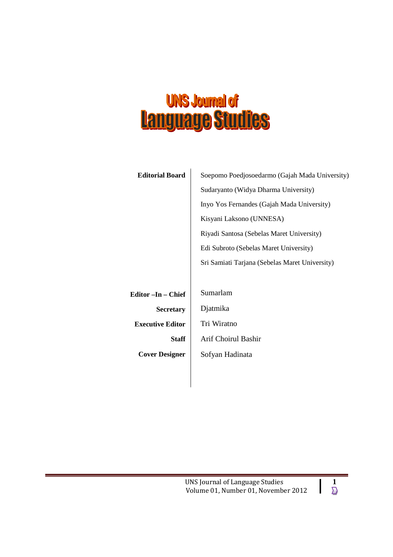# **UNS Journal of** Language Studies

| <b>Editorial Board</b>  | Soepomo Poedjosoedarmo (Gajah Mada University) |  |
|-------------------------|------------------------------------------------|--|
|                         | Sudaryanto (Widya Dharma University)           |  |
|                         | Inyo Yos Fernandes (Gajah Mada University)     |  |
|                         | Kisyani Laksono (UNNESA)                       |  |
|                         | Riyadi Santosa (Sebelas Maret University)      |  |
|                         | Edi Subroto (Sebelas Maret University)         |  |
|                         | Sri Samiati Tarjana (Sebelas Maret University) |  |
|                         |                                                |  |
| Editor-In-Chief         | Sumarlam                                       |  |
| <b>Secretary</b>        | Djatmika                                       |  |
| <b>Executive Editor</b> | Tri Wiratno                                    |  |
| <b>Staff</b>            | <b>Arif Choirul Bashir</b>                     |  |
| <b>Cover Designer</b>   | Sofyan Hadinata                                |  |
|                         |                                                |  |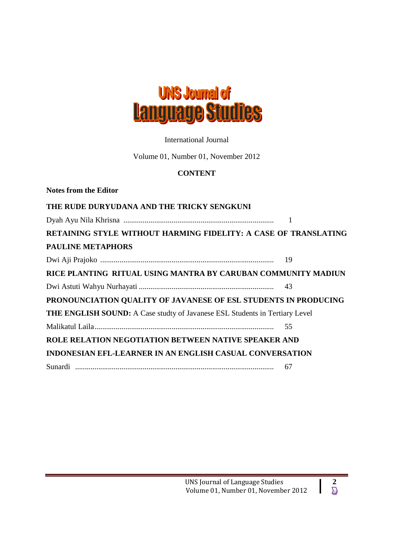

# International Journal

Volume 01, Number 01, November 2012

# **CONTENT**

**Notes from the Editor**

| THE RUDE DURYUDANA AND THE TRICKY SENGKUNI                                  |  |
|-----------------------------------------------------------------------------|--|
|                                                                             |  |
| RETAINING STYLE WITHOUT HARMING FIDELITY: A CASE OF TRANSLATING             |  |
| <b>PAULINE METAPHORS</b>                                                    |  |
|                                                                             |  |
| RICE PLANTING RITUAL USING MANTRA BY CARUBAN COMMUNITY MADIUN               |  |
|                                                                             |  |
| PRONOUNCIATION OUALITY OF JAVANESE OF ESL STUDENTS IN PRODUCING             |  |
| THE ENGLISH SOUND: A Case studty of Javanese ESL Students in Tertiary Level |  |
|                                                                             |  |
| ROLE RELATION NEGOTIATION BETWEEN NATIVE SPEAKER AND                        |  |
| <b>INDONESIAN EFL-LEARNER IN AN ENGLISH CASUAL CONVERSATION</b>             |  |
|                                                                             |  |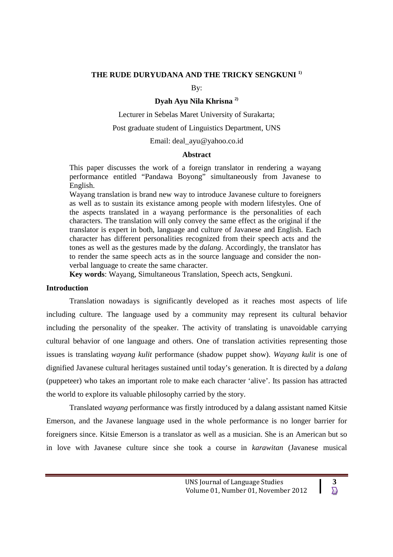# **THE RUDE DURYUDANA AND THE TRICKY SENGKUNI 1)**

By:

## **Dyah Ayu Nila Khrisna 2)**

Lecturer in Sebelas Maret University of Surakarta;

#### Post graduate student of Linguistics Department, UNS

Email: deal\_ayu@yahoo.co.id

#### **Abstract**

This paper discusses the work of a foreign translator in rendering a wayang performance entitled "Pandawa Boyong" simultaneously from Javanese to English.

Wayang translation is brand new way to introduce Javanese culture to foreigners as well as to sustain its existance among people with modern lifestyles. One of the aspects translated in a wayang performance is the personalities of each characters. The translation will only convey the same effect as the original if the translator is expert in both, language and culture of Javanese and English. Each character has different personalities recognized from their speech acts and the tones as well as the gestures made by the *dalang*. Accordingly, the translator has to render the same speech acts as in the source language and consider the nonverbal language to create the same character.

**Key words**: Wayang, Simultaneous Translation, Speech acts, Sengkuni.

# **Introduction**

Translation nowadays is significantly developed as it reaches most aspects of life including culture. The language used by a community may represent its cultural behavior including the personality of the speaker. The activity of translating is unavoidable carrying cultural behavior of one language and others. One of translation activities representing those issues is translating *wayang kulit* performance (shadow puppet show). *Wayang kulit* is one of dignified Javanese cultural heritages sustained until today's generation. It is directed by a *dalang* (puppeteer) who takes an important role to make each character 'alive'. Its passion has attracted the world to explore its valuable philosophy carried by the story.

Translated *wayang* performance was firstly introduced by a dalang assistant named Kitsie Emerson, and the Javanese language used in the whole performance is no longer barrier for foreigners since. Kitsie Emerson is a translator as well as a musician. She is an American but so in love with Javanese culture since she took a course in *karawitan* (Javanese musical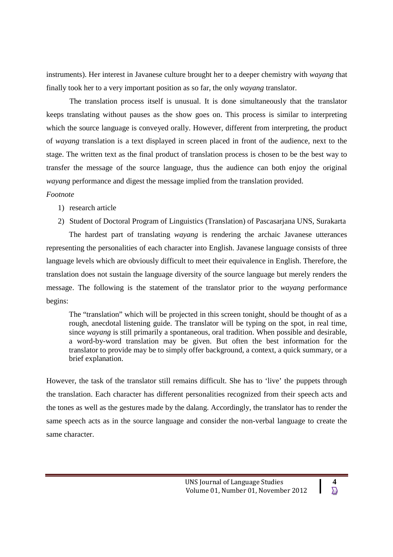instruments). Her interest in Javanese culture brought her to a deeper chemistry with *wayang* that finally took her to a very important position as so far, the only *wayang* translator.

The translation process itself is unusual. It is done simultaneously that the translator keeps translating without pauses as the show goes on. This process is similar to interpreting which the source language is conveyed orally. However, different from interpreting, the product of *wayang* translation is a text displayed in screen placed in front of the audience, next to the stage. The written text as the final product of translation process is chosen to be the best way to transfer the message of the source language, thus the audience can both enjoy the original *wayang* performance and digest the message implied from the translation provided.

# *Footnote*

- 1) research article
- 2) Student of Doctoral Program of Linguistics (Translation) of Pascasarjana UNS, Surakarta

The hardest part of translating *wayang* is rendering the archaic Javanese utterances representing the personalities of each character into English. Javanese language consists of three language levels which are obviously difficult to meet their equivalence in English. Therefore, the translation does not sustain the language diversity of the source language but merely renders the message. The following is the statement of the translator prior to the *wayang* performance begins:

The "translation" which will be projected in this screen tonight, should be thought of as a rough, anecdotal listening guide. The translator will be typing on the spot, in real time, since *wayang* is still primarily a spontaneous, oral tradition. When possible and desirable, a word-by-word translation may be given. But often the best information for the translator to provide may be to simply offer background, a context, a quick summary, or a brief explanation.

However, the task of the translator still remains difficult. She has to 'live' the puppets through the translation. Each character has different personalities recognized from their speech acts and the tones as well as the gestures made by the dalang. Accordingly, the translator has to render the same speech acts as in the source language and consider the non-verbal language to create the same character.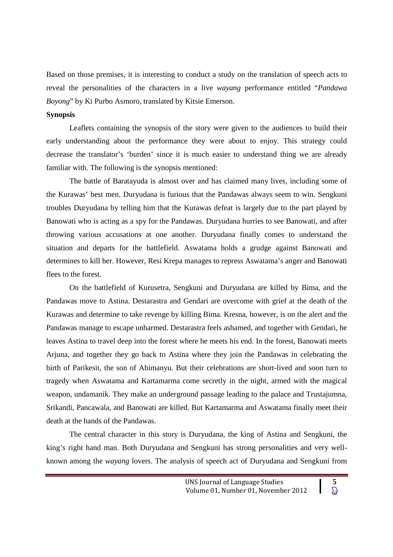Based on those premises, it is interesting to conduct a study on the translation of speech acts to reveal the personalities of the characters in a live *wayang* performance entitled "*Pandawa Boyong*" by Ki Purbo Asmoro, translated by Kitsie Emerson.

## **Synopsis**

Leaflets containing the synopsis of the story were given to the audiences to build their early understanding about the performance they were about to enjoy. This strategy could decrease the translator's 'burden' since it is much easier to understand thing we are already familiar with. The following is the synopsis mentioned:

The battle of Baratayuda is almost over and has claimed many lives, including some of the Kurawas' best men. Duryudana is furious that the Pandawas always seem to win. Sengkuni troubles Duryudana by telling him that the Kurawas defeat is largely due to the part played by Banowati who is acting as a spy for the Pandawas. Duryudana hurries to see Banowati, and after throwing various accusations at one another. Duryudana finally comes to understand the situation and departs for the battlefield. Aswatama holds a grudge against Banowati and determines to kill her. However, Resi Krepa manages to repress Aswatama's anger and Banowati flees to the forest.

On the battlefield of Kurusetra, Sengkuni and Duryudana are killed by Bima, and the Pandawas move to Astina. Destarastra and Gendari are overcome with grief at the death of the Kurawas and determine to take revenge by killing Bima. Kresna, however, is on the alert and the Pandawas manage to escape unharmed. Destarastra feels ashamed, and together with Gendari, he leaves Astina to travel deep into the forest where he meets his end. In the forest, Banowati meets Arjuna, and together they go back to Astina where they join the Pandawas in celebrating the birth of Parikesit, the son of Abimanyu. But their celebrations are short-lived and soon turn to tragedy when Aswatama and Kartamarma come secretly in the night, armed with the magical weapon, undamanik. They make an underground passage leading to the palace and Trustajumna, Srikandi, Pancawala, and Banowati are killed. But Kartamarma and Aswatama finally meet their death at the hands of the Pandawas.

The central character in this story is Duryudana, the king of Astina and Sengkuni, the king's right hand man. Both Duryudana and Sengkuni has strong personalities and very wellknown among the *wayang* lovers. The analysis of speech act of Duryudana and Sengkuni from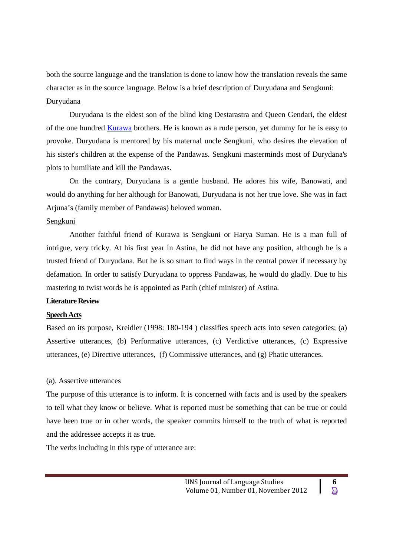both the source language and the translation is done to know how the translation reveals the same character as in the source language. Below is a brief description of Duryudana and Sengkuni: Duryudana

Duryudana is the eldest son of the blind king Destarastra and Queen Gendari, the eldest of the one hundred **Kurawa** brothers. He is known as a rude person, yet dummy for he is easy to provoke. Duryudana is mentored by his maternal uncle Sengkuni, who desires the elevation of his sister's children at the expense of the Pandawas. Sengkuni masterminds most of Durydana's plots to humiliate and kill the Pandawas.

On the contrary, Duryudana is a gentle husband. He adores his wife, Banowati, and would do anything for her although for Banowati, Duryudana is not her true love. She was in fact Arjuna's (family member of Pandawas) beloved woman.

# Sengkuni

Another faithful friend of Kurawa is Sengkuni or Harya Suman. He is a man full of intrigue, very tricky. At his first year in Astina, he did not have any position, although he is a trusted friend of Duryudana. But he is so smart to find ways in the central power if necessary by defamation. In order to satisfy Duryudana to oppress Pandawas, he would do gladly. Due to his mastering to twist words he is appointed as Patih (chief minister) of Astina.

## **Literature Review**

# **Speech Acts**

Based on its purpose, Kreidler (1998: 180-194 ) classifies speech acts into seven categories; (a) Assertive utterances, (b) Performative utterances, (c) Verdictive utterances, (c) Expressive utterances, (e) Directive utterances, (f) Commissive utterances, and (g) Phatic utterances.

# (a). Assertive utterances

The purpose of this utterance is to inform. It is concerned with facts and is used by the speakers to tell what they know or believe. What is reported must be something that can be true or could have been true or in other words, the speaker commits himself to the truth of what is reported and the addressee accepts it as true.

The verbs including in this type of utterance are: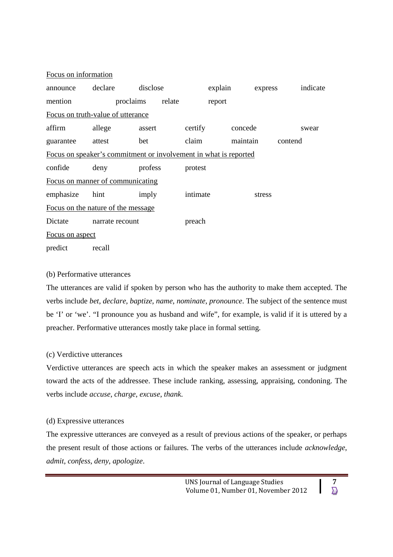| Focus on information |                                                                  |                  |          |         |          |         |         |          |
|----------------------|------------------------------------------------------------------|------------------|----------|---------|----------|---------|---------|----------|
| announce             | declare                                                          | disclose         |          | explain |          | express |         | indicate |
| mention              |                                                                  | proclaims relate |          | report  |          |         |         |          |
|                      | Focus on truth-value of utterance                                |                  |          |         |          |         |         |          |
| affirm               | allege                                                           | assert           | certify  |         | concede  |         |         | swear    |
| guarantee            | attest                                                           | bet              | claim    |         | maintain |         | contend |          |
|                      | Focus on speaker's commitment or involvement in what is reported |                  |          |         |          |         |         |          |
| confide              | deny                                                             | profess          | protest  |         |          |         |         |          |
|                      | Focus on manner of communicating                                 |                  |          |         |          |         |         |          |
| emphasize            | hint                                                             | imply            | intimate |         |          | stress  |         |          |
|                      | Focus on the nature of the message                               |                  |          |         |          |         |         |          |
| Dictate              | narrate recount                                                  |                  | preach   |         |          |         |         |          |
| Focus on aspect      |                                                                  |                  |          |         |          |         |         |          |
| predict              | recall                                                           |                  |          |         |          |         |         |          |

# (b) Performative utterances

The utterances are valid if spoken by person who has the authority to make them accepted. The verbs include *bet*, *declare*, *baptize*, *name*, *nominate*, *pronounce*. The subject of the sentence must be 'I' or 'we'. "I pronounce you as husband and wife", for example, is valid if it is uttered by a preacher. Performative utterances mostly take place in formal setting.

# (c) Verdictive utterances

Verdictive utterances are speech acts in which the speaker makes an assessment or judgment toward the acts of the addressee. These include ranking, assessing, appraising, condoning. The verbs include *accuse*, *charge*, *excuse*, *thank*.

# (d) Expressive utterances

The expressive utterances are conveyed as a result of previous actions of the speaker, or perhaps the present result of those actions or failures. The verbs of the utterances include *acknowledge*, *admit*, *confess*, *deny*, *apologize*.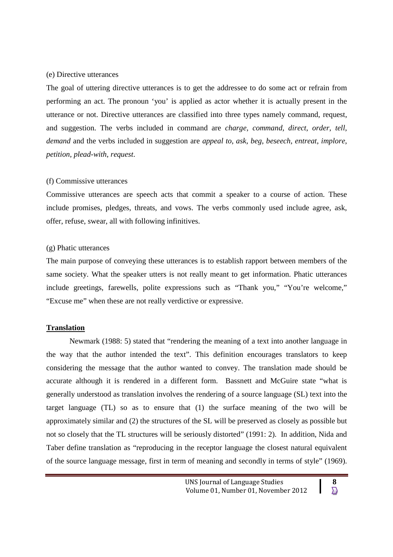#### (e) Directive utterances

The goal of uttering directive utterances is to get the addressee to do some act or refrain from performing an act. The pronoun 'you' is applied as actor whether it is actually present in the utterance or not. Directive utterances are classified into three types namely command, request, and suggestion. The verbs included in command are *charge*, *command*, *direct*, *order*, *tell*, *demand* and the verbs included in suggestion are *appeal to*, *ask*, *beg*, *beseech*, *entreat*, *implore*, *petition*, *plead*-*with*, *request*.

#### (f) Commissive utterances

Commissive utterances are speech acts that commit a speaker to a course of action. These include promises, pledges, threats, and vows. The verbs commonly used include agree, ask, offer, refuse, swear, all with following infinitives.

#### (g) Phatic utterances

The main purpose of conveying these utterances is to establish rapport between members of the same society. What the speaker utters is not really meant to get information. Phatic utterances include greetings, farewells, polite expressions such as "Thank you," "You're welcome," "Excuse me" when these are not really verdictive or expressive.

## **Translation**

Newmark (1988: 5) stated that "rendering the meaning of a text into another language in the way that the author intended the text". This definition encourages translators to keep considering the message that the author wanted to convey. The translation made should be accurate although it is rendered in a different form. Bassnett and McGuire state "what is generally understood as translation involves the rendering of a source language (SL) text into the target language (TL) so as to ensure that (1) the surface meaning of the two will be approximately similar and (2) the structures of the SL will be preserved as closely as possible but not so closely that the TL structures will be seriously distorted" (1991: 2). In addition, Nida and Taber define translation as "reproducing in the receptor language the closest natural equivalent of the source language message, first in term of meaning and secondly in terms of style" (1969).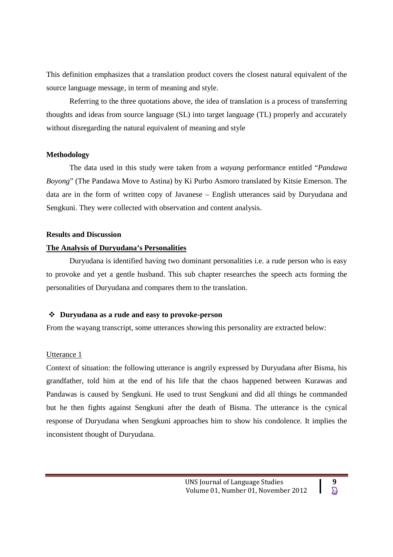This definition emphasizes that a translation product covers the closest natural equivalent of the source language message, in term of meaning and style.

Referring to the three quotations above, the idea of translation is a process of transferring thoughts and ideas from source language (SL) into target language (TL) properly and accurately without disregarding the natural equivalent of meaning and style

# **Methodology**

The data used in this study were taken from a *wayang* performance entitled "*Pandawa Boyong*" (The Pandawa Move to Astina) by Ki Purbo Asmoro translated by Kitsie Emerson. The data are in the form of written copy of Javanese – English utterances said by Duryudana and Sengkuni. They were collected with observation and content analysis.

## **Results and Discussion**

## **The Analysis of Duryudana's Personalities**

Duryudana is identified having two dominant personalities i.e. a rude person who is easy to provoke and yet a gentle husband. This sub chapter researches the speech acts forming the personalities of Duryudana and compares them to the translation.

## **Duryudana as a rude and easy to provoke-person**

From the wayang transcript, some utterances showing this personality are extracted below:

## Utterance 1

Context of situation: the following utterance is angrily expressed by Duryudana after Bisma, his grandfather, told him at the end of his life that the chaos happened between Kurawas and Pandawas is caused by Sengkuni. He used to trust Sengkuni and did all things he commanded but he then fights against Sengkuni after the death of Bisma. The utterance is the cynical response of Duryudana when Sengkuni approaches him to show his condolence. It implies the inconsistent thought of Duryudana.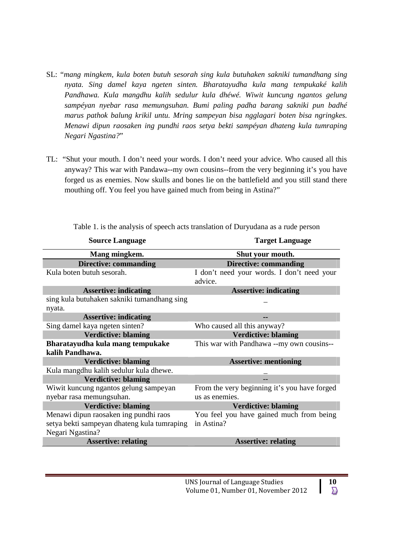- SL: "*mang mingkem, kula boten butuh sesorah sing kula butuhaken sakniki tumandhang sing nyata. Sing damel kaya ngeten sinten. Bharatayudha kula mang tempukaké kalih Pandhawa. Kula mangdhu kalih sedulur kula dhéwé. Wiwit kuncung ngantos gelung sampéyan nyebar rasa memungsuhan. Bumi paling padha barang sakniki pun badhé marus pathok balung krikil untu. Mring sampeyan bisa ngglagari boten bisa ngringkes. Menawi dipun raosaken ing pundhi raos setya bekti sampéyan dhateng kula tumraping Negari Ngastina?*"
- TL: "Shut your mouth. I don't need your words. I don't need your advice. Who caused all this anyway? This war with Pandawa--my own cousins--from the very beginning it's you have forged us as enemies. Now skulls and bones lie on the battlefield and you still stand there mouthing off. You feel you have gained much from being in Astina?"

| <b>Source Language</b>                      | <b>Target Language</b>                       |
|---------------------------------------------|----------------------------------------------|
| Mang mingkem.                               | Shut your mouth.                             |
| <b>Directive: commanding</b>                | <b>Directive: commanding</b>                 |
| Kula boten butuh sesorah.                   | I don't need your words. I don't need your   |
|                                             | advice.                                      |
| <b>Assertive: indicating</b>                | <b>Assertive: indicating</b>                 |
| sing kula butuhaken sakniki tumandhang sing |                                              |
| nyata.                                      |                                              |
| <b>Assertive: indicating</b>                |                                              |
| Sing damel kaya ngeten sinten?              | Who caused all this anyway?                  |
| <b>Verdictive: blaming</b>                  | <b>Verdictive: blaming</b>                   |
| Bharatayudha kula mang tempukake            | This war with Pandhawa --my own cousins--    |
| kalih Pandhawa.                             |                                              |
| <b>Verdictive: blaming</b>                  | <b>Assertive: mentioning</b>                 |
| Kula mangdhu kalih sedulur kula dhewe.      |                                              |
| <b>Verdictive: blaming</b>                  |                                              |
| Wiwit kuncung ngantos gelung sampeyan       | From the very beginning it's you have forged |
| nyebar rasa memungsuhan.                    | us as enemies.                               |
| <b>Verdictive: blaming</b>                  | <b>Verdictive: blaming</b>                   |
| Menawi dipun raosaken ing pundhi raos       | You feel you have gained much from being     |
| setya bekti sampeyan dhateng kula tumraping | in Astina?                                   |
| Negari Ngastina?                            |                                              |
| <b>Assertive: relating</b>                  | <b>Assertive: relating</b>                   |

Table 1. is the analysis of speech acts translation of Duryudana as a rude person

| UNS Journal of Language Studies     | 10 |
|-------------------------------------|----|
| Volume 01, Number 01, November 2012 |    |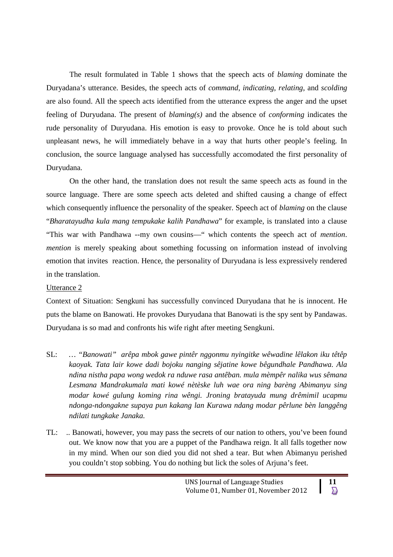The result formulated in Table 1 shows that the speech acts of *blaming* dominate the Duryadana's utterance. Besides, the speech acts of *command*, *indicating*, *relating*, and *scolding* are also found. All the speech acts identified from the utterance express the anger and the upset feeling of Duryudana. The present of *blaming(s)* and the absence of *conforming* indicates the rude personality of Duryudana. His emotion is easy to provoke. Once he is told about such unpleasant news, he will immediately behave in a way that hurts other people's feeling. In conclusion, the source language analysed has successfully accomodated the first personality of Duryudana.

On the other hand, the translation does not result the same speech acts as found in the source language. There are some speech acts deleted and shifted causing a change of effect which consequently influence the personality of the speaker. Speech act of *blaming* on the clause "*Bharatayudha kula mang tempukake kalih Pandhawa*" for example, is translated into a clause "This war with Pandhawa --my own cousins—" which contents the speech act of *mention*. *mention* is merely speaking about something focussing on information instead of involving emotion that invites reaction. Hence, the personality of Duryudana is less expressively rendered in the translation.

# Utterance 2

Context of Situation: Sengkuni has successfully convinced Duryudana that he is innocent. He puts the blame on Banowati. He provokes Duryudana that Banowati is the spy sent by Pandawas. Duryudana is so mad and confronts his wife right after meeting Sengkuni.

- SL: *… "Banowati" arêpa mbok gawe pintêr nggonmu nyingitke wêwadine lêlakon iku têtêp kaoyak. Tata lair kowe dadi bojoku nanging sêjatine kowe bêgundhale Pandhawa. Ala ndina nistha papa wong wedok ra nduwe rasa antêban. mula mèmpêr nalika wus sêmana Lesmana Mandrakumala mati kowé nètèske luh wae ora ning barèng Abimanyu sing modar kowé gulung koming rina wêngi. Jroning bratayuda mung drêmimil ucapmu ndonga-ndongakne supaya pun kakang lan Kurawa ndang modar pêrlune bèn langgêng ndilati tungkake Janaka.*
- TL: .. Banowati, however, you may pass the secrets of our nation to others, you've been found out. We know now that you are a puppet of the Pandhawa reign. It all falls together now in my mind. When our son died you did not shed a tear. But when Abimanyu perished you couldn't stop sobbing. You do nothing but lick the soles of Arjuna's feet.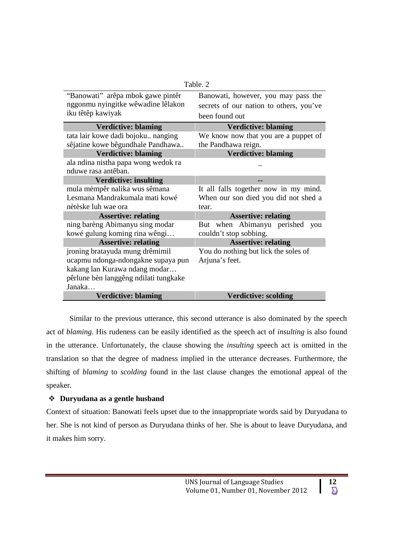|                                       | Table. 2                                |
|---------------------------------------|-----------------------------------------|
| "Banowati" arêpa mbok gawe pintêr     | Banowati, however, you may pass the     |
| nggonmu nyingitke wêwadine lêlakon    | secrets of our nation to others, you've |
| iku têtêp kawiyak                     | been found out                          |
| <b>Verdictive: blaming</b>            | <b>Verdictive: blaming</b>              |
| tata lair kowe dadi bojoku nanging    | We know now that you are a puppet of    |
| sêjatine kowe bêgundhale Pandhawa     | the Pandhawa reign.                     |
| <b>Verdictive: blaming</b>            | <b>Verdictive: blaming</b>              |
| ala ndina nistha papa wong wedok ra   |                                         |
| nduwe rasa antêban.                   |                                         |
| <b>Verdictive: insulting</b>          |                                         |
| mula mèmpêr nalika wus sêmana         | It all falls together now in my mind.   |
| Lesmana Mandrakumala mati kowé        | When our son died you did not shed a    |
| nètèske luh wae ora                   | tear.                                   |
| <b>Assertive: relating</b>            | <b>Assertive: relating</b>              |
| ning barèng Abimanyu sing modar       | But when Abimanyu perished you          |
| kowé gulung koming rina wêngi         | couldn't stop sobbing.                  |
| <b>Assertive: relating</b>            | <b>Assertive: relating</b>              |
| jroning bratayuda mung drêmimil       | You do nothing but lick the soles of    |
| ucapmu ndonga-ndongakne supaya pun    | Arjuna's feet.                          |
| kakang lan Kurawa ndang modar         |                                         |
| pêrlune bèn langgêng ndilati tungkake |                                         |
| Janaka                                |                                         |
| <b>Verdictive: blaming</b>            | <b>Verdictive: scolding</b>             |

Similar to the previous utterance, this second utterance is also dominated by the speech act of *blaming*. His rudeness can be easily identified as the speech act of *insulting* is also found in the utterance. Unfortunately, the clause showing the *insulting* speech act is omitted in the translation so that the degree of madness implied in the utterance decreases. Furthermore, the shifting of *blaming* to *scolding* found in the last clause changes the emotional appeal of the speaker.

# **Duryudana as a gentle husband**

Context of situation: Banowati feels upset due to the innappropriate words said by Duryudana to her. She is not kind of person as Duryudana thinks of her. She is about to leave Duryudana, and it makes him sorry.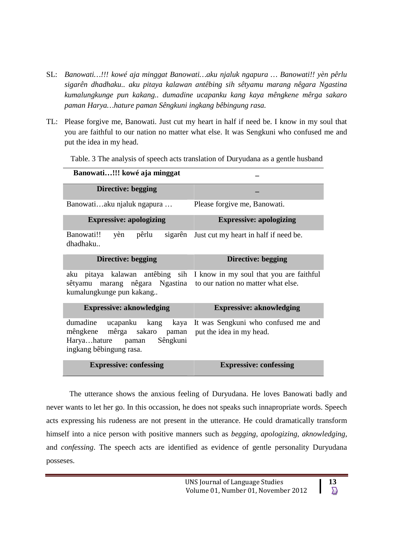- SL: *Banowati…!!! kowé aja minggat Banowati…aku njaluk ngapura … Banowati!! yèn pêrlu sigarên dhadhaku.. aku pitaya kalawan antêbing sih sêtyamu marang nêgara Ngastina kumalungkunge pun kakang.. dumadine ucapanku kang kaya mêngkene mêrga sakaro paman Harya…hature paman Sêngkuni ingkang bêbingung rasa.*
- TL: Please forgive me, Banowati. Just cut my heart in half if need be. I know in my soul that you are faithful to our nation no matter what else. It was Sengkuni who confused me and put the idea in my head.

| Banowati!!! kowé aja minggat                                                                                  |                                                                         |
|---------------------------------------------------------------------------------------------------------------|-------------------------------------------------------------------------|
| Directive: begging                                                                                            |                                                                         |
| Banowatiaku njaluk ngapura                                                                                    | Please forgive me, Banowati.                                            |
| <b>Expressive: apologizing</b>                                                                                | <b>Expressive: apologizing</b>                                          |
| Banowati!!<br>pêrlu<br>yèn<br>dhadhaku                                                                        | sigarên Just cut my heart in half if need be.                           |
| <b>Directive: begging</b>                                                                                     | Directive: begging                                                      |
| sêtyamu marang nêgara Ngastina to our nation no matter what else.<br>kumalungkunge pun kakang                 | aku pitaya kalawan antêbing sih I know in my soul that you are faithful |
| <b>Expressive: aknowledging</b>                                                                               | <b>Expressive: aknowledging</b>                                         |
| mêngkene mêrga sakaro paman put the idea in my head.<br>Haryahature paman Sêngkuni<br>ingkang bêbingung rasa. | dumadine ucapanku kang kaya It was Sengkuni who confused me and         |
| <b>Expressive: confessing</b>                                                                                 | <b>Expressive: confessing</b>                                           |

Table. 3 The analysis of speech acts translation of Duryudana as a gentle husband

The utterance shows the anxious feeling of Duryudana. He loves Banowati badly and never wants to let her go. In this occassion, he does not speaks such innapropriate words. Speech acts expressing his rudeness are not present in the utterance. He could dramatically transform himself into a nice person with positive manners such as *begging*, *apologizing*, *aknowledging*, and *confessing*. The speech acts are identified as evidence of gentle personality Duryudana posseses.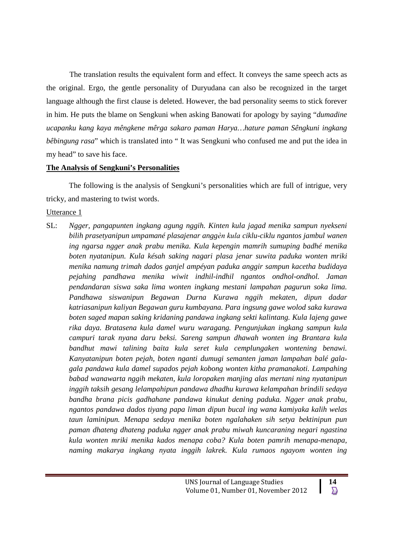The translation results the equivalent form and effect. It conveys the same speech acts as the original. Ergo, the gentle personality of Duryudana can also be recognized in the target language although the first clause is deleted. However, the bad personality seems to stick forever in him. He puts the blame on Sengkuni when asking Banowati for apology by saying "*dumadine ucapanku kang kaya mêngkene mêrga sakaro paman Harya…hature paman Sêngkuni ingkang bêbingung rasa*" which is translated into " It was Sengkuni who confused me and put the idea in my head" to save his face.

## **The Analysis of Sengkuni's Personalities**

The following is the analysis of Sengkuni's personalities which are full of intrigue, very tricky, and mastering to twist words.

# Utterance 1

SL: *Ngger, pangapunten ingkang agung nggih. Kinten kula jagad menika sampun nyekseni bilih prasetyanipun umpamané plasajenar anggѐn kula ciklu-ciklu ngantos jambul wanen ing ngarsa ngger anak prabu menika. Kula kepengin mamrih sumuping badhé menika boten nyatanipun. Kula késah saking nagari plasa jenar suwita paduka wonten mriki menika namung trimah dados ganjel ampéyan paduka anggir sampun kacetha budidaya pejahing pandhawa menika wiwit indhil-indhil ngantos ondhol-ondhol. Jaman pendandaran siswa saka lima wonten ingkang mestani lampahan pagurun soka lima. Pandhawa siswanipun Begawan Durna Kurawa nggih mekaten, dipun dadar katriasanipun kaliyan Begawan guru kumbayana. Para ingsung gawe wolod saka kurawa boten saged mapan saking kridaning pandawa ingkang sekti kalintang. Kula lajeng gawe rika daya. Bratasena kula damel wuru waragang. Pengunjukan ingkang sampun kula campuri tarak nyana daru beksi. Sareng sampun dhawah wonten ing Brantara kula bandhut mawi talining baita kula seret kula cemplungaken wontening benawi. Kanyatanipun boten pejah, boten nganti dumugi semanten jaman lampahan balé galagala pandawa kula damel supados pejah kobong wonten kitha pramanakoti. Lampahing babad wanawarta nggih mekaten, kula loropaken manjing alas mertani ning nyatanipun inggih taksih gesang lelampahipun pandawa dhadhu kurawa kelampahan brindili sedaya bandha brana picis gadhahane pandawa kinukut dening paduka. Ngger anak prabu, ngantos pandawa dados tiyang papa liman dipun bucal ing wana kamiyaka kalih welas taun laminipun. Menapa sedaya menika boten ngalahaken sih setya bektinipun pun paman dhateng dhateng paduka ngger anak prabu miwah kuncaraning negari ngastina kula wonten mriki menika kados menapa coba? Kula boten pamrih menapa-menapa, naming makarya ingkang nyata inggih lakrek. Kula rumaos ngayom wonten ing*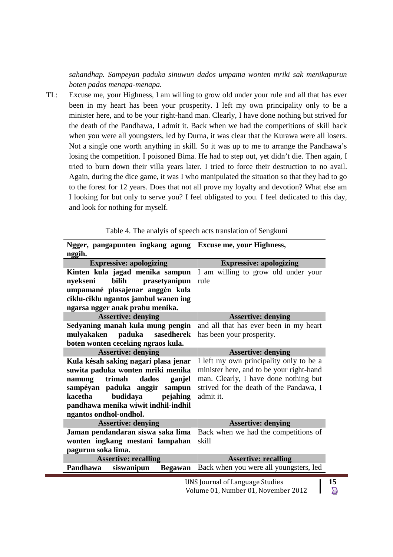*sahandhap. Sampeyan paduka sinuwun dados umpama wonten mriki sak menikapurun boten pados menapa-menapa.*

TL: Excuse me, your Highness, I am willing to grow old under your rule and all that has ever been in my heart has been your prosperity. I left my own principality only to be a minister here, and to be your right-hand man. Clearly, I have done nothing but strived for the death of the Pandhawa, I admit it. Back when we had the competitions of skill back when you were all youngsters, led by Durna, it was clear that the Kurawa were all losers. Not a single one worth anything in skill. So it was up to me to arrange the Pandhawa's losing the competition. I poisoned Bima. He had to step out, yet didn't die. Then again, I tried to burn down their villa years later. I tried to force their destruction to no avail. Again, during the dice game, it was I who manipulated the situation so that they had to go to the forest for 12 years. Does that not all prove my loyalty and devotion? What else am I looking for but only to serve you? I feel obligated to you. I feel dedicated to this day, and look for nothing for myself.

| Ngger, pangapunten ingkang agung Excuse me, your Highness,<br>nggih. |                                          |
|----------------------------------------------------------------------|------------------------------------------|
| <b>Expressive: apologizing</b>                                       | <b>Expressive: apologizing</b>           |
| Kinten kula jagad menika sampun                                      | I am willing to grow old under your      |
| bilih<br>prasetyanipun<br>nyekseni                                   | rule                                     |
| umpamané plasajenar anggèn kula                                      |                                          |
| ciklu-ciklu ngantos jambul wanen ing                                 |                                          |
| ngarsa ngger anak prabu menika.                                      |                                          |
| <b>Assertive: denying</b>                                            | <b>Assertive: denying</b>                |
| Sedyaning manah kula mung pengin                                     | and all that has ever been in my heart   |
| mulyakaken<br>paduka<br>sasedherek                                   | has been your prosperity.                |
| boten wonten ceceking ngraos kula.                                   |                                          |
| <b>Assertive: denying</b>                                            | <b>Assertive: denying</b>                |
| Kula késah saking nagari plasa jenar                                 | I left my own principality only to be a  |
| suwita paduka wonten mriki menika                                    | minister here, and to be your right-hand |
| trimah<br>dados<br>ganjel<br>namung                                  | man. Clearly, I have done nothing but    |
| sampéyan paduka anggir sampun                                        | strived for the death of the Pandawa, I  |
| kacetha<br>budidaya<br>pejahing                                      | admit it.                                |
| pandhawa menika wiwit indhil-indhil                                  |                                          |
| ngantos ondhol-ondhol.                                               |                                          |
| <b>Assertive: denying</b>                                            | <b>Assertive: denying</b>                |
| Jaman pendandaran siswa saka lima                                    | Back when we had the competitions of     |
| wonten ingkang mestani lampahan                                      | skill                                    |
| pagurun soka lima.                                                   |                                          |
| <b>Assertive: recalling</b>                                          | <b>Assertive: recalling</b>              |
| Pandhawa<br>siswanipun<br><b>Begawan</b>                             | Back when you were all youngsters, led   |
|                                                                      | 15<br>UNS Journal of Language Studies    |

Table 4. The analyis of speech acts translation of Sengkuni

Volume 01, Number 01, November 2012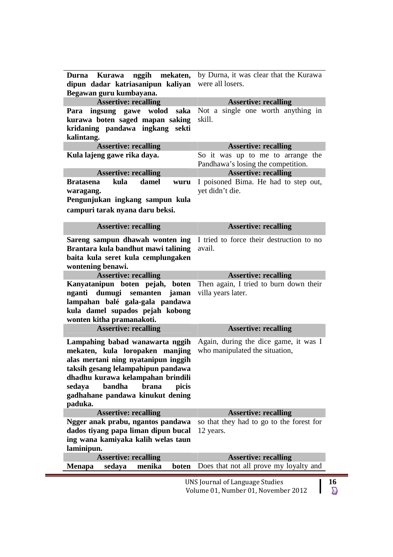| Durna Kurawa<br>nggih mekaten,                                                                                                                                                                                                                                            | by Durna, it was clear that the Kurawa<br>were all losers.                          |
|---------------------------------------------------------------------------------------------------------------------------------------------------------------------------------------------------------------------------------------------------------------------------|-------------------------------------------------------------------------------------|
| dipun dadar katriasanipun kaliyan<br>Begawan guru kumbayana.                                                                                                                                                                                                              |                                                                                     |
| <b>Assertive: recalling</b>                                                                                                                                                                                                                                               | <b>Assertive: recalling</b>                                                         |
| saka<br>ingsung gawe wolod<br>Para<br>kurawa boten saged mapan saking<br>kridaning pandawa ingkang sekti<br>kalintang.                                                                                                                                                    | Not a single one worth anything in<br>skill.                                        |
| <b>Assertive: recalling</b>                                                                                                                                                                                                                                               | <b>Assertive: recalling</b>                                                         |
| Kula lajeng gawe rika daya.                                                                                                                                                                                                                                               | So it was up to me to arrange the<br>Pandhawa's losing the competition.             |
| <b>Assertive: recalling</b>                                                                                                                                                                                                                                               | <b>Assertive: recalling</b>                                                         |
| <b>Bratasena</b><br>kula<br>damel<br>wuru<br>waragang.<br>Pengunjukan ingkang sampun kula<br>campuri tarak nyana daru beksi.                                                                                                                                              | I poisoned Bima. He had to step out,<br>yet didn't die.                             |
| <b>Assertive: recalling</b>                                                                                                                                                                                                                                               | <b>Assertive: recalling</b>                                                         |
| Sareng sampun dhawah wonten ing                                                                                                                                                                                                                                           | I tried to force their destruction to no                                            |
| Brantara kula bandhut mawi talining<br>baita kula seret kula cemplungaken<br>wontening benawi.                                                                                                                                                                            | avail.                                                                              |
| <b>Assertive: recalling</b>                                                                                                                                                                                                                                               | <b>Assertive: recalling</b>                                                         |
| boten<br>Kanyatanipun boten pejah,<br>dumugi semanten<br>nganti<br>jaman<br>lampahan balé gala-gala pandawa<br>kula damel supados pejah kobong<br>wonten kitha pramanakoti.                                                                                               | Then again, I tried to burn down their<br>villa years later.                        |
| <b>Assertive: recalling</b>                                                                                                                                                                                                                                               | <b>Assertive: recalling</b>                                                         |
| Lampahing babad wanawarta nggih<br>mekaten, kula loropaken manjing<br>alas mertani ning nyatanipun inggih<br>taksih gesang lelampahipun pandawa<br>dhadhu kurawa kelampahan brindili<br>bandha<br>sedaya<br>picis<br>brana<br>gadhahane pandawa kinukut dening<br>paduka. | Again, during the dice game, it was I<br>who manipulated the situation,             |
| <b>Assertive: recalling</b>                                                                                                                                                                                                                                               | <b>Assertive: recalling</b>                                                         |
| Ngger anak prabu, ngantos pandawa<br>dados tiyang papa liman dipun bucal<br>ing wana kamiyaka kalih welas taun<br>laminipun.                                                                                                                                              | so that they had to go to the forest for<br>12 years.                               |
| <b>Assertive: recalling</b>                                                                                                                                                                                                                                               | <b>Assertive: recalling</b>                                                         |
| sedaya<br>menika<br><b>Menapa</b><br>boten                                                                                                                                                                                                                                | Does that not all prove my loyalty and                                              |
|                                                                                                                                                                                                                                                                           | <b>UNS Journal of Language Studies</b><br>16<br>Volume 01, Number 01, November 2012 |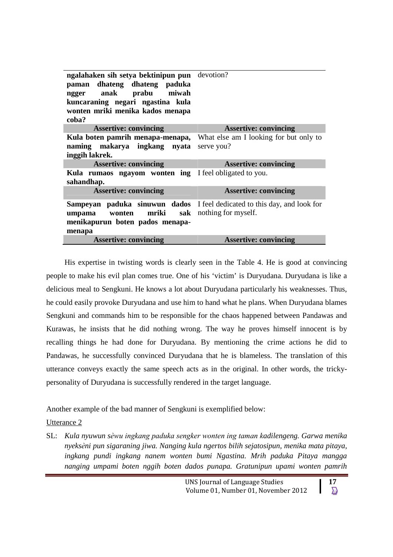| ngalahaken sih setya bektinipun pun devotion?<br>paman dhateng dhateng paduka<br>ngger anak prabu miwah<br>kuncaraning negari ngastina kula<br>wonten mriki menika kados menapa<br>coba? |                                                                                                            |
|------------------------------------------------------------------------------------------------------------------------------------------------------------------------------------------|------------------------------------------------------------------------------------------------------------|
| <b>Assertive: convincing</b>                                                                                                                                                             | <b>Assertive: convincing</b>                                                                               |
| Kula boten pamrih menapa-menapa,<br>naming makarya ingkang nyata<br>inggih lakrek.                                                                                                       | What else am I looking for but only to<br>serve you?                                                       |
| <b>Assertive: convincing</b>                                                                                                                                                             | <b>Assertive: convincing</b>                                                                               |
| Kula rumaos ngayom wonten ing I feel obligated to you.<br>sahandhap.                                                                                                                     |                                                                                                            |
| <b>Assertive: convincing</b>                                                                                                                                                             | <b>Assertive: convincing</b>                                                                               |
| wonten mriki<br>umpama<br>menikapurun boten pados menapa-<br>menapa                                                                                                                      | <b>Sampeyan paduka sinuwun dados</b> I feel dedicated to this day, and look for<br>sak nothing for myself. |
| <b>Assertive: convincing</b>                                                                                                                                                             | <b>Assertive: convincing</b>                                                                               |

His expertise in twisting words is clearly seen in the Table 4. He is good at convincing people to make his evil plan comes true. One of his 'victim' is Duryudana. Duryudana is like a delicious meal to Sengkuni. He knows a lot about Duryudana particularly his weaknesses. Thus, he could easily provoke Duryudana and use him to hand what he plans. When Duryudana blames Sengkuni and commands him to be responsible for the chaos happened between Pandawas and Kurawas, he insists that he did nothing wrong. The way he proves himself innocent is by recalling things he had done for Duryudana. By mentioning the crime actions he did to Pandawas, he successfully convinced Duryudana that he is blameless. The translation of this utterance conveys exactly the same speech acts as in the original. In other words, the trickypersonality of Duryudana is successfully rendered in the target language.

Another example of the bad manner of Sengkuni is exemplified below:

# Utterance 2

SL: *Kula nyuwun sѐwu ingkang paduka sengker wonten ing taman kadilengeng. Garwa menika nyeksѐni pun sigaraning jiwa. Nanging kula ngertos bilih sejatosipun, menika mata pitaya, ingkang pundi ingkang nanem wonten bumi Ngastina. Mrih paduka Pitaya mangga nanging umpami boten nggih boten dados punapa. Gratunipun upami wonten pamrih*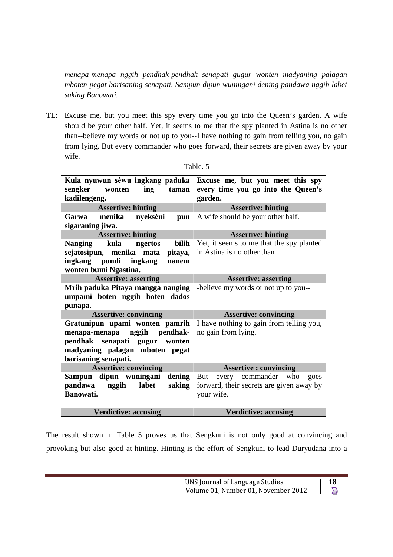*menapa-menapa nggih pendhak-pendhak senapati gugur wonten madyaning palagan mboten pegat barisaning senapati. Sampun dipun wuningani dening pandawa nggih labet saking Banowati.*

TL: Excuse me, but you meet this spy every time you go into the Queen's garden. A wife should be your other half. Yet, it seems to me that the spy planted in Astina is no other than--believe my words or not up to you--I have nothing to gain from telling you, no gain from lying. But every commander who goes forward, their secrets are given away by your wife.

| wonten<br>taman<br>sengker<br>ing<br>kadilengeng.                      | Kula nyuwun sèwu ingkang paduka Excuse me, but you meet this spy<br>every time you go into the Queen's<br>garden. |
|------------------------------------------------------------------------|-------------------------------------------------------------------------------------------------------------------|
| <b>Assertive: hinting</b>                                              | <b>Assertive: hinting</b>                                                                                         |
| menika<br>nyeksèni<br>Garwa<br>pun                                     | A wife should be your other half.                                                                                 |
| sigaraning jiwa.                                                       |                                                                                                                   |
| <b>Assertive: hinting</b>                                              | <b>Assertive: hinting</b>                                                                                         |
| ngertos<br><b>Nanging</b><br>kula                                      | <b>bilih</b> Yet, it seems to me that the spy planted                                                             |
| sejatosipun, menika mata pitaya, in Astina is no other than            |                                                                                                                   |
| ingkang pundi ingkang<br>nanem                                         |                                                                                                                   |
| wonten bumi Ngastina.                                                  |                                                                                                                   |
| <b>Assertive: asserting</b>                                            | <b>Assertive: asserting</b>                                                                                       |
| Mrih paduka Pitaya mangga nanging -believe my words or not up to you-- |                                                                                                                   |
| umpami boten nggih boten dados                                         |                                                                                                                   |
| punapa.                                                                |                                                                                                                   |
| <b>Assertive: convincing</b>                                           | <b>Assertive: convincing</b>                                                                                      |
|                                                                        | Gratunipun upami wonten pamrih I have nothing to gain from telling you,                                           |
| menapa-menapa nggih pendhak-                                           | no gain from lying.                                                                                               |
| pendhak senapati gugur wonten                                          |                                                                                                                   |
| madyaning palagan mboten pegat                                         |                                                                                                                   |
| barisaning senapati.                                                   |                                                                                                                   |
| <b>Assertive: convincing</b>                                           | <b>Assertive : convincing</b>                                                                                     |
| Sampun dipun wuningani dening But                                      | every commander who<br>goes                                                                                       |
| pandawa nggih<br>labet<br>saking                                       | forward, their secrets are given away by                                                                          |
| Banowati.                                                              | your wife.                                                                                                        |
|                                                                        |                                                                                                                   |
| <b>Verdictive: accusing</b>                                            | <b>Verdictive: accusing</b>                                                                                       |

Table. 5

The result shown in Table 5 proves us that Sengkuni is not only good at convincing and provoking but also good at hinting. Hinting is the effort of Sengkuni to lead Duryudana into a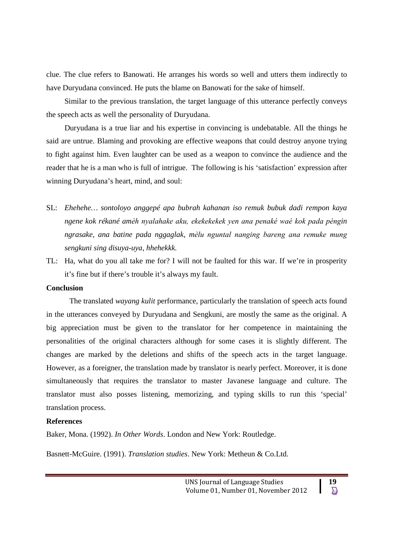clue. The clue refers to Banowati. He arranges his words so well and utters them indirectly to have Duryudana convinced. He puts the blame on Banowati for the sake of himself.

Similar to the previous translation, the target language of this utterance perfectly conveys the speech acts as well the personality of Duryudana.

Duryudana is a true liar and his expertise in convincing is undebatable. All the things he said are untrue. Blaming and provoking are effective weapons that could destroy anyone trying to fight against him. Even laughter can be used as a weapon to convince the audience and the reader that he is a man who is full of intrigue. The following is his 'satisfaction' expression after winning Duryudana's heart, mind, and soul:

- SL: *Ehehehe… sontoloyo anggepé apa bubrah kahanan iso remuk bubuk dadi rempon kaya ngene kok rékané amѐh nyalahake aku, ekekekekek yen ana penaké waé kok pada péngin ngrasake, ana batine pada nggaglak, mѐlu nguntal nanging bareng ana remuke mung sengkuni sing disuya-uya, hhehekkk.*
- TL: Ha, what do you all take me for? I will not be faulted for this war. If we're in prosperity it's fine but if there's trouble it's always my fault.

## **Conclusion**

The translated *wayang kulit* performance, particularly the translation of speech acts found in the utterances conveyed by Duryudana and Sengkuni, are mostly the same as the original. A big appreciation must be given to the translator for her competence in maintaining the personalities of the original characters although for some cases it is slightly different. The changes are marked by the deletions and shifts of the speech acts in the target language. However, as a foreigner, the translation made by translator is nearly perfect. Moreover, it is done simultaneously that requires the translator to master Javanese language and culture. The translator must also posses listening, memorizing, and typing skills to run this 'special' translation process.

#### **References**

Baker, Mona. (1992). *In Other Words*. London and New York: Routledge.

Basnett-McGuire. (1991). *Translation studies*. New York: Metheun & Co.Ltd.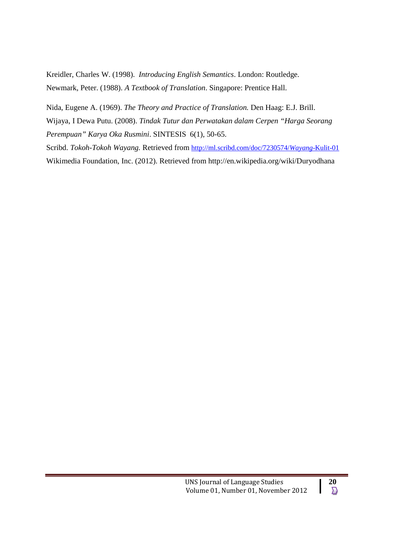Kreidler, Charles W. (1998). *Introducing English Semantics*. London: Routledge. Newmark, Peter. (1988). *A Textbook of Translation*. Singapore: Prentice Hall.

Nida, Eugene A. (1969). *The Theory and Practice of Translation.* Den Haag: E.J. Brill. Wijaya, I Dewa Putu. (2008). *Tindak Tutur dan Perwatakan dalam Cerpen "Harga Seorang Perempuan" Karya Oka Rusmini*. SINTESIS 6(1), 50-65.

Scribd. *Tokoh-Tokoh Wayang.* Retrieved from http://ml.scribd.com/doc/7230574/*Wayang*-Kulit-01 Wikimedia Foundation, Inc. (2012). Retrieved from http://en.wikipedia.org/wiki/Duryodhana

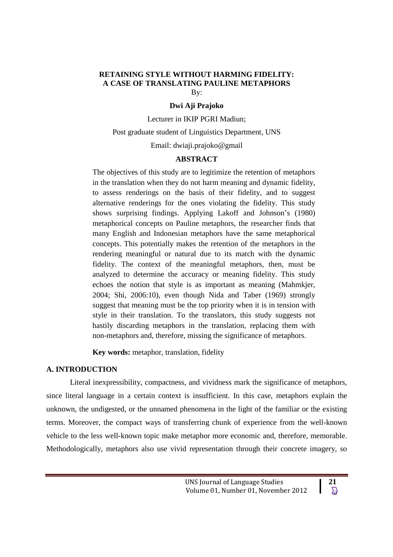## **RETAINING STYLE WITHOUT HARMING FIDELITY: A CASE OF TRANSLATING PAULINE METAPHORS** By:

#### **Dwi Aji Prajoko**

Lecturer in IKIP PGRI Madiun;

Post graduate student of Linguistics Department, UNS

Email: dwiaji.prajoko@gmail

# **ABSTRACT**

The objectives of this study are to legitimize the retention of metaphors in the translation when they do not harm meaning and dynamic fidelity, to assess renderings on the basis of their fidelity, and to suggest alternative renderings for the ones violating the fidelity. This study shows surprising findings. Applying Lakoff and Johnson's (1980) metaphorical concepts on Pauline metaphors, the researcher finds that many English and Indonesian metaphors have the same metaphorical concepts. This potentially makes the retention of the metaphors in the rendering meaningful or natural due to its match with the dynamic fidelity. The context of the meaningful metaphors, then, must be analyzed to determine the accuracy or meaning fidelity. This study echoes the notion that style is as important as meaning (Mahmkjer, 2004; Shi, 2006:10), even though Nida and Taber (1969) strongly suggest that meaning must be the top priority when it is in tension with style in their translation. To the translators, this study suggests not hastily discarding metaphors in the translation, replacing them with non-metaphors and, therefore, missing the significance of metaphors.

**Key words:** metaphor, translation, fidelity

## **A. INTRODUCTION**

Literal inexpressibility, compactness, and vividness mark the significance of metaphors, since literal language in a certain context is insufficient. In this case, metaphors explain the unknown, the undigested, or the unnamed phenomena in the light of the familiar or the existing terms. Moreover, the compact ways of transferring chunk of experience from the well-known vehicle to the less well-known topic make metaphor more economic and, therefore, memorable. Methodologically, metaphors also use vivid representation through their concrete imagery, so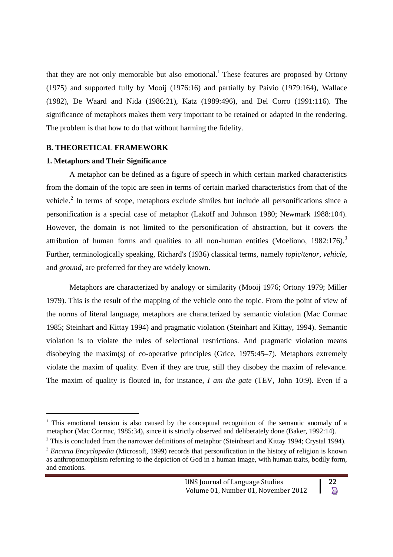that they are not only memorable but also emotional.<sup>1</sup> These features are proposed by Ortony (1975) and supported fully by Mooij (1976:16) and partially by Paivio (1979:164), Wallace (1982), De Waard and Nida (1986:21), Katz (1989:496), and Del Corro (1991:116). The significance of metaphors makes them very important to be retained or adapted in the rendering. The problem is that how to do that without harming the fidelity.

## **B. THEORETICAL FRAMEWORK**

## **1. Metaphors and Their Significance**

A metaphor can be defined as a figure of speech in which certain marked characteristics from the domain of the topic are seen in terms of certain marked characteristics from that of the vehicle.<sup>2</sup> In terms of scope, metaphors exclude similes but include all personifications since a personification is a special case of metaphor (Lakoff and Johnson 1980; Newmark 1988:104). However, the domain is not limited to the personification of abstraction, but it covers the attribution of human forms and qualities to all non-human entities (Moeliono,  $1982:176$ ).<sup>3</sup> Further, terminologically speaking, Richard's (1936) classical terms, namely *topic*/*tenor*, *vehicle*, and *ground,* are preferred for they are widely known.

Metaphors are characterized by analogy or similarity (Mooij 1976; Ortony 1979; Miller 1979). This is the result of the mapping of the vehicle onto the topic. From the point of view of the norms of literal language, metaphors are characterized by semantic violation (Mac Cormac 1985; Steinhart and Kittay 1994) and pragmatic violation (Steinhart and Kittay, 1994). Semantic violation is to violate the rules of selectional restrictions. And pragmatic violation means disobeying the maxim(s) of co-operative principles (Grice, 1975:45–7). Metaphors extremely violate the maxim of quality. Even if they are true, still they disobey the maxim of relevance. The maxim of quality is flouted in, for instance, *I am the gate* (TEV, John 10:9). Even if a

<sup>&</sup>lt;sup>1</sup> This emotional tension is also caused by the conceptual recognition of the semantic anomaly of a metaphor (Mac Cormac, 1985:34), since it is strictly observed and deliberately done (Baker, 1992:14).

 $2$  This is concluded from the narrower definitions of metaphor (Steinheart and Kittay 1994; Crystal 1994).

<sup>&</sup>lt;sup>3</sup> *Encarta Encyclopedia* (Microsoft, 1999) records that personification in the history of religion is known as anthropomorphism referring to the depiction of God in a human image, with human traits, bodily form, and emotions.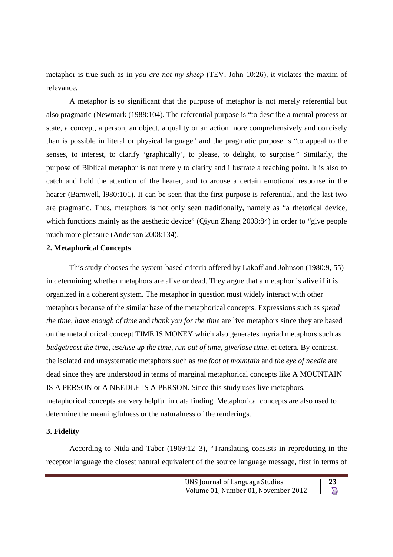metaphor is true such as in *you are not my sheep* (TEV, John 10:26), it violates the maxim of relevance.

A metaphor is so significant that the purpose of metaphor is not merely referential but also pragmatic (Newmark (1988:104). The referential purpose is "to describe a mental process or state, a concept, a person, an object, a quality or an action more comprehensively and concisely than is possible in literal or physical language" and the pragmatic purpose is "to appeal to the senses, to interest, to clarify 'graphically', to please, to delight, to surprise." Similarly, the purpose of Biblical metaphor is not merely to clarify and illustrate a teaching point. It is also to catch and hold the attention of the hearer, and to arouse a certain emotional response in the hearer (Barnwell, l980:101). It can be seen that the first purpose is referential, and the last two are pragmatic. Thus, metaphors is not only seen traditionally, namely as "a rhetorical device, which functions mainly as the aesthetic device" (Qiyun Zhang 2008:84) in order to "give people much more pleasure (Anderson 2008:134).

# **2. Metaphorical Concepts**

This study chooses the system-based criteria offered by Lakoff and Johnson (1980:9, 55) in determining whether metaphors are alive or dead. They argue that a metaphor is alive if it is organized in a coherent system. The metaphor in question must widely interact with other metaphors because of the similar base of the metaphorical concepts. Expressions such as *spend the time*, *have enough of time* and *thank you for the time* are live metaphors since they are based on the metaphorical concept TIME IS MONEY which also generates myriad metaphors such as *budget*/*cost the time*, *use/use up the time*, *run out of time*, *give*/*lose time*, et cetera. By contrast, the isolated and unsystematic metaphors such as *the foot of mountain* and *the eye of needle* are dead since they are understood in terms of marginal metaphorical concepts like A MOUNTAIN IS A PERSON or A NEEDLE IS A PERSON. Since this study uses live metaphors, metaphorical concepts are very helpful in data finding. Metaphorical concepts are also used to determine the meaningfulness or the naturalness of the renderings.

# **3. Fidelity**

According to Nida and Taber (1969:12–3), "Translating consists in reproducing in the receptor language the closest natural equivalent of the source language message, first in terms of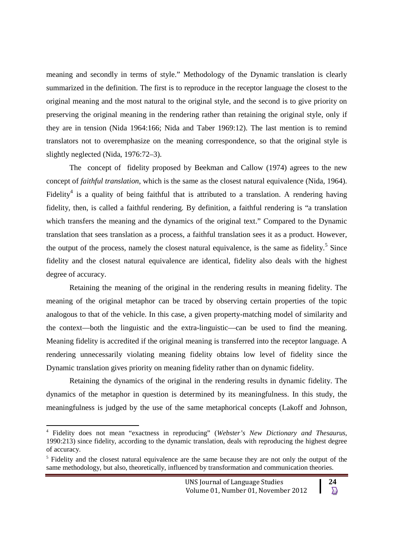meaning and secondly in terms of style." Methodology of the Dynamic translation is clearly summarized in the definition. The first is to reproduce in the receptor language the closest to the original meaning and the most natural to the original style, and the second is to give priority on preserving the original meaning in the rendering rather than retaining the original style, only if they are in tension (Nida 1964:166; Nida and Taber 1969:12). The last mention is to remind translators not to overemphasize on the meaning correspondence, so that the original style is slightly neglected (Nida, 1976:72–3).

The concept of fidelity proposed by Beekman and Callow (1974) agrees to the new concept of *faithful translation*, which is the same as the closest natural equivalence (Nida, 1964). Fidelity<sup>4</sup> is a quality of being faithful that is attributed to a translation. A rendering having fidelity, then, is called a faithful rendering. By definition, a faithful rendering is "a translation which transfers the meaning and the dynamics of the original text." Compared to the Dynamic translation that sees translation as a process, a faithful translation sees it as a product. However, the output of the process, namely the closest natural equivalence, is the same as fidelity.<sup>5</sup> Since fidelity and the closest natural equivalence are identical, fidelity also deals with the highest degree of accuracy.

Retaining the meaning of the original in the rendering results in meaning fidelity. The meaning of the original metaphor can be traced by observing certain properties of the topic analogous to that of the vehicle. In this case, a given property-matching model of similarity and the context—both the linguistic and the extra-linguistic—can be used to find the meaning. Meaning fidelity is accredited if the original meaning is transferred into the receptor language. A rendering unnecessarily violating meaning fidelity obtains low level of fidelity since the Dynamic translation gives priority on meaning fidelity rather than on dynamic fidelity.

Retaining the dynamics of the original in the rendering results in dynamic fidelity. The dynamics of the metaphor in question is determined by its meaningfulness. In this study, the meaningfulness is judged by the use of the same metaphorical concepts (Lakoff and Johnson,

<sup>4</sup> Fidelity does not mean "exactness in reproducing" (*Webster's New Dictionary and Thesaurus,* 1990:213) since fidelity, according to the dynamic translation, deals with reproducing the highest degree of accuracy.

<sup>&</sup>lt;sup>5</sup> Fidelity and the closest natural equivalence are the same because they are not only the output of the same methodology, but also, theoretically, influenced by transformation and communication theories.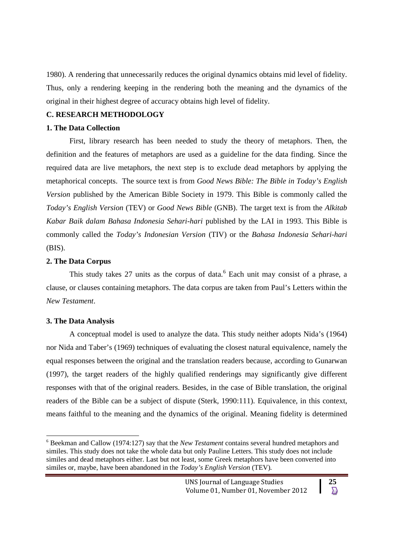1980). A rendering that unnecessarily reduces the original dynamics obtains mid level of fidelity. Thus, only a rendering keeping in the rendering both the meaning and the dynamics of the original in their highest degree of accuracy obtains high level of fidelity.

# **C. RESEARCH METHODOLOGY**

# **1. The Data Collection**

First, library research has been needed to study the theory of metaphors. Then, the definition and the features of metaphors are used as a guideline for the data finding. Since the required data are live metaphors, the next step is to exclude dead metaphors by applying the metaphorical concepts. The source text is from *Good News Bible: The Bible in Today's English Version* published by the American Bible Society in 1979. This Bible is commonly called the *Today's English Version* (TEV) or *Good News Bible* (GNB). The target text is from the *Alkitab Kabar Baik dalam Bahasa Indonesia Sehari-hari* published by the LAI in 1993. This Bible is commonly called the *Today's Indonesian Version* (TIV) or the *Bahasa Indonesia Sehari-hari* (BIS).

# **2. The Data Corpus**

This study takes 27 units as the corpus of data. <sup>6</sup> Each unit may consist of a phrase, a clause, or clauses containing metaphors. The data corpus are taken from Paul's Letters within the *New Testament*.

# **3. The Data Analysis**

A conceptual model is used to analyze the data. This study neither adopts Nida's (1964) nor Nida and Taber's (1969) techniques of evaluating the closest natural equivalence, namely the equal responses between the original and the translation readers because, according to Gunarwan (1997), the target readers of the highly qualified renderings may significantly give different responses with that of the original readers. Besides, in the case of Bible translation, the original readers of the Bible can be a subject of dispute (Sterk, 1990:111). Equivalence, in this context, means faithful to the meaning and the dynamics of the original. Meaning fidelity is determined

<sup>6</sup> Beekman and Callow (1974:127) say that the *New Testament* contains several hundred metaphors and similes. This study does not take the whole data but only Pauline Letters. This study does not include similes and dead metaphors either. Last but not least, some Greek metaphors have been converted into similes or, maybe, have been abandoned in the *Today's English Version* (TEV)*.*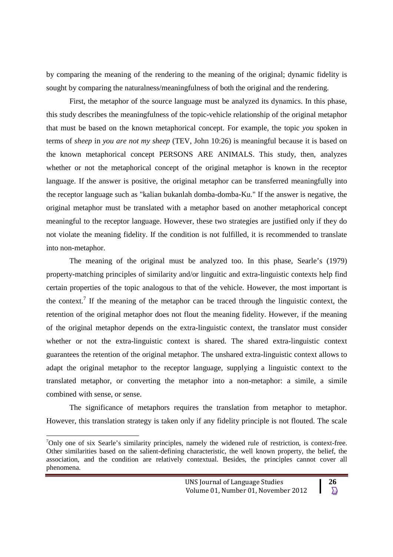by comparing the meaning of the rendering to the meaning of the original; dynamic fidelity is sought by comparing the naturalness/meaningfulness of both the original and the rendering.

First, the metaphor of the source language must be analyzed its dynamics. In this phase, this study describes the meaningfulness of the topic-vehicle relationship of the original metaphor that must be based on the known metaphorical concept. For example, the topic *you* spoken in terms of *sheep* in *you are not my sheep* (TEV, John 10:26) is meaningful because it is based on the known metaphorical concept PERSONS ARE ANIMALS. This study, then, analyzes whether or not the metaphorical concept of the original metaphor is known in the receptor language. If the answer is positive, the original metaphor can be transferred meaningfully into the receptor language such as "kalian bukanlah domba-domba-Ku." If the answer is negative, the original metaphor must be translated with a metaphor based on another metaphorical concept meaningful to the receptor language. However, these two strategies are justified only if they do not violate the meaning fidelity. If the condition is not fulfilled, it is recommended to translate into non-metaphor.

The meaning of the original must be analyzed too. In this phase, Searle's (1979) property-matching principles of similarity and/or linguitic and extra-linguistic contexts help find certain properties of the topic analogous to that of the vehicle. However, the most important is the context.<sup>7</sup> If the meaning of the metaphor can be traced through the linguistic context, the retention of the original metaphor does not flout the meaning fidelity. However, if the meaning of the original metaphor depends on the extra-linguistic context, the translator must consider whether or not the extra-linguistic context is shared. The shared extra-linguistic context guarantees the retention of the original metaphor. The unshared extra-linguistic context allows to adapt the original metaphor to the receptor language, supplying a linguistic context to the translated metaphor, or converting the metaphor into a non-metaphor: a simile, a simile combined with sense, or sense.

The significance of metaphors requires the translation from metaphor to metaphor. However, this translation strategy is taken only if any fidelity principle is not flouted. The scale

<sup>7</sup>Only one of six Searle's similarity principles, namely the widened rule of restriction, is context-free. Other similarities based on the salient-defining characteristic, the well known property, the belief, the association, and the condition are relatively contextual. Besides, the principles cannot cover all phenomena.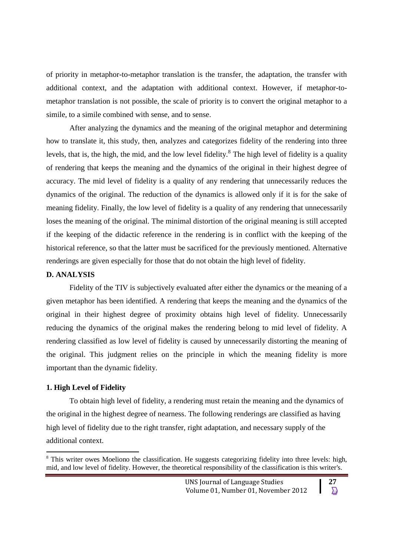of priority in metaphor-to-metaphor translation is the transfer, the adaptation, the transfer with additional context, and the adaptation with additional context. However, if metaphor-tometaphor translation is not possible, the scale of priority is to convert the original metaphor to a simile, to a simile combined with sense, and to sense.

After analyzing the dynamics and the meaning of the original metaphor and determining how to translate it, this study, then, analyzes and categorizes fidelity of the rendering into three levels, that is, the high, the mid, and the low level fidelity.<sup>8</sup> The high level of fidelity is a quality of rendering that keeps the meaning and the dynamics of the original in their highest degree of accuracy. The mid level of fidelity is a quality of any rendering that unnecessarily reduces the dynamics of the original. The reduction of the dynamics is allowed only if it is for the sake of meaning fidelity. Finally, the low level of fidelity is a quality of any rendering that unnecessarily loses the meaning of the original. The minimal distortion of the original meaning is still accepted if the keeping of the didactic reference in the rendering is in conflict with the keeping of the historical reference, so that the latter must be sacrificed for the previously mentioned. Alternative renderings are given especially for those that do not obtain the high level of fidelity.

## **D. ANALYSIS**

Fidelity of the TIV is subjectively evaluated after either the dynamics or the meaning of a given metaphor has been identified. A rendering that keeps the meaning and the dynamics of the original in their highest degree of proximity obtains high level of fidelity. Unnecessarily reducing the dynamics of the original makes the rendering belong to mid level of fidelity. A rendering classified as low level of fidelity is caused by unnecessarily distorting the meaning of the original. This judgment relies on the principle in which the meaning fidelity is more important than the dynamic fidelity.

# **1. High Level of Fidelity**

To obtain high level of fidelity, a rendering must retain the meaning and the dynamics of the original in the highest degree of nearness. The following renderings are classified as having high level of fidelity due to the right transfer, right adaptation, and necessary supply of the additional context.

<sup>&</sup>lt;sup>8</sup> This writer owes Moeliono the classification. He suggests categorizing fidelity into three levels: high, mid, and low level of fidelity. However, the theoretical responsibility of the classification is this writer's.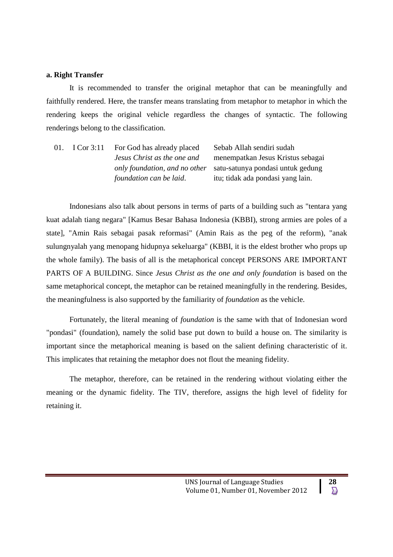## **a. Right Transfer**

It is recommended to transfer the original metaphor that can be meaningfully and faithfully rendered. Here, the transfer means translating from metaphor to metaphor in which the rendering keeps the original vehicle regardless the changes of syntactic. The following renderings belong to the classification.

01. I Cor 3:11 For God has already placed *Jesus Christ as the one and only foundation, and no other foundation can be laid*.

Sebab Allah sendiri sudah menempatkan Jesus Kristus sebagai satu-satunya pondasi untuk gedung itu; tidak ada pondasi yang lain.

Indonesians also talk about persons in terms of parts of a building such as "tentara yang kuat adalah tiang negara" [Kamus Besar Bahasa Indonesia (KBBI), strong armies are poles of a state], "Amin Rais sebagai pasak reformasi" (Amin Rais as the peg of the reform), "anak sulungnyalah yang menopang hidupnya sekeluarga" (KBBI, it is the eldest brother who props up the whole family). The basis of all is the metaphorical concept PERSONS ARE IMPORTANT PARTS OF A BUILDING. Since *Jesus Christ as the one and only foundation* is based on the same metaphorical concept, the metaphor can be retained meaningfully in the rendering. Besides, the meaningfulness is also supported by the familiarity of *foundation* as the vehicle.

Fortunately, the literal meaning of *foundation* is the same with that of Indonesian word "pondasi" (foundation), namely the solid base put down to build a house on. The similarity is important since the metaphorical meaning is based on the salient defining characteristic of it. This implicates that retaining the metaphor does not flout the meaning fidelity.

The metaphor, therefore, can be retained in the rendering without violating either the meaning or the dynamic fidelity. The TIV, therefore, assigns the high level of fidelity for retaining it.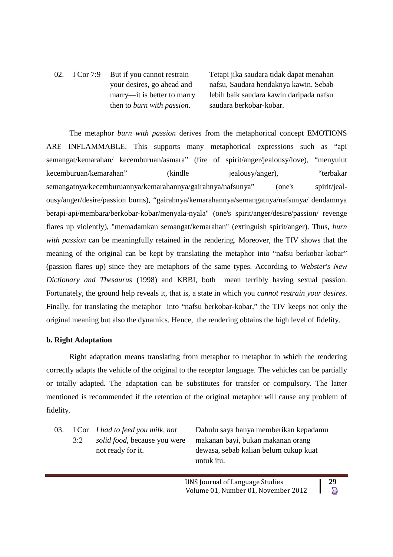02. I Cor 7:9 But if you cannot restrain your desires, go ahead and marry—it is better to marry then to *burn with passion*.

Tetapi jika saudara tidak dapat menahan nafsu, Saudara hendaknya kawin. Sebab lebih baik saudara kawin daripada nafsu saudara berkobar-kobar.

The metaphor *burn with passion* derives from the metaphorical concept EMOTIONS ARE INFLAMMABLE. This supports many metaphorical expressions such as "api semangat/kemarahan/ kecemburuan/asmara" (fire of spirit/anger/jealousy/love), "menyulut kecemburuan/kemarahan" (kindle jealousy/anger), "terbakar semangatnya/kecemburuannya/kemarahannya/gairahnya/nafsunya" (one's spirit/jealousy/anger/desire/passion burns), "gairahnya/kemarahannya/semangatnya/nafsunya/ dendamnya berapi-api/membara/berkobar-kobar/menyala-nyala" (one's spirit/anger/desire/passion/ revenge flares up violently), "memadamkan semangat/kemarahan" (extinguish spirit/anger). Thus, *burn with passion* can be meaningfully retained in the rendering. Moreover, the TIV shows that the meaning of the original can be kept by translating the metaphor into "nafsu berkobar-kobar" (passion flares up) since they are metaphors of the same types. According to *Webster's New Dictionary and Thesaurus* (1998) and KBBI, both mean terribly having sexual passion. Fortunately, the ground help reveals it, that is, a state in which you *cannot restrain your desires*. Finally, for translating the metaphor into "nafsu berkobar-kobar," the TIV keeps not only the original meaning but also the dynamics. Hence, the rendering obtains the high level of fidelity.

## **b. Right Adaptation**

Right adaptation means translating from metaphor to metaphor in which the rendering correctly adapts the vehicle of the original to the receptor language. The vehicles can be partially or totally adapted. The adaptation can be substitutes for transfer or compulsory. The latter mentioned is recommended if the retention of the original metaphor will cause any problem of fidelity.

03. I Cor *I had to feed you milk, not*  $3.2$ *solid food*, because you were not ready for it.

Dahulu saya hanya memberikan kepadamu makanan bayi, bukan makanan orang dewasa, sebab kalian belum cukup kuat untuk itu.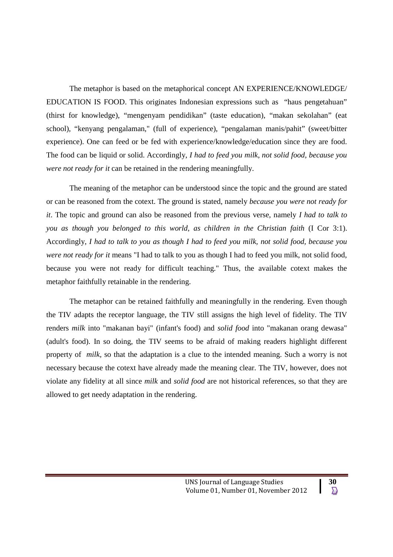The metaphor is based on the metaphorical concept AN EXPERIENCE/KNOWLEDGE/ EDUCATION IS FOOD. This originates Indonesian expressions such as "haus pengetahuan" (thirst for knowledge), "mengenyam pendidikan" (taste education), "makan sekolahan" (eat school), "kenyang pengalaman," (full of experience), "pengalaman manis/pahit" (sweet/bitter experience). One can feed or be fed with experience/knowledge/education since they are food. The food can be liquid or solid. Accordingly, *I had to feed you milk, not solid food, because you were not ready for it* can be retained in the rendering meaningfully.

The meaning of the metaphor can be understood since the topic and the ground are stated or can be reasoned from the cotext. The ground is stated, namely *because you were not ready for it*. The topic and ground can also be reasoned from the previous verse, namely *I had to talk to you as though you belonged to this world, as children in the Christian faith* (I Cor 3:1). Accordingly, *I had to talk to you as though I had to feed you milk, not solid food, because you were not ready for it* means "I had to talk to you as though I had to feed you milk, not solid food, because you were not ready for difficult teaching." Thus, the available cotext makes the metaphor faithfully retainable in the rendering.

The metaphor can be retained faithfully and meaningfully in the rendering. Even though the TIV adapts the receptor language, the TIV still assigns the high level of fidelity. The TIV renders *milk* into "makanan bayi" (infant's food) and *solid food* into "makanan orang dewasa" (adult's food). In so doing, the TIV seems to be afraid of making readers highlight different property of *milk,* so that the adaptation is a clue to the intended meaning. Such a worry is not necessary because the cotext have already made the meaning clear. The TIV, however, does not violate any fidelity at all since *milk* and *solid food* are not historical references, so that they are allowed to get needy adaptation in the rendering.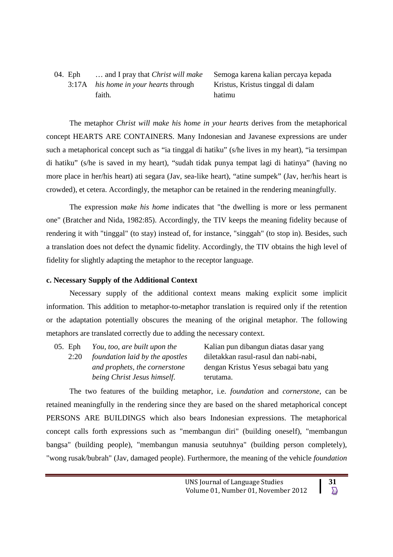04. Eph 3:17A *his home in your hearts* through … and I pray that *Christ will make* faith*.*

Semoga karena kalian percaya kepada Kristus, Kristus tinggal di dalam hatimu

The metaphor *Christ will make his home in your hearts* derives from the metaphorical concept HEARTS ARE CONTAINERS. Many Indonesian and Javanese expressions are under such a metaphorical concept such as "ia tinggal di hatiku" (s/he lives in my heart), "ia tersimpan di hatiku" (s/he is saved in my heart), "sudah tidak punya tempat lagi di hatinya" (having no more place in her/his heart) ati segara (Jav, sea-like heart), "atine sumpek" (Jav, her/his heart is crowded), et cetera. Accordingly, the metaphor can be retained in the rendering meaningfully.

The expression *make his home* indicates that "the dwelling is more or less permanent one" (Bratcher and Nida, 1982:85). Accordingly, the TIV keeps the meaning fidelity because of rendering it with "tinggal" (to stay) instead of, for instance, "singgah" (to stop in). Besides, such a translation does not defect the dynamic fidelity. Accordingly, the TIV obtains the high level of fidelity for slightly adapting the metaphor to the receptor language.

# **c. Necessary Supply of the Additional Context**

Necessary supply of the additional context means making explicit some implicit information. This addition to metaphor-to-metaphor translation is required only if the retention or the adaptation potentially obscures the meaning of the original metaphor. The following metaphors are translated correctly due to adding the necessary context.

| 05. Eph | You, too, are built upon the    | Kalian pun dibangun diatas dasar yang  |
|---------|---------------------------------|----------------------------------------|
| 2:20    | foundation laid by the apostles | diletakkan rasul-rasul dan nabi-nabi,  |
|         | and prophets, the cornerstone   | dengan Kristus Yesus sebagai batu yang |
|         | being Christ Jesus himself.     | terutama.                              |

The two features of the building metaphor, i.e. *foundation* and *cornerstone*, can be retained meaningfully in the rendering since they are based on the shared metaphorical concept PERSONS ARE BUILDINGS which also bears Indonesian expressions. The metaphorical concept calls forth expressions such as "membangun diri" (building oneself), "membangun bangsa" (building people), "membangun manusia seutuhnya" (building person completely), "wong rusak/bubrah" (Jav, damaged people). Furthermore, the meaning of the vehicle *foundation*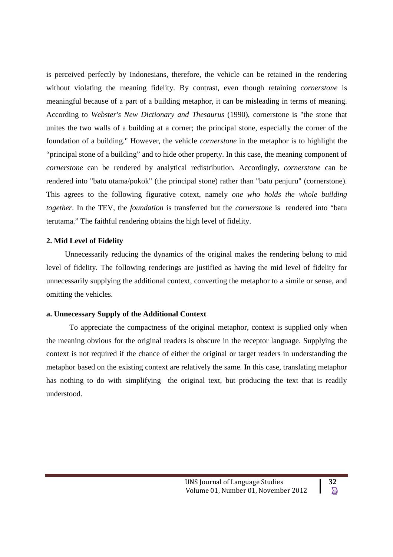is perceived perfectly by Indonesians, therefore, the vehicle can be retained in the rendering without violating the meaning fidelity. By contrast, even though retaining *cornerstone* is meaningful because of a part of a building metaphor, it can be misleading in terms of meaning. According to *Webster's New Dictionary and Thesaurus* (1990), cornerstone is "the stone that unites the two walls of a building at a corner; the principal stone, especially the corner of the foundation of a building." However, the vehicle *cornerstone* in the metaphor is to highlight the "principal stone of a building" and to hide other property. In this case, the meaning component of *cornerstone* can be rendered by analytical redistribution. Accordingly, *cornerstone* can be rendered into "batu utama/pokok" (the principal stone) rather than "batu penjuru" (cornerstone). This agrees to the following figurative cotext, namely *one who holds the whole building together*. In the TEV, the *foundation* is transferred but the *cornerstone* is rendered into "batu terutama." The faithful rendering obtains the high level of fidelity.

## **2. Mid Level of Fidelity**

Unnecessarily reducing the dynamics of the original makes the rendering belong to mid level of fidelity. The following renderings are justified as having the mid level of fidelity for unnecessarily supplying the additional context, converting the metaphor to a simile or sense, and omitting the vehicles.

## **a. Unnecessary Supply of the Additional Context**

To appreciate the compactness of the original metaphor, context is supplied only when the meaning obvious for the original readers is obscure in the receptor language. Supplying the context is not required if the chance of either the original or target readers in understanding the metaphor based on the existing context are relatively the same. In this case, translating metaphor has nothing to do with simplifying the original text, but producing the text that is readily understood.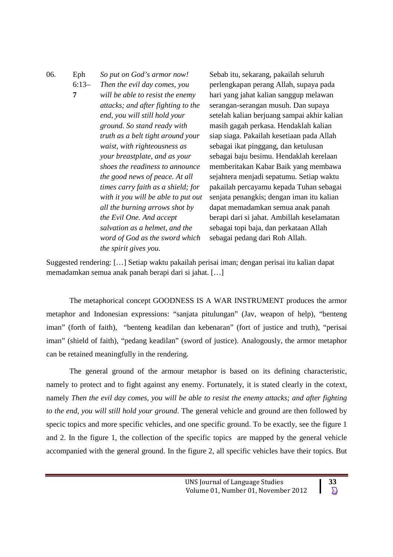06. Eph

**7**

6:13– *So put on God's armor now! Then the evil day comes, you will be able to resist the enemy attacks; and after fighting to the end, you will still hold your ground. So stand ready with truth as a belt tight around your waist, with righteousness as your breastplate, and as your shoes the readiness to announce the good news of peace. At all times carry faith as a shield; for with it you will be able to put out all the burning arrows shot by the Evil One. And accept salvation as a helmet, and the word of God as the sword which the spirit gives you.*

Sebab itu, sekarang, pakailah seluruh perlengkapan perang Allah, supaya pada hari yang jahat kalian sanggup melawan serangan-serangan musuh. Dan supaya setelah kalian berjuang sampai akhir kalian masih gagah perkasa. Hendaklah kalian siap siaga. Pakailah kesetiaan pada Allah sebagai ikat pinggang, dan ketulusan sebagai baju besimu. Hendaklah kerelaan memberitakan Kabar Baik yang membawa sejahtera menjadi sepatumu. Setiap waktu pakailah percayamu kepada Tuhan sebagai senjata penangkis; dengan iman itu kalian dapat memadamkan semua anak panah berapi dari si jahat. Ambillah keselamatan sebagai topi baja, dan perkataan Allah sebagai pedang dari Roh Allah.

Suggested rendering: […] Setiap waktu pakailah perisai iman; dengan perisai itu kalian dapat memadamkan semua anak panah berapi dari si jahat. […]

The metaphorical concept GOODNESS IS A WAR INSTRUMENT produces the armor metaphor and Indonesian expressions: "sanjata pitulungan" (Jav, weapon of help), "benteng iman" (forth of faith), "benteng keadilan dan kebenaran" (fort of justice and truth), "perisai iman" (shield of faith), "pedang keadilan" (sword of justice). Analogously, the armor metaphor can be retained meaningfully in the rendering.

The general ground of the armour metaphor is based on its defining characteristic, namely to protect and to fight against any enemy. Fortunately, it is stated clearly in the cotext, namely *Then the evil day comes, you will be able to resist the enemy attacks; and after fighting to the end, you will still hold your ground*. The general vehicle and ground are then followed by specic topics and more specific vehicles, and one specific ground. To be exactly, see the figure 1 and 2. In the figure 1, the collection of the specific topics are mapped by the general vehicle accompanied with the general ground. In the figure 2, all specific vehicles have their topics. But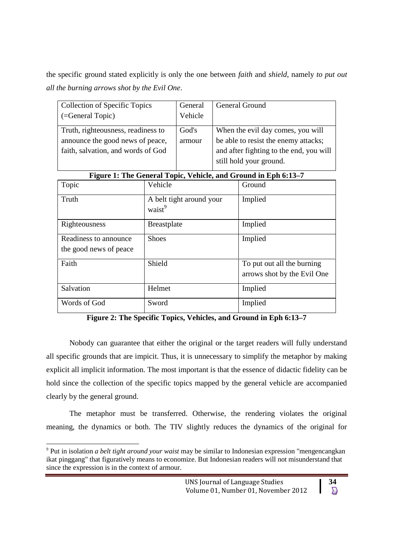the specific ground stated explicitly is only the one between *faith* and *shield*, namely *to put out all the burning arrows shot by the Evil One*.

| Collection of Specific Topics<br>(=General Topic)                                                            | General<br>Vehicle | <b>General Ground</b>                                                                                                                           |
|--------------------------------------------------------------------------------------------------------------|--------------------|-------------------------------------------------------------------------------------------------------------------------------------------------|
| Truth, righteousness, readiness to<br>announce the good news of peace,<br>faith, salvation, and words of God | God's<br>armour    | When the evil day comes, you will<br>be able to resist the enemy attacks;<br>and after fighting to the end, you will<br>still hold your ground. |

# **Figure 1: The General Topic, Vehicle, and Ground in Eph 6:13–7**

| Topic                                           | Vehicle                                        | Ground                                                    |
|-------------------------------------------------|------------------------------------------------|-----------------------------------------------------------|
| Truth                                           | A belt tight around your<br>waist <sup>9</sup> | Implied                                                   |
| Righteousness                                   | <b>Breastplate</b>                             | Implied                                                   |
| Readiness to announce<br>the good news of peace | <b>Shoes</b>                                   | Implied                                                   |
| Faith                                           | Shield                                         | To put out all the burning<br>arrows shot by the Evil One |
| Salvation                                       | Helmet                                         | Implied                                                   |
| Words of God                                    | Sword                                          | Implied                                                   |

**Figure 2: The Specific Topics, Vehicles, and Ground in Eph 6:13–7**

Nobody can guarantee that either the original or the target readers will fully understand all specific grounds that are impicit. Thus, it is unnecessary to simplify the metaphor by making explicit all implicit information. The most important is that the essence of didactic fidelity can be hold since the collection of the specific topics mapped by the general vehicle are accompanied clearly by the general ground.

The metaphor must be transferred. Otherwise, the rendering violates the original meaning, the dynamics or both. The TIV slightly reduces the dynamics of the original for

<sup>9</sup> Put in isolation *a belt tight around your waist* may be similar to Indonesian expression "mengencangkan ikat pinggang" that figuratively means to economize. But Indonesian readers will not misunderstand that since the expression is in the context of armour.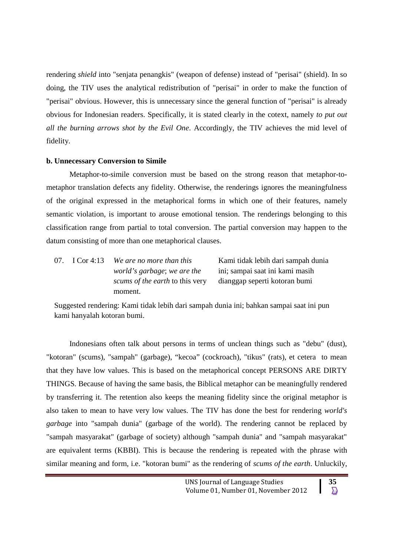rendering *shield* into "senjata penangkis" (weapon of defense) instead of "perisai" (shield). In so doing, the TIV uses the analytical redistribution of "perisai" in order to make the function of "perisai" obvious. However, this is unnecessary since the general function of "perisai" is already obvious for Indonesian readers. Specifically, it is stated clearly in the cotext, namely *to put out all the burning arrows shot by the Evil One*. Accordingly, the TIV achieves the mid level of fidelity.

#### **b. Unnecessary Conversion to Simile**

Metaphor-to-simile conversion must be based on the strong reason that metaphor-tometaphor translation defects any fidelity. Otherwise, the renderings ignores the meaningfulness of the original expressed in the metaphorical forms in which one of their features, namely semantic violation, is important to arouse emotional tension. The renderings belonging to this classification range from partial to total conversion. The partial conversion may happen to the datum consisting of more than one metaphorical clauses.

| 07. I Cor 4:13 | We are no more than this               | Kami tidak lebih dari sampah dunia |
|----------------|----------------------------------------|------------------------------------|
|                | world's garbage; we are the            | ini; sampai saat ini kami masih    |
|                | <i>scums of the earth</i> to this very | dianggap seperti kotoran bumi      |
|                | moment.                                |                                    |
|                |                                        |                                    |

Suggested rendering: Kami tidak lebih dari sampah dunia ini; bahkan sampai saat ini pun kami hanyalah kotoran bumi.

Indonesians often talk about persons in terms of unclean things such as "debu" (dust), "kotoran" (scums), "sampah" (garbage), "kecoa" (cockroach), "tikus" (rats), et cetera to mean that they have low values. This is based on the metaphorical concept PERSONS ARE DIRTY THINGS. Because of having the same basis, the Biblical metaphor can be meaningfully rendered by transferring it. The retention also keeps the meaning fidelity since the original metaphor is also taken to mean to have very low values. The TIV has done the best for rendering *world's garbage* into "sampah dunia" (garbage of the world). The rendering cannot be replaced by "sampah masyarakat" (garbage of society) although "sampah dunia" and "sampah masyarakat" are equivalent terms (KBBI). This is because the rendering is repeated with the phrase with similar meaning and form, i.e. "kotoran bumi" as the rendering of *scums of the earth*. Unluckily,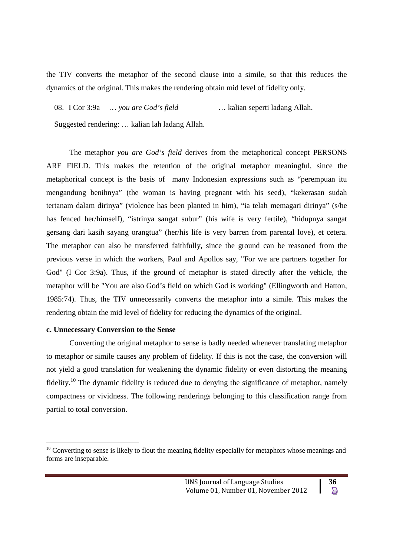the TIV converts the metaphor of the second clause into a simile, so that this reduces the dynamics of the original. This makes the rendering obtain mid level of fidelity only.

08. I Cor 3:9a … *you are God's field* … kalian seperti ladang Allah.

Suggested rendering: … kalian lah ladang Allah.

The metaphor *you are God's field* derives from the metaphorical concept PERSONS ARE FIELD. This makes the retention of the original metaphor meaningful, since the metaphorical concept is the basis of many Indonesian expressions such as "perempuan itu mengandung benihnya" (the woman is having pregnant with his seed), "kekerasan sudah tertanam dalam dirinya" (violence has been planted in him), "ia telah memagari dirinya" (s/he has fenced her/himself), "istrinya sangat subur" (his wife is very fertile), "hidupnya sangat gersang dari kasih sayang orangtua" (her/his life is very barren from parental love), et cetera. The metaphor can also be transferred faithfully, since the ground can be reasoned from the previous verse in which the workers, Paul and Apollos say, "For we are partners together for God" (I Cor 3:9a). Thus, if the ground of metaphor is stated directly after the vehicle, the metaphor will be "You are also God's field on which God is working" (Ellingworth and Hatton, 1985:74). Thus, the TIV unnecessarily converts the metaphor into a simile. This makes the rendering obtain the mid level of fidelity for reducing the dynamics of the original.

## **c. Unnecessary Conversion to the Sense**

Converting the original metaphor to sense is badly needed whenever translating metaphor to metaphor or simile causes any problem of fidelity. If this is not the case, the conversion will not yield a good translation for weakening the dynamic fidelity or even distorting the meaning fidelity.<sup>10</sup> The dynamic fidelity is reduced due to denying the significance of metaphor, namely compactness or vividness. The following renderings belonging to this classification range from partial to total conversion.

 $10$  Converting to sense is likely to flout the meaning fidelity especially for metaphors whose meanings and forms are inseparable.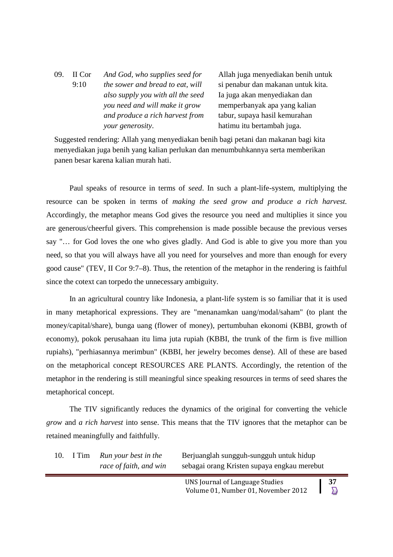09. II Cor  $9:10$ *And God, who supplies seed for the sower and bread to eat, will also supply you with all the seed you need and will make it grow and produce a rich harvest from your generosity*.

Allah juga menyediakan benih untuk si penabur dan makanan untuk kita. Ia juga akan menyediakan dan memperbanyak apa yang kalian tabur, supaya hasil kemurahan hatimu itu bertambah juga.

Suggested rendering: Allah yang menyediakan benih bagi petani dan makanan bagi kita menyediakan juga benih yang kalian perlukan dan menumbuhkannya serta memberikan panen besar karena kalian murah hati.

Paul speaks of resource in terms of *seed*. In such a plant-life-system, multiplying the resource can be spoken in terms of *making the seed grow and produce a rich harvest.* Accordingly, the metaphor means God gives the resource you need and multiplies it since you are generous/cheerful givers. This comprehension is made possible because the previous verses say "… for God loves the one who gives gladly. And God is able to give you more than you need, so that you will always have all you need for yourselves and more than enough for every good cause" (TEV, II Cor 9:7–8). Thus, the retention of the metaphor in the rendering is faithful since the cotext can torpedo the unnecessary ambiguity.

In an agricultural country like Indonesia, a plant-life system is so familiar that it is used in many metaphorical expressions. They are "menanamkan uang/modal/saham" (to plant the money/capital/share), bunga uang (flower of money), pertumbuhan ekonomi (KBBI, growth of economy), pokok perusahaan itu lima juta rupiah (KBBI, the trunk of the firm is five million rupiahs), "perhiasannya merimbun" (KBBI, her jewelry becomes dense). All of these are based on the metaphorical concept RESOURCES ARE PLANTS. Accordingly, the retention of the metaphor in the rendering is still meaningful since speaking resources in terms of seed shares the metaphorical concept.

The TIV significantly reduces the dynamics of the original for converting the vehicle *grow* and *a rich harvest* into sense. This means that the TIV ignores that the metaphor can be retained meaningfully and faithfully.

| 10. | I Tim | Run your best in the   | Berjuanglah sungguh-sungguh untuk hidup     |  |  |  |  |
|-----|-------|------------------------|---------------------------------------------|--|--|--|--|
|     |       | race of faith, and win | sebagai orang Kristen supaya engkau merebut |  |  |  |  |

UNS Journal of Language Studies **37**<br>Volume 01. Number 01. November 2012 Volume 01, Number 01, November 2012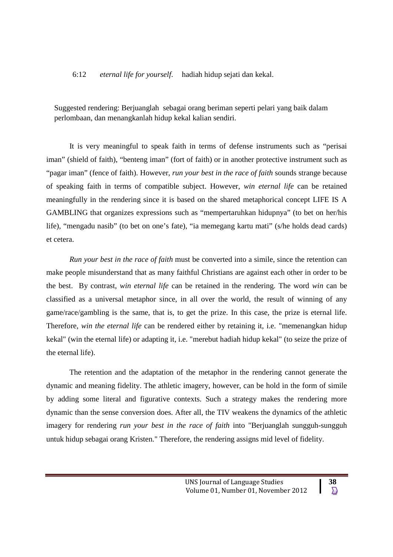6:12 *eternal life for yourself*. hadiah hidup sejati dan kekal.

Suggested rendering: Berjuanglah sebagai orang beriman seperti pelari yang baik dalam perlombaan, dan menangkanlah hidup kekal kalian sendiri.

It is very meaningful to speak faith in terms of defense instruments such as "perisai iman" (shield of faith), "benteng iman" (fort of faith) or in another protective instrument such as "pagar iman" (fence of faith). However, *run your best in the race of faith* sounds strange because of speaking faith in terms of compatible subject. However, *win eternal life* can be retained meaningfully in the rendering since it is based on the shared metaphorical concept LIFE IS A GAMBLING that organizes expressions such as "mempertaruhkan hidupnya" (to bet on her/his life), "mengadu nasib" (to bet on one's fate), "ia memegang kartu mati" (s/he holds dead cards) et cetera.

*Run your best in the race of faith* must be converted into a simile, since the retention can make people misunderstand that as many faithful Christians are against each other in order to be the best. By contrast, *win eternal life* can be retained in the rendering. The word *win* can be classified as a universal metaphor since, in all over the world, the result of winning of any game/race/gambling is the same, that is, to get the prize. In this case, the prize is eternal life. Therefore, *win the eternal life* can be rendered either by retaining it, i.e. "memenangkan hidup kekal" (win the eternal life) or adapting it, i.e. "merebut hadiah hidup kekal" (to seize the prize of the eternal life).

The retention and the adaptation of the metaphor in the rendering cannot generate the dynamic and meaning fidelity. The athletic imagery, however, can be hold in the form of simile by adding some literal and figurative contexts. Such a strategy makes the rendering more dynamic than the sense conversion does. After all, the TIV weakens the dynamics of the athletic imagery for rendering *run your best in the race of faith* into "Berjuanglah sungguh-sungguh untuk hidup sebagai orang Kristen." Therefore, the rendering assigns mid level of fidelity.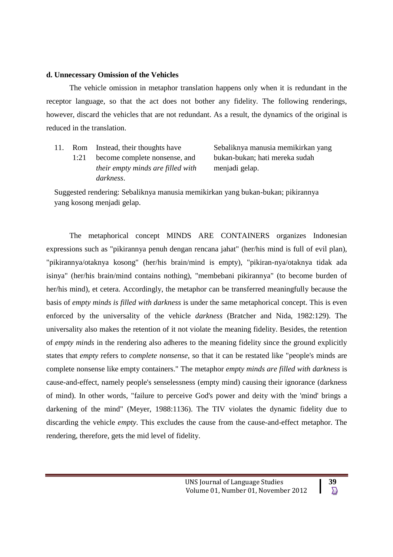#### **d. Unnecessary Omission of the Vehicles**

The vehicle omission in metaphor translation happens only when it is redundant in the receptor language, so that the act does not bother any fidelity. The following renderings, however, discard the vehicles that are not redundant. As a result, the dynamics of the original is reduced in the translation.

11. Rom Instead, their thoughts have  $1.21$ become complete nonsense, and *their empty minds are filled with darkness*.

Sebaliknya manusia memikirkan yang bukan-bukan; hati mereka sudah menjadi gelap.

Suggested rendering: Sebaliknya manusia memikirkan yang bukan-bukan; pikirannya yang kosong menjadi gelap.

The metaphorical concept MINDS ARE CONTAINERS organizes Indonesian expressions such as "pikirannya penuh dengan rencana jahat" (her/his mind is full of evil plan), "pikirannya/otaknya kosong" (her/his brain/mind is empty), "pikiran-nya/otaknya tidak ada isinya" (her/his brain/mind contains nothing), "membebani pikirannya" (to become burden of her/his mind), et cetera. Accordingly, the metaphor can be transferred meaningfully because the basis of *empty minds is filled with darkness* is under the same metaphorical concept. This is even enforced by the universality of the vehicle *darkness* (Bratcher and Nida, 1982:129). The universality also makes the retention of it not violate the meaning fidelity. Besides, the retention of *empty minds* in the rendering also adheres to the meaning fidelity since the ground explicitly states that *empty* refers to *complete nonsense*, so that it can be restated like "people's minds are complete nonsense like empty containers." The metaphor *empty minds are filled with darkness* is cause-and-effect, namely people's senselessness (empty mind) causing their ignorance (darkness of mind). In other words, "failure to perceive God's power and deity with the 'mind' brings a darkening of the mind" (Meyer, 1988:1136). The TIV violates the dynamic fidelity due to discarding the vehicle *empty*. This excludes the cause from the cause-and-effect metaphor. The rendering, therefore, gets the mid level of fidelity.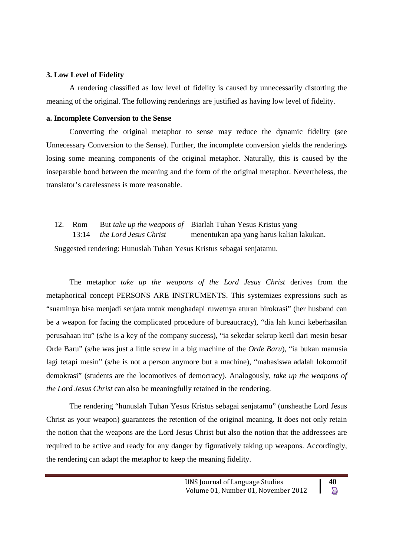### **3. Low Level of Fidelity**

A rendering classified as low level of fidelity is caused by unnecessarily distorting the meaning of the original. The following renderings are justified as having low level of fidelity.

#### **a. Incomplete Conversion to the Sense**

Converting the original metaphor to sense may reduce the dynamic fidelity (see Unnecessary Conversion to the Sense). Further, the incomplete conversion yields the renderings losing some meaning components of the original metaphor. Naturally, this is caused by the inseparable bond between the meaning and the form of the original metaphor. Nevertheless, the translator's carelessness is more reasonable.

12. Rom 13:14 But *take up the weapons of* Biarlah Tuhan Yesus Kristus yang *the Lord Jesus Christ* menentukan apa yang harus kalian lakukan.

Suggested rendering: Hunuslah Tuhan Yesus Kristus sebagai senjatamu.

The metaphor *take up the weapons of the Lord Jesus Christ* derives from the metaphorical concept PERSONS ARE INSTRUMENTS. This systemizes expressions such as "suaminya bisa menjadi senjata untuk menghadapi ruwetnya aturan birokrasi" (her husband can be a weapon for facing the complicated procedure of bureaucracy), "dia lah kunci keberhasilan perusahaan itu" (s/he is a key of the company success), "ia sekedar sekrup kecil dari mesin besar Orde Baru" (s/he was just a little screw in a big machine of the *Orde Baru*), "ia bukan manusia lagi tetapi mesin" (s/he is not a person anymore but a machine), "mahasiswa adalah lokomotif demokrasi" (students are the locomotives of democracy). Analogously, *take up the weapons of the Lord Jesus Christ* can also be meaningfully retained in the rendering.

The rendering "hunuslah Tuhan Yesus Kristus sebagai senjatamu" (unsheathe Lord Jesus Christ as your weapon) guarantees the retention of the original meaning. It does not only retain the notion that the weapons are the Lord Jesus Christ but also the notion that the addressees are required to be active and ready for any danger by figuratively taking up weapons. Accordingly, the rendering can adapt the metaphor to keep the meaning fidelity.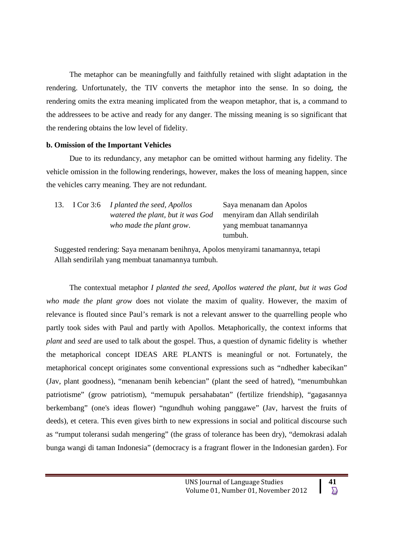The metaphor can be meaningfully and faithfully retained with slight adaptation in the rendering. Unfortunately, the TIV converts the metaphor into the sense. In so doing, the rendering omits the extra meaning implicated from the weapon metaphor, that is, a command to the addressees to be active and ready for any danger. The missing meaning is so significant that the rendering obtains the low level of fidelity.

#### **b. Omission of the Important Vehicles**

Due to its redundancy, any metaphor can be omitted without harming any fidelity. The vehicle omission in the following renderings, however, makes the loss of meaning happen, since the vehicles carry meaning. They are not redundant.

|  | 13. I Cor 3:6 <i>I planted the seed, Apollos</i> | Saya menanam dan Apolos       |
|--|--------------------------------------------------|-------------------------------|
|  | watered the plant, but it was God                | menyiram dan Allah sendirilah |
|  | who made the plant grow.                         | yang membuat tanamannya       |
|  |                                                  | tumbuh.                       |

Suggested rendering: Saya menanam benihnya, Apolos menyirami tanamannya, tetapi Allah sendirilah yang membuat tanamannya tumbuh.

The contextual metaphor *I planted the seed, Apollos watered the plant, but it was God who made the plant grow* does not violate the maxim of quality. However, the maxim of relevance is flouted since Paul's remark is not a relevant answer to the quarrelling people who partly took sides with Paul and partly with Apollos. Metaphorically, the context informs that *plant* and *seed* are used to talk about the gospel. Thus, a question of dynamic fidelity is whether the metaphorical concept IDEAS ARE PLANTS is meaningful or not. Fortunately, the metaphorical concept originates some conventional expressions such as "ndhedher kabecikan" (Jav, plant goodness), "menanam benih kebencian" (plant the seed of hatred), "menumbuhkan patriotisme" (grow patriotism), "memupuk persahabatan" (fertilize friendship), "gagasannya berkembang" (one's ideas flower) "ngundhuh wohing panggawe" (Jav, harvest the fruits of deeds), et cetera. This even gives birth to new expressions in social and political discourse such as "rumput toleransi sudah mengering" (the grass of tolerance has been dry), "demokrasi adalah bunga wangi di taman Indonesia" (democracy is a fragrant flower in the Indonesian garden). For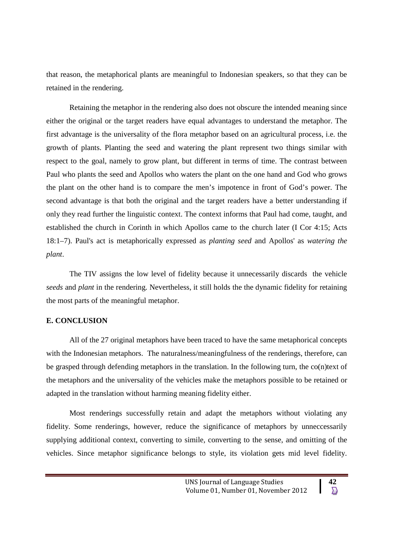that reason, the metaphorical plants are meaningful to Indonesian speakers, so that they can be retained in the rendering.

Retaining the metaphor in the rendering also does not obscure the intended meaning since either the original or the target readers have equal advantages to understand the metaphor. The first advantage is the universality of the flora metaphor based on an agricultural process, i.e. the growth of plants. Planting the seed and watering the plant represent two things similar with respect to the goal, namely to grow plant, but different in terms of time. The contrast between Paul who plants the seed and Apollos who waters the plant on the one hand and God who grows the plant on the other hand is to compare the men's impotence in front of God's power. The second advantage is that both the original and the target readers have a better understanding if only they read further the linguistic context. The context informs that Paul had come, taught, and established the church in Corinth in which Apollos came to the church later (I Cor 4:15; Acts 18:1–7). Paul's act is metaphorically expressed as *planting seed* and Apollos' as *watering the plant*.

The TIV assigns the low level of fidelity because it unnecessarily discards the vehicle *seeds* and *plant* in the rendering. Nevertheless, it still holds the the dynamic fidelity for retaining the most parts of the meaningful metaphor.

## **E. CONCLUSION**

All of the 27 original metaphors have been traced to have the same metaphorical concepts with the Indonesian metaphors. The naturalness/meaningfulness of the renderings, therefore, can be grasped through defending metaphors in the translation. In the following turn, the  $co(n)$  text of the metaphors and the universality of the vehicles make the metaphors possible to be retained or adapted in the translation without harming meaning fidelity either.

Most renderings successfully retain and adapt the metaphors without violating any fidelity. Some renderings, however, reduce the significance of metaphors by unneccessarily supplying additional context, converting to simile, converting to the sense, and omitting of the vehicles. Since metaphor significance belongs to style, its violation gets mid level fidelity.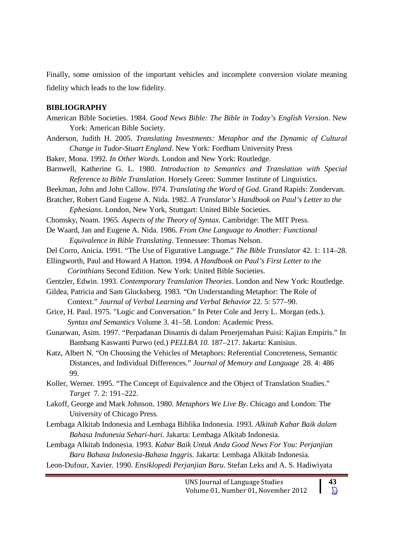Finally, some omission of the important vehicles and incomplete conversion violate meaning fidelity which leads to the low fidelity.

### **BIBLIOGRAPHY**

- American Bible Societies. 1984. *Good News Bible: The Bible in Today's English Version*. New York: American Bible Society.
- Anderson, Judith H. 2005. *Translating Investments: Metaphor and the Dynamic of Cultural Change in Tudor-Stuart England*. New York: Fordham University Press
- Baker, Mona. 1992. *In Other Words.* London and New York: Routledge.
- Barnwell, Katherine G. L. 1980. *Introduction to Semantics and Translation with Special Reference to Bible Translation*. Horsely Green: Summer Institute of Linguistics.
- Beekman, John and John Callow. I974. *Translating the Word of God*. Grand Rapids: Zondervan.
- Bratcher, Robert Gand Eugene A. Nida. 1982. *A Translator's Handbook on Paul's Letter to the Ephesians*. London, New York, Stuttgart: United Bible Societies.
- Chomsky, Noam. 1965. *Aspects of the Theory of Syntax.* Cambridge: The MIT Press.
- De Waard, Jan and Eugene A. Nida. 1986. *From One Language to Another: Functional Equivalence in Bible Translating*. Tennessee: Thomas Nelson.
- Del Corro, Anicia. 1991. "The Use of Figurative Language." *The Bible Translator* 42. 1: 114–28.
- Ellingworth, Paul and Howard A Hatton. 1994. *A Handbook on Paul's First Letter to the Corinthians* Second Edition. New York: United Bible Societies.
- Gentzler, Edwin. 1993. *Contemporary Translation Theories*. London and New York: Routledge.
- Gildea, Patricia and Sam Glucksberg. 1983. "On Understanding Metaphor: The Role of Context." *Journal of Verbal Learning and Verbal Behavior* 22. 5: 577–90.
- Grice, H. Paul. 1975. "Logic and Conversation." In Peter Cole and Jerry L. Morgan (eds.). *Syntax and Semantics* Volume 3. 41–58. London: Academic Press.
- Gunarwan, Asim. 1997. "Perpadanan Dinamis di dalam Penerjemahan Puisi: Kajian Empiris." In Bambang Kaswanti Purwo (ed.) *PELLBA 10.* 187–217. Jakarta: Kanisius.
- Katz, Albert N. "On Choosing the Vehicles of Metaphors: Referential Concreteness, Semantic Distances, and Individual Differences." *Journal of Memory and Language* 28. 4: 486 99.
- Koller, Werner. 1995. "The Concept of Equivalence and the Object of Translation Studies." *Target* 7. 2: 191–222.
- Lakoff, George and Mark Johnson. 1980. *Metaphors We Live By*. Chicago and London: The University of Chicago Press.
- Lembaga Alkitab Indonesia and Lembaga Biblika Indonesia. 1993. *Alkitab Kabar Baik dalam Bahasa Indonesia Sehari-hari.* Jakarta: Lembaga Alkitab Indonesia.
- Lembaga Alkitab Indonesia. 1993. *Kabar Baik Untuk Anda Good News For You: Perjanjian Baru Bahasa Indonesia-Bahasa Inggris.* Jakarta: Lembaga Alkitab Indonesia.
- Leon-Dufour, Xavier. 1990. *Ensiklopedi Perjanjian Baru*. Stefan Leks and A. S. Hadiwiyata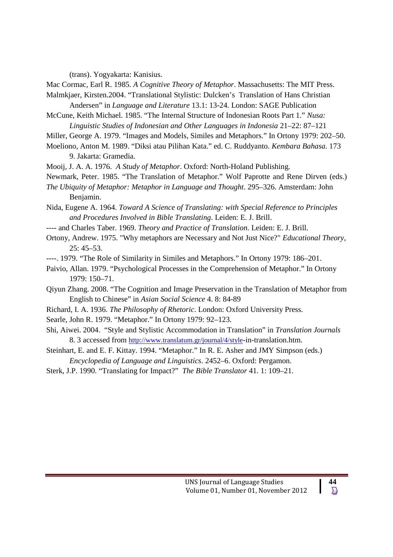(trans). Yogyakarta: Kanisius.

Mac Cormac, Earl R. 1985. *A Cognitive Theory of Metaphor*. Massachusetts: The MIT Press.

Malmkjaer, Kirsten.2004. "Translational Stylistic: Dulcken's Translation of Hans Christian Andersen" in *Language and Literature* 13.1: 13-24. London: SAGE Publication

McCune, Keith Michael. 1985. "The Internal Structure of Indonesian Roots Part 1." *Nusa: Linguistic Studies of Indonesian and Other Languages in Indonesia* 21–22: 87–121

Miller, George A. 1979. "Images and Models, Similes and Metaphors." In Ortony 1979: 202–50.

- Moeliono, Anton M. 1989. "Diksi atau Pilihan Kata." ed. C. Ruddyanto. *Kembara Bahasa.* 173 9. Jakarta: Gramedia.
- Mooij, J. A. A. 1976. *A Study of Metaphor*. Oxford: North-Holand Publishing.
- Newmark, Peter. 1985. "The Translation of Metaphor." Wolf Paprotte and Rene Dirven (eds.)
- *The Ubiquity of Metaphor: Metaphor in Language and Thought*. 295–326. Amsterdam: John Benjamin.
- Nida, Eugene A. 1964. *Toward A Science of Translating: with Special Reference to Principles and Procedures Involved in Bible Translating*. Leiden: E. J. Brill.
- ---- and Charles Taber. 1969. *Theory and Practice of Translation*. Leiden: E. J. Brill.
- Ortony, Andrew. 1975. "Why metaphors are Necessary and Not Just Nice?" *Educational Theory*, 25: 45–53.
- ----. 1979. "The Role of Similarity in Similes and Metaphors." In Ortony 1979: 186–201.
- Paivio, Allan. 1979. "Psychological Processes in the Comprehension of Metaphor." In Ortony 1979: 150–71.
- Qiyun Zhang. 2008. "The Cognition and Image Preservation in the Translation of Metaphor from English to Chinese" in *Asian Social Science* 4. 8: 84-89
- Richard, I. A. 1936. *The Philosophy of Rhetoric*. London: Oxford University Press.
- Searle, John R. 1979. "Metaphor." In Ortony 1979: 92–123.
- Shi, Aiwei. 2004. "Style and Stylistic Accommodation in Translation" in *Translation Journals* 8. 3 accessed from http://www.translatum.gr/journal/4/style-in-translation.htm.
- Steinhart, E. and E. F. Kittay. 1994. "Metaphor." In R. E. Asher and JMY Simpson (eds.) *Encyclopedia of Language and Linguistics*. 2452–6. Oxford: Pergamon.
- Sterk, J.P. 1990. "Translating for Impact?" *The Bible Translator* 41. 1: 109–21.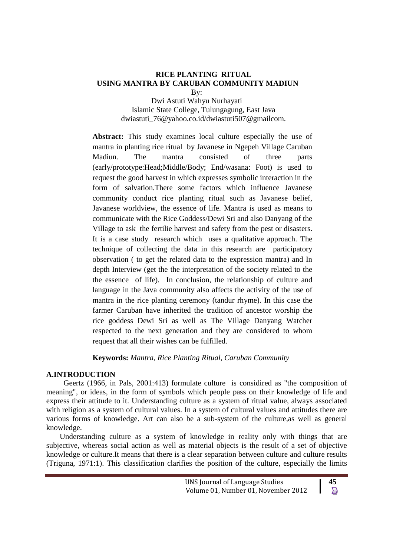# **RICE PLANTING RITUAL USING MANTRA BY CARUBAN COMMUNITY MADIUN**

By:

Dwi Astuti Wahyu Nurhayati Islamic State College, Tulungagung, East Java dwiastuti\_76@yahoo.co.id/dwiastuti507@gmailcom.

**Abstract:** This study examines local culture especially the use of mantra in planting rice ritual by Javanese in Ngepeh Village Caruban Madiun. The mantra consisted of three parts (early/prototype:Head;Middle/Body; End/wasana: Foot) is used to request the good harvest in which expresses symbolic interaction in the form of salvation.There some factors which influence Javanese community conduct rice planting ritual such as Javanese belief, Javanese worldview, the essence of life. Mantra is used as means to communicate with the Rice Goddess/Dewi Sri and also Danyang of the Village to ask the fertilie harvest and safety from the pest or disasters. It is a case study research which uses a qualitative approach. The technique of collecting the data in this research are participatory observation ( to get the related data to the expression mantra) and In depth Interview (get the the interpretation of the society related to the the essence of life). In conclusion, the relationship of culture and language in the Java community also affects the activity of the use of mantra in the rice planting ceremony (tandur rhyme). In this case the farmer Caruban have inherited the tradition of ancestor worship the rice goddess Dewi Sri as well as The Village Danyang Watcher respected to the next generation and they are considered to whom request that all their wishes can be fulfilled.

**Keywords:** *Mantra, Rice Planting Ritual, Caruban Community*

# **A.INTRODUCTION**

Geertz (1966, in Pals, 2001:413) formulate culture is considired as "the composition of meaning", or ideas, in the form of symbols which people pass on their knowledge of life and express their attitude to it. Understanding culture as a system of ritual value, always associated with religion as a system of cultural values. In a system of cultural values and attitudes there are various forms of knowledge. Art can also be a sub-system of the culture,as well as general knowledge.

Understanding culture as a system of knowledge in reality only with things that are subjective, whereas social action as well as material objects is the result of a set of objective knowledge or culture.It means that there is a clear separation between culture and culture results (Triguna, 1971:1). This classification clarifies the position of the culture, especially the limits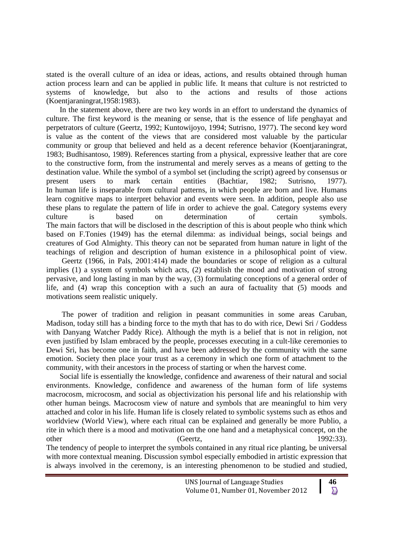stated is the overall culture of an idea or ideas, actions, and results obtained through human action process learn and can be applied in public life. It means that culture is not restricted to systems of knowledge, but also to the actions and results of those actions (Koentjaraningrat,1958:1983).

In the statement above, there are two key words in an effort to understand the dynamics of culture. The first keyword is the meaning or sense, that is the essence of life penghayat and perpetrators of culture (Geertz, 1992; Kuntowijoyo, 1994; Sutrisno, 1977). The second key word is value as the content of the views that are considered most valuable by the particular community or group that believed and held as a decent reference behavior (Koentjaraningrat, 1983; Budhisantoso, 1989). References starting from a physical, expressive leather that are core to the constructive form, from the instrumental and merely serves as a means of getting to the destination value. While the symbol of a symbol set (including the script) agreed by consensus or present users to mark certain entities (Bachtiar, 1982; Sutrisno, 1977). In human life is inseparable from cultural patterns, in which people are born and live. Humans learn cognitive maps to interpret behavior and events were seen. In addition, people also use these plans to regulate the pattern of life in order to achieve the goal. Category systems every culture is based on determination of certain symbols. The main factors that will be disclosed in the description of this is about people who think which based on F.Tonies (1949) has the eternal dilemma: as individual beings, social beings and creatures of God Almighty. This theory can not be separated from human nature in light of the teachings of religion and description of human existence in a philosophical point of view.

Geertz (1966, in Pals, 2001:414) made the boundaries or scope of religion as a cultural implies (1) a system of symbols which acts, (2) establish the mood and motivation of strong pervasive, and long lasting in man by the way, (3) formulating conceptions of a general order of life, and (4) wrap this conception with a such an aura of factuality that (5) moods and motivations seem realistic uniquely.

The power of tradition and religion in peasant communities in some areas Caruban, Madison, today still has a binding force to the myth that has to do with rice, Dewi Sri / Goddess with Danyang Watcher Paddy Rice). Although the myth is a belief that is not in religion, not even justified by Islam embraced by the people, processes executing in a cult-like ceremonies to Dewi Sri, has become one in faith, and have been addressed by the community with the same emotion. Society then place your trust as a ceremony in which one form of attachment to the community, with their ancestors in the process of starting or when the harvest come.

Social life is essentially the knowledge, confidence and awareness of their natural and social environments. Knowledge, confidence and awareness of the human form of life systems macrocosm, microcosm, and social as objectivization his personal life and his relationship with other human beings. Macrocosm view of nature and symbols that are meaningful to him very attached and color in his life. Human life is closely related to symbolic systems such as ethos and worldview (World View), where each ritual can be explained and generally be more Publio, a rite in which there is a mood and motivation on the one hand and a metaphysical concept, on the other (Geertz, 1992:33).

The tendency of people to interpret the symbols contained in any ritual rice planting, be universal with more contextual meaning. Discussion symbol especially embodied in artistic expression that is always involved in the ceremony, is an interesting phenomenon to be studied and studied,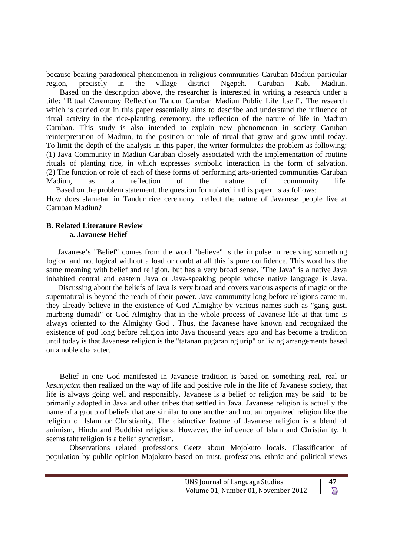because bearing paradoxical phenomenon in religious communities Caruban Madiun particular region, precisely in the village district Ngepeh. Caruban Kab. Madiun. Based on the description above, the researcher is interested in writing a research under a title: "Ritual Ceremony Reflection Tandur Caruban Madiun Public Life Itself". The research which is carried out in this paper essentially aims to describe and understand the influence of ritual activity in the rice-planting ceremony, the reflection of the nature of life in Madiun Caruban. This study is also intended to explain new phenomenon in society Caruban reinterpretation of Madiun, to the position or role of ritual that grow and grow until today. To limit the depth of the analysis in this paper, the writer formulates the problem as following: (1) Java Community in Madiun Caruban closely associated with the implementation of routine rituals of planting rice, in which expresses symbolic interaction in the form of salvation. (2) The function or role of each of these forms of performing arts-oriented communities Caruban Madiun, as a reflection of the nature of community life.

Based on the problem statement, the question formulated in this paper is as follows: How does slametan in Tandur rice ceremony reflect the nature of Javanese people live at Caruban Madiun?

#### **B. Related Literature Review a. Javanese Belief**

Javanese's "Belief" comes from the word "believe" is the impulse in receiving something logical and not logical without a load or doubt at all this is pure confidence. This word has the same meaning with belief and religion, but has a very broad sense. "The Java" is a native Java inhabited central and eastern Java or Java-speaking people whose native language is Java.

Discussing about the beliefs of Java is very broad and covers various aspects of magic or the supernatural is beyond the reach of their power. Java community long before religions came in, they already believe in the existence of God Almighty by various names such as "gang gusti murbeng dumadi" or God Almighty that in the whole process of Javanese life at that time is always oriented to the Almighty God . Thus, the Javanese have known and recognized the existence of god long before religion into Java thousand years ago and has become a tradition until today is that Javanese religion is the "tatanan pugaraning urip" or living arrangements based on a noble character.

Belief in one God manifested in Javanese tradition is based on something real, real or *kesunyatan* then realized on the way of life and positive role in the life of Javanese society, that life is always going well and responsibly. Javanese is a belief or religion may be said to be primarily adopted in Java and other tribes that settled in Java. Javanese religion is actually the name of a group of beliefs that are similar to one another and not an organized religion like the religion of Islam or Christianity. The distinctive feature of Javanese religion is a blend of animism, Hindu and Buddhist religions. However, the influence of Islam and Christianity. It seems taht religion is a belief syncretism.

Observations related professions Geetz about Mojokuto locals. Classification of population by public opinion Mojokuto based on trust, professions, ethnic and political views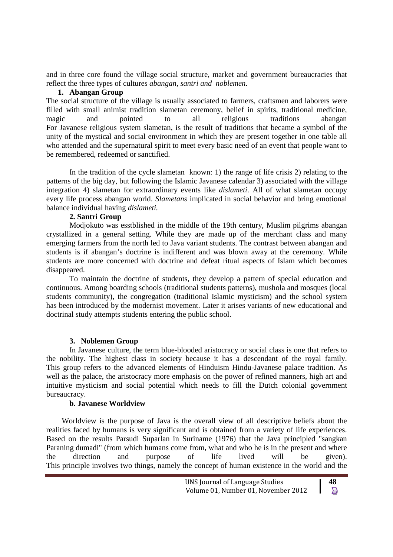and in three core found the village social structure, market and government bureaucracies that reflect the three types of cultures *abangan*, *santri and noblemen*.

## **1. Abangan Group**

The social structure of the village is usually associated to farmers, craftsmen and laborers were filled with small animist tradition slametan ceremony, belief in spirits, traditional medicine, magic and pointed to all religious traditions abangan For Javanese religious system slametan, is the result of traditions that became a symbol of the unity of the mystical and social environment in which they are present together in one table all who attended and the supernatural spirit to meet every basic need of an event that people want to be remembered, redeemed or sanctified.

In the tradition of the cycle slametan known: 1) the range of life crisis 2) relating to the patterns of the big day, but following the Islamic Javanese calendar 3) associated with the village integration 4) slametan for extraordinary events like *dislameti*. All of what slametan occupy every life process abangan world. *Slametans* implicated in social behavior and bring emotional balance individual having *dislameti.*

## **2. Santri Group**

Modjokuto was esstblished in the middle of the 19th century, Muslim pilgrims abangan crystallized in a general setting. While they are made up of the merchant class and many emerging farmers from the north led to Java variant students. The contrast between abangan and students is if abangan's doctrine is indifferent and was blown away at the ceremony. While students are more concerned with doctrine and defeat ritual aspects of Islam which becomes disappeared.

To maintain the doctrine of students, they develop a pattern of special education and continuous. Among boarding schools (traditional students patterns), mushola and mosques (local students community), the congregation (traditional Islamic mysticism) and the school system has been introduced by the modernist movement. Later it arises variants of new educational and doctrinal study attempts students entering the public school.

# **3. Noblemen Group**

In Javanese culture, the term blue-blooded aristocracy or social class is one that refers to the nobility. The highest class in society because it has a descendant of the royal family. This group refers to the advanced elements of Hinduism Hindu-Javanese palace tradition. As well as the palace, the aristocracy more emphasis on the power of refined manners, high art and intuitive mysticism and social potential which needs to fill the Dutch colonial government bureaucracy.

## **b. Javanese Worldview**

Worldview is the purpose of Java is the overall view of all descriptive beliefs about the realities faced by humans is very significant and is obtained from a variety of life experiences. Based on the results Parsudi Suparlan in Suriname (1976) that the Java principled "sangkan Paraning dumadi" (from which humans come from, what and who he is in the present and where the direction and purpose of life lived will be given). This principle involves two things, namely the concept of human existence in the world and the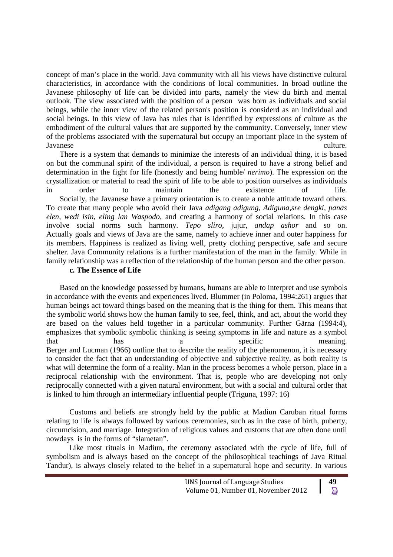concept of man's place in the world. Java community with all his views have distinctive cultural characteristics, in accordance with the conditions of local communities. In broad outline the Javanese philosophy of life can be divided into parts, namely the view du birth and mental outlook. The view associated with the position of a person was born as individuals and social beings, while the inner view of the related person's position is considerd as an individual and social beings. In this view of Java has rules that is identified by expressions of culture as the embodiment of the cultural values that are supported by the community. Conversely, inner view of the problems associated with the supernatural but occupy an important place in the system of Javanese culture.

There is a system that demands to minimize the interests of an individual thing, it is based on but the communal spirit of the individual, a person is required to have a strong belief and determination in the fight for life (honestly and being humble/ *nerimo*). The expression on the crystallization or material to read the spirit of life to be able to position ourselves as individuals in order to maintain the existence of life. Socially, the Javanese have a primary orientation is to create a noble attitude toward others. To create that many people who avoid their Java *adigang adigung, Adiguna,sre dengki, panas elen, wedi isin, eling lan Waspodo*, and creating a harmony of social relations. In this case involve social norms such harmony. *Tepo sliro*, jujur, *andap ashor* and so on. Actually goals and views of Java are the same, namely to achieve inner and outer happiness for its members. Happiness is realized as living well, pretty clothing perspective, safe and secure shelter. Java Community relations is a further manifestation of the man in the family. While in family relationship was a reflection of the relationship of the human person and the other person.

#### **c. The Essence of Life**

Based on the knowledge possessed by humans, humans are able to interpret and use symbols in accordance with the events and experiences lived. Blummer (in Poloma, 1994:261) argues that human beings act toward things based on the meaning that is the thing for them. This means that the symbolic world shows how the human family to see, feel, think, and act, about the world they are based on the values held together in a particular community. Further Gärna (1994:4), emphasizes that symbolic symbolic thinking is seeing symptoms in life and nature as a symbol that has has a specific meaning. Berger and Lucman (1966) outline that to describe the reality of the phenomenon, it is necessary to consider the fact that an understanding of objective and subjective reality, as both reality is what will determine the form of a reality. Man in the process becomes a whole person, place in a reciprocal relationship with the environment. That is, people who are developing not only reciprocally connected with a given natural environment, but with a social and cultural order that is linked to him through an intermediary influential people (Triguna, 1997: 16)

Customs and beliefs are strongly held by the public at Madiun Caruban ritual forms relating to life is always followed by various ceremonies, such as in the case of birth, puberty, circumcision, and marriage. Integration of religious values and customs that are often done until nowdays is in the forms of "slametan".

Like most rituals in Madiun, the ceremony associated with the cycle of life, full of symbolism and is always based on the concept of the philosophical teachings of Java Ritual Tandur), is always closely related to the belief in a supernatural hope and security. In various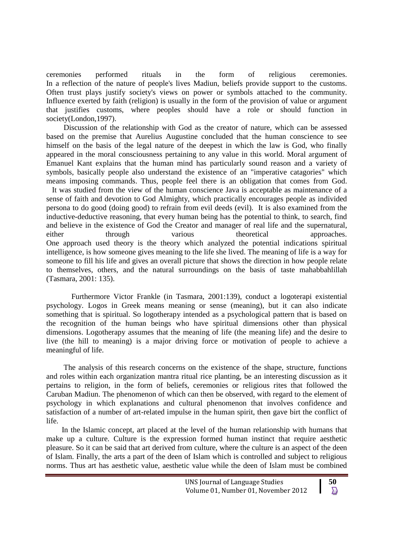ceremonies performed rituals in the form of religious ceremonies. In a reflection of the nature of people's lives Madiun, beliefs provide support to the customs. Often trust plays justify society's views on power or symbols attached to the community. Influence exerted by faith (religion) is usually in the form of the provision of value or argument that justifies customs, where peoples should have a role or should function in society(London,1997).

Discussion of the relationship with God as the creator of nature, which can be assessed based on the premise that Aurelius Augustine concluded that the human conscience to see himself on the basis of the legal nature of the deepest in which the law is God, who finally appeared in the moral consciousness pertaining to any value in this world. Moral argument of Emanuel Kant explains that the human mind has particularly sound reason and a variety of symbols, basically people also understand the existence of an "imperative catagories" which means imposing commands. Thus, people feel there is an obligation that comes from God.

It was studied from the view of the human conscience Java is acceptable as maintenance of a sense of faith and devotion to God Almighty, which practically encourages people as individed persona to do good (doing good) to refrain from evil deeds (evil). It is also examined from the inductive-deductive reasoning, that every human being has the potential to think, to search, find and believe in the existence of God the Creator and manager of real life and the supernatural, either through various theoretical approaches. One approach used theory is the theory which analyzed the potential indications spiritual intelligence, is how someone gives meaning to the life she lived. The meaning of life is a way for someone to fill his life and gives an overall picture that shows the direction in how people relate to themselves, others, and the natural surroundings on the basis of taste mahabbahlillah (Tasmara, 2001: 135).

Furthermore Victor Frankle (in Tasmara, 2001:139), conduct a logoterapi existential psychology. Logos in Greek means meaning or sense (meaning), but it can also indicate something that is spiritual. So logotherapy intended as a psychological pattern that is based on the recognition of the human beings who have spiritual dimensions other than physical dimensions. Logotherapy assumes that the meaning of life (the meaning life) and the desire to live (the hill to meaning) is a major driving force or motivation of people to achieve a meaningful of life.

The analysis of this research concerns on the existence of the shape, structure, functions and roles within each organization mantra ritual rice planting, be an interesting discussion as it pertains to religion, in the form of beliefs, ceremonies or religious rites that followed the Caruban Madiun. The phenomenon of which can then be observed, with regard to the element of psychology in which explanations and cultural phenomenon that involves confidence and satisfaction of a number of art-related impulse in the human spirit, then gave birt the conflict of life.

In the Islamic concept, art placed at the level of the human relationship with humans that make up a culture. Culture is the expression formed human instinct that require aesthetic pleasure. So it can be said that art derived from culture, where the culture is an aspect of the deen of Islam. Finally, the arts a part of the deen of Islam which is controlled and subject to religious norms. Thus art has aesthetic value, aesthetic value while the deen of Islam must be combined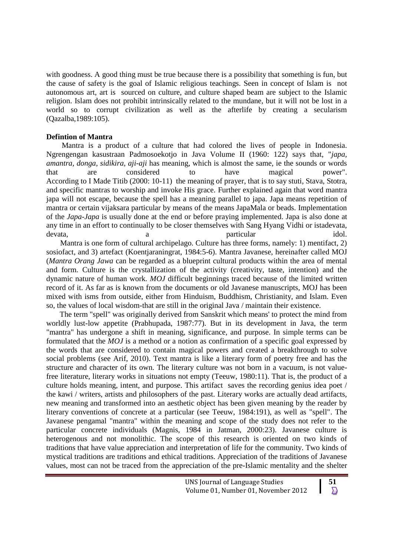with goodness. A good thing must be true because there is a possibility that something is fun, but the cause of safety is the goal of Islamic religious teachings. Seen in concept of Islam is not autonomous art, art is sourced on culture, and culture shaped beam are subject to the Islamic religion. Islam does not prohibit intrinsically related to the mundane, but it will not be lost in a world so to corrupt civilization as well as the afterlife by creating a secularism (Qazalba,1989:105).

## **Defintion of Mantra**

Mantra is a product of a culture that had colored the lives of people in Indonesia. Ngrengengan kasustraan Padmosoekotjo in Java Volume II (1960: 122) says that, "*japa, amantra, donga, sidikira, aji-aji* has meaning, which is almost the same, ie the sounds or words that are considered to have magical power". According to I Made Titib (2000: 10-11) the meaning of prayer, that is to say stuti, Stava, Stotra, and specific mantras to worship and invoke His grace. Further explained again that word mantra japa will not escape, because the spell has a meaning parallel to japa. Japa means repetition of mantra or certain vijaksara particular by means of the means JapaMala or beads. Implementation of the *Japa-Japa* is usually done at the end or before praying implemented. Japa is also done at any time in an effort to continually to be closer themselves with Sang Hyang Vidhi or istadevata, devata, a question devata, a particular particular idol.

Mantra is one form of cultural archipelago. Culture has three forms, namely: 1) mentifact, 2) sosiofact, and 3) artefact (Koentjaraningrat, 1984:5-6). Mantra Javanese, hereinafter called MOJ (*Mantra Orang Jawa* can be regarded as a blueprint cultural products within the area of mental and form. Culture is the crystallization of the activity (creativity, taste, intention) and the dynamic nature of human work. *MOJ* difficult beginnings traced because of the limited written record of it. As far as is known from the documents or old Javanese manuscripts, MOJ has been mixed with isms from outside, either from Hinduism, Buddhism, Christianity, and Islam. Even so, the values of local wisdom-that are still in the original Java / maintain their existence.

The term "spell" was originally derived from Sanskrit which means' to protect the mind from worldly lust-low appetite (Prabhupada, 1987:77). But in its development in Java, the term "mantra" has undergone a shift in meaning, significance, and purpose. In simple terms can be formulated that the *MOJ* is a method or a notion as confirmation of a specific goal expressed by the words that are considered to contain magical powers and created a breakthrough to solve social problems (see Arif, 2010). Text mantra is like a literary form of poetry free and has the structure and character of its own. The literary culture was not born in a vacuum, is not valuefree literature, literary works in situations not empty (Teeuw, 1980:11). That is, the product of a culture holds meaning, intent, and purpose. This artifact saves the recording genius idea poet / the kawi / writers, artists and philosophers of the past. Literary works are actually dead artifacts, new meaning and transformed into an aesthetic object has been given meaning by the reader by literary conventions of concrete at a particular (see Teeuw, 1984:191), as well as "spell". The Javanese pengamal "mantra" within the meaning and scope of the study does not refer to the particular concrete individuals (Magnis, 1984 in Jatman, 2000:23). Javanese culture is heterogenous and not monolithic. The scope of this research is oriented on two kinds of traditions that have value appreciation and interpretation of life for the community. Two kinds of mystical traditions are traditions and ethical traditions. Appreciation of the traditions of Javanese values, most can not be traced from the appreciation of the pre-Islamic mentality and the shelter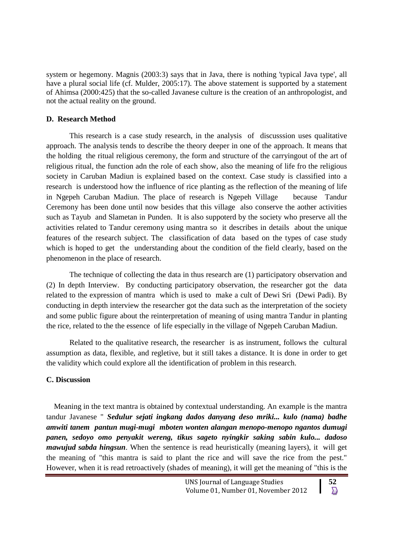system or hegemony. Magnis (2003:3) says that in Java, there is nothing 'typical Java type', all have a plural social life (cf. Mulder, 2005:17). The above statement is supported by a statement of Ahimsa (2000:425) that the so-called Javanese culture is the creation of an anthropologist, and not the actual reality on the ground.

## **D. Research Method**

This research is a case study research, in the analysis of discusssion uses qualitative approach. The analysis tends to describe the theory deeper in one of the approach. It means that the holding the ritual religious ceremony, the form and structure of the carryingout of the art of religious ritual, the function adn the role of each show, also the meaning of life fro the religious society in Caruban Madiun is explained based on the context. Case study is classified into a research is understood how the influence of rice planting as the reflection of the meaning of life in Ngepeh Caruban Madiun. The place of research is Ngepeh Village because Tandur Ceremony has been done until now besides that this village also conserve the aother activities such as Tayub and Slametan in Punden. It is also suppoterd by the society who preserve all the activities related to Tandur ceremony using mantra so it describes in details about the unique features of the research subject. The classification of data based on the types of case study which is hoped to get the understanding about the condition of the field clearly, based on the phenomenon in the place of research.

The technique of collecting the data in thus research are (1) participatory observation and (2) In depth Interview. By conducting participatory observation, the researcher got the data related to the expression of mantra which is used to make a cult of Dewi Sri (Dewi Padi). By conducting in depth interview the researcher got the data such as the interpretation of the society and some public figure about the reinterpretation of meaning of using mantra Tandur in planting the rice, related to the the essence of life especially in the village of Ngepeh Caruban Madiun.

Related to the qualitative research, the researcher is as instrument, follows the cultural assumption as data, flexible, and regletive, but it still takes a distance. It is done in order to get the validity which could explore all the identification of problem in this research.

# **C. Discussion**

Meaning in the text mantra is obtained by contextual understanding. An example is the mantra tandur Javanese " *Sedulur sejati ingkang dados danyang deso mriki... kulo (nama) badhe amwiti tanem pantun mugi-mugi mboten wonten alangan menopo-menopo ngantos dumugi panen, sedoyo omo penyakit wereng, tikus sageto nyingkir saking sabin kulo... dadoso mawujud sabda hingsun*. When the sentence is read heuristically (meaning layers), it will get the meaning of "this mantra is said to plant the rice and will save the rice from the pest." However, when it is read retroactively (shades of meaning), it will get the meaning of "this is the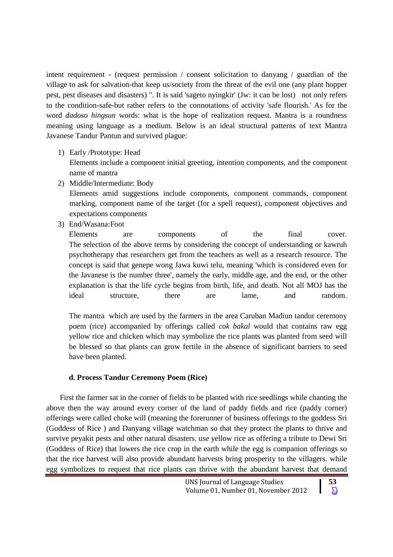intent requirement - (request permission / consent solicitation to danyang / guardian of the village to ask for salvation-that keep us/society from the threat of the evil one (any plant hopper pest, pest diseases and disasters) ". It is said 'sageto nyingkir' (Jw: it can be lost) not only refers to the condition-safe-but rather refers to the connotations of activity 'safe flourish.' As for the word *dadoso hingsun* words: what is the hope of realization request. Mantra is a roundness meaning using language as a medium. Below is an ideal structural patterns of text Mantra Javanese Tandur Pantun and survived plague:

1) Early /Prototype: Head

Elements include a component initial greeting, intention components, and the component name of mantra

2) Middle/Intermediate: Body

Elements amid suggestions include components, component commands, component marking, component name of the target (for a spell request), component objectives and expectations components

3) End/Wasana:Foot

Elements are components of the final cover. The selection of the above terms by considering the concept of understanding or kawruh psychotherapy that researchers get from the teachers as well as a research resource. The concept is said that genepe wong Jawa kuwi telu, meaning 'which is considered even for the Javanese is the number three', namely the early, middle age, and the end, or the other explanation is that the life cycle begins from birth, life, and death. Not all MOJ has the ideal structure, there are lame, and random.

The mantra which are used by the farmers in the area Caruban Madiun tandur ceremony poem (rice) accompanied by offerings called *cok bakal* would that contains raw egg yellow rice and chicken which may symbolize the rice plants was planted from seed will be blessed so that plants can grow fertile in the absence of significant barriers to seed have been planted.

# **d. Process Tandur Ceremony Poem (Rice)**

First the farmer sat in the corner of fields to be planted with rice seedlings while chanting the above then the way around every corner of the land of paddy fields and rice (paddy corner) offerings were called choke will (meaning the forerunner of business offerings to the goddess Sri (Goddess of Rice ) and Danyang village watchman so that they protect the plants to thrive and survive peyakit pests and other natural disasters. use yellow rice as offering a tribute to Dewi Sri (Goddess of Rice) that lowers the rice crop in the earth while the egg is companion offerings so that the rice harvest will also provide abundant harvests bring prosperity to the villagers. while egg symbolizes to request that rice plants can thrive with the abundant harvest that demand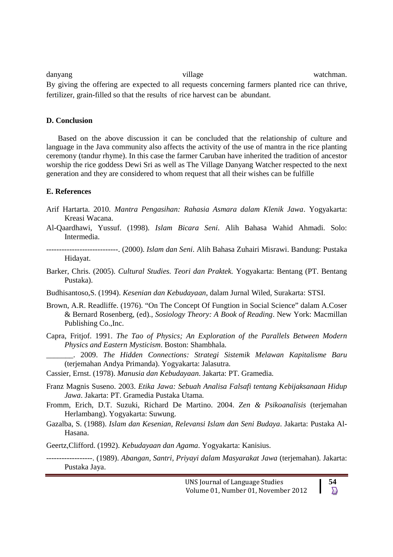danyang village village watchman. By giving the offering are expected to all requests concerning farmers planted rice can thrive, fertilizer, grain-filled so that the results of rice harvest can be abundant.

### **D. Conclusion**

Based on the above discussion it can be concluded that the relationship of culture and language in the Java community also affects the activity of the use of mantra in the rice planting ceremony (tandur rhyme). In this case the farmer Caruban have inherited the tradition of ancestor worship the rice goddess Dewi Sri as well as The Village Danyang Watcher respected to the next generation and they are considered to whom request that all their wishes can be fulfille

#### **E. References**

- Arif Hartarta. 2010. *Mantra Pengasihan: Rahasia Asmara dalam Klenik Jawa*. Yogyakarta: Kreasi Wacana.
- Al-Qaardhawi, Yussuf. (1998). *Islam Bicara Seni*. Alih Bahasa Wahid Ahmadi. Solo: Intermedia.
- ----------------------------. (2000). *Islam dan Seni*. Alih Bahasa Zuhairi Misrawi. Bandung: Pustaka Hidayat.
- Barker, Chris. (2005). *Cultural Studies. Teori dan Praktek.* Yogyakarta: Bentang (PT. Bentang Pustaka).
- Budhisantoso,S. (1994). *Kesenian dan Kebudayaan*, dalam Jurnal Wiled, Surakarta: STSI.
- Brown, A.R. Readliffe. (1976). "On The Concept Of Fungtion in Social Science" dalam A.Coser & Bernard Rosenberg, (ed)., *Sosiology Theory: A Book of Reading*. New York: Macmillan Publishing Co.,Inc.
- Capra, Fritjof. 1991. *The Tao of Physics; An Exploration of the Parallels Between Modern Physics and Eastern Mysticism*. Boston: Shambhala.

\_\_\_\_\_\_\_. 2009. *The Hidden Connections: Strategi Sistemik Melawan Kapitalisme Baru* (terjemahan Andya Primanda). Yogyakarta: Jalasutra.

Cassier, Ernst. (1978). *Manusia dan Kebudayaan*. Jakarta: PT. Gramedia.

- Franz Magnis Suseno. 2003. *Etika Jawa: Sebuah Analisa Falsafi tentang Kebijaksanaan Hidup Jawa*. Jakarta: PT. Gramedia Pustaka Utama.
- Fromm, Erich, D.T. Suzuki, Richard De Martino. 2004. *Zen & Psikoanalisis* (terjemahan Herlambang). Yogyakarta: Suwung.
- Gazalba, S. (1988). *Islam dan Kesenian, Relevansi Islam dan Seni Budaya*. Jakarta: Pustaka Al-Hasana.
- Geertz,Clifford. (1992). *Kebudayaan dan Agama*. Yogyakarta: Kanisius.
- ------------------. (1989). *Abangan, Santri, Priyayi dalam Masyarakat Jawa* (terjemahan). Jakarta: Pustaka Jaya.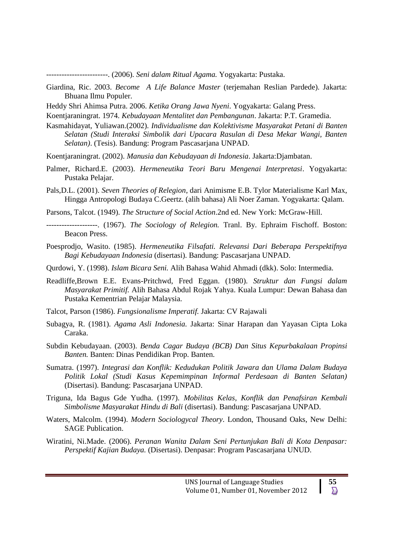------------------------. (2006). *Seni dalam Ritual Agama.* Yogyakarta: Pustaka.

- Giardina, Ric. 2003. *Become A Life Balance Master* (terjemahan Reslian Pardede). Jakarta: Bhuana Ilmu Populer.
- Heddy Shri Ahimsa Putra. 2006. *Ketika Orang Jawa Nyeni*. Yogyakarta: Galang Press.
- Koentjaraningrat. 1974. *Kebudayaan Mentalitet dan Pembangunan*. Jakarta: P.T. Gramedia.
- Kasmahidayat, Yuliawan.(2002). *Individualisme dan Kolektivisme Masyarakat Petani di Banten Selatan (Studi Interaksi Simbolik dari Upacara Rasulan di Desa Mekar Wangi, Banten Selatan)*. (Tesis). Bandung: Program Pascasarjana UNPAD.
- Koentjaraningrat. (2002). *Manusia dan Kebudayaan di Indonesia*. Jakarta:Djambatan.
- Palmer, Richard.E. (2003). *Hermeneutika Teori Baru Mengenai Interpretasi*. Yogyakarta: Pustaka Pelajar.
- Pals,D.L. (2001). *Seven Theories of Relegion*, dari Animisme E.B. Tylor Materialisme Karl Max, Hingga Antropologi Budaya C.Geertz. (alih bahasa) Ali Noer Zaman. Yogyakarta: Qalam.
- Parsons, Talcot. (1949). *The Structure of Social Action*.2nd ed. New York: McGraw-Hill.
- --------------------. (1967). *The Sociology of Relegion.* Tranl. By. Ephraim Fischoff. Boston: Beacon Press.
- Poesprodjo, Wasito. (1985). *Hermeneutika Filsafati. Relevansi Dari Beberapa Perspektifnya Bagi Kebudayaan Indonesia* (disertasi). Bandung: Pascasarjana UNPAD.
- Qurdowi, Y. (1998). *Islam Bicara Seni.* Alih Bahasa Wahid Ahmadi (dkk). Solo: Intermedia.
- Readliffe,Brown E.E. Evans-Pritchwd, Fred Eggan. (1980). *Struktur dan Fungsi dalam Masyarakat Primitif.* Alih Bahasa Abdul Rojak Yahya. Kuala Lumpur: Dewan Bahasa dan Pustaka Kementrian Pelajar Malaysia.
- Talcot, Parson (1986). *Fungsionalisme Imperatif.* Jakarta: CV Rajawali
- Subagya, R. (1981). *Agama Asli Indonesia.* Jakarta: Sinar Harapan dan Yayasan Cipta Loka Caraka.
- Subdin Kebudayaan. (2003). *Benda Cagar Budaya (BCB) Dan Situs Kepurbakalaan Propinsi Banten.* Banten: Dinas Pendidikan Prop. Banten.
- Sumatra. (1997). *Integrasi dan Konflik: Kedudukan Politik Jawara dan Ulama Dalam Budaya Politik Lokal (Studi Kasus Kepemimpinan Informal Perdesaan di Banten Selatan)* (Disertasi). Bandung: Pascasarjana UNPAD.
- Triguna, Ida Bagus Gde Yudha. (1997). *Mobilitas Kelas, Konflik dan Penafsiran Kembali Simbolisme Masyarakat Hindu di Bali* (disertasi). Bandung: Pascasarjana UNPAD.
- Waters, Malcolm. (1994). *Modern Sociologycal Theory*. London, Thousand Oaks, New Delhi: SAGE Publication.
- Wiratini, Ni.Made. (2006). *Peranan Wanita Dalam Seni Pertunjukan Bali di Kota Denpasar: Perspektif Kajian Budaya.* (Disertasi). Denpasar: Program Pascasarjana UNUD.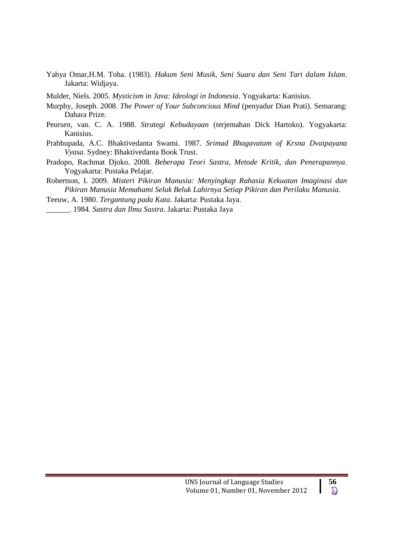Yahya Omar,H.M. Toha. (1983). *Hukum Seni Musik, Seni Suara dan Seni Tari dalam Islam*. Jakarta: Widjaya.

Mulder, Niels. 2005. *Mysticism in Java: Ideologi in Indonesia*. Yogyakarta: Kanisius.

- Murphy, Joseph. 2008. *The Power of Your Subconcious Mind* (penyadur Dian Prati). Semarang: Dahara Prize.
- Peursen, van. C. A. 1988. *Strategi Kebudayaan* (terjemahan Dick Hartoko). Yogyakarta: Kanisius.
- Prabhupada, A.C. Bhaktivedanta Swami. 1987. *Srimad Bhagavatam of Krsna Dvaipayana Vyasa*. Sydney: Bhaktivedanta Book Trust.
- Pradopo, Rachmat Djoko. 2008. *Beberapa Teori Sastra, Metode Kritik, dan Penerapannya*. Yogyakarta: Pustaka Pelajar.
- Robertson, I. 2009. *Misteri Pikiran Manusia: Menyingkap Rahasia Kekuatan Imaginasi dan Pikiran Manusia Memahami Seluk Beluk Lahirnya Setiap Pikiran dan Perilaku Manusia.*
- Teeuw, A. 1980. *Tergantung pada Kata*. Jakarta: Pustaka Jaya.
- \_\_\_\_\_\_. 1984. *Sastra dan Ilmu Sastra*. Jakarta: Pustaka Jaya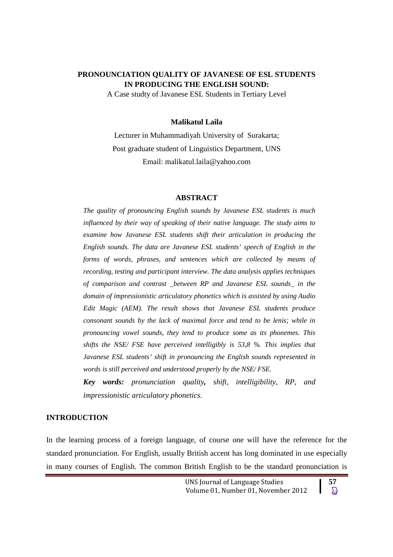## **PRONOUNCIATION QUALITY OF JAVANESE OF ESL STUDENTS IN PRODUCING THE ENGLISH SOUND:**

A Case studty of Javanese ESL Students in Tertiary Level

#### **Malikatul Laila**

Lecturer in Muhammadiyah University of Surakarta; Post graduate student of Linguistics Department, UNS Email: malikatul.laila@yahoo.com

### **ABSTRACT**

*The quality of pronouncing English sounds by Javanese ESL students is much influenced by their way of speaking of their native language. The study aims to examine how Javanese ESL students shift their articulation in producing the English sounds. The data are Javanese ESL students' speech of English in the forms of words, phrases, and sentences which are collected by means of recording, testing and participant interview. The data analysis applies techniques of comparison and contrast \_between RP and Javanese ESL sounds\_ in the domain of impressionistic articulatory phonetics which is assisted by using Audio Edit Magic (AEM). The result shows that Javanese ESL students produce consonant sounds by the lack of maximal force and tend to be lenis; while in pronouncing vowel sounds, they tend to produce some as its phonemes. This shifts the NSE/ FSE have perceived intelligibly is 53,8 %. This implies that Javanese ESL students' shift in pronouncing the English sounds represented in words is still perceived and understood properly by the NSE/ FSE.*

*Key words: pronunciation quality, shift, intelligibility, RP, and impressionistic articulatory phonetics.*

#### **INTRODUCTION**

In the learning process of a foreign language, of course one will have the reference for the standard pronunciation. For English, usually British accent has long dominated in use especially in many courses of English. The common British English to be the standard pronunciation is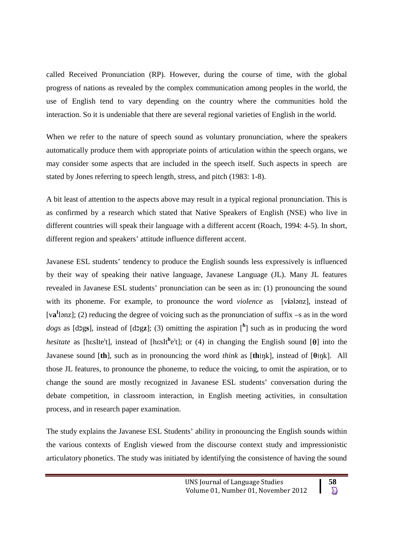called Received Pronunciation (RP). However, during the course of time, with the global progress of nations as revealed by the complex communication among peoples in the world, the use of English tend to vary depending on the country where the communities hold the interaction. So it is undeniable that there are several regional varieties of English in the world.

When we refer to the nature of speech sound as voluntary pronunciation, where the speakers automatically produce them with appropriate points of articulation within the speech organs, we may consider some aspects that are included in the speech itself. Such aspects in speech are stated by Jones referring to speech length, stress, and pitch (1983: 1-8).

A bit least of attention to the aspects above may result in a typical regional pronunciation. This is as confirmed by a research which stated that Native Speakers of English (NSE) who live in different countries will speak their language with a different accent (Roach, 1994: 4-5). In short, different region and speakers' attitude influence different accent.

Javanese ESL students' tendency to produce the English sounds less expressively is influenced by their way of speaking their native language, Javanese Language (JL). Many JL features revealed in Javanese ESL students' pronunciation can be seen as in: (1) pronouncing the sound with its phoneme. For example, to pronounce the word *violence* as [v**i**ələnz], instead of [va<sup>I</sup>lənz]; (2) reducing the degree of voicing such as the pronunciation of suffix –s as in the word *dogs* as [dɔ̃gs], instead of [dɔ̃gz]; (3) omitting the aspiration  $\binom{h}{r}$  such as in producing the word *hesitate* as [hɛsIte<sup>l</sup>t], instead of [hɛsIt<sup>h</sup>e<sup>l</sup>t]; or (4) in changing the English sound [ $\theta$ ] into the Javanese sound [**th**], such as in pronouncing the word *think* as [**th**׀ŋk], instead of [**θ**׀ŋk]. All those JL features, to pronounce the phoneme, to reduce the voicing, to omit the aspiration, or to change the sound are mostly recognized in Javanese ESL students' conversation during the debate competition, in classroom interaction, in English meeting activities, in consultation process, and in research paper examination.

The study explains the Javanese ESL Students' ability in pronouncing the English sounds within the various contexts of English viewed from the discourse context study and impressionistic articulatory phonetics. The study was initiated by identifying the consistence of having the sound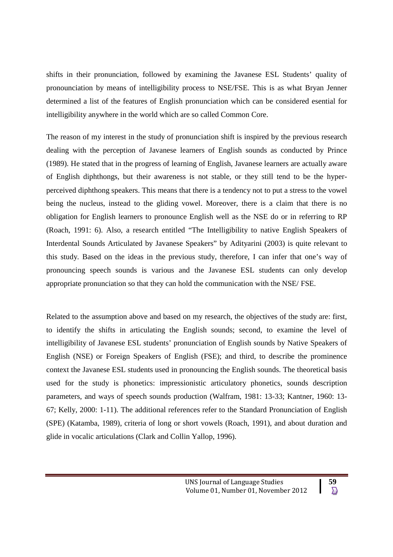shifts in their pronunciation, followed by examining the Javanese ESL Students' quality of pronounciation by means of intelligibility process to NSE/FSE. This is as what Bryan Jenner determined a list of the features of English pronunciation which can be considered esential for intelligibility anywhere in the world which are so called Common Core.

The reason of my interest in the study of pronunciation shift is inspired by the previous research dealing with the perception of Javanese learners of English sounds as conducted by Prince (1989). He stated that in the progress of learning of English, Javanese learners are actually aware of English diphthongs, but their awareness is not stable, or they still tend to be the hyperperceived diphthong speakers. This means that there is a tendency not to put a stress to the vowel being the nucleus, instead to the gliding vowel. Moreover, there is a claim that there is no obligation for English learners to pronounce English well as the NSE do or in referring to RP (Roach, 1991: 6). Also, a research entitled "The Intelligibility to native English Speakers of Interdental Sounds Articulated by Javanese Speakers" by Adityarini (2003) is quite relevant to this study. Based on the ideas in the previous study, therefore, I can infer that one's way of pronouncing speech sounds is various and the Javanese ESL students can only develop appropriate pronunciation so that they can hold the communication with the NSE/ FSE.

Related to the assumption above and based on my research, the objectives of the study are: first, to identify the shifts in articulating the English sounds; second, to examine the level of intelligibility of Javanese ESL students' pronunciation of English sounds by Native Speakers of English (NSE) or Foreign Speakers of English (FSE); and third, to describe the prominence context the Javanese ESL students used in pronouncing the English sounds. The theoretical basis used for the study is phonetics: impressionistic articulatory phonetics, sounds description parameters, and ways of speech sounds production (Walfram, 1981: 13-33; Kantner, 1960: 13- 67; Kelly, 2000: 1-11). The additional references refer to the Standard Pronunciation of English (SPE) (Katamba, 1989), criteria of long or short vowels (Roach, 1991), and about duration and glide in vocalic articulations (Clark and Collin Yallop, 1996).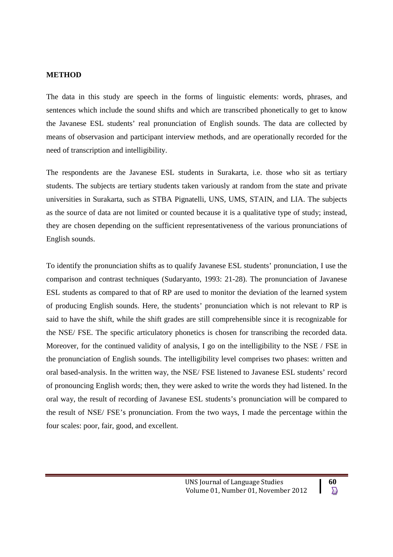#### **METHOD**

The data in this study are speech in the forms of linguistic elements: words, phrases, and sentences which include the sound shifts and which are transcribed phonetically to get to know the Javanese ESL students' real pronunciation of English sounds. The data are collected by means of observasion and participant interview methods, and are operationally recorded for the need of transcription and intelligibility.

The respondents are the Javanese ESL students in Surakarta, i.e. those who sit as tertiary students. The subjects are tertiary students taken variously at random from the state and private universities in Surakarta, such as STBA Pignatelli, UNS, UMS, STAIN, and LIA. The subjects as the source of data are not limited or counted because it is a qualitative type of study; instead, they are chosen depending on the sufficient representativeness of the various pronunciations of English sounds.

To identify the pronunciation shifts as to qualify Javanese ESL students' pronunciation, I use the comparison and contrast techniques (Sudaryanto, 1993: 21-28). The pronunciation of Javanese ESL students as compared to that of RP are used to monitor the deviation of the learned system of producing English sounds. Here, the students' pronunciation which is not relevant to RP is said to have the shift, while the shift grades are still comprehensible since it is recognizable for the NSE/ FSE. The specific articulatory phonetics is chosen for transcribing the recorded data. Moreover, for the continued validity of analysis, I go on the intelligibility to the NSE / FSE in the pronunciation of English sounds. The intelligibility level comprises two phases: written and oral based-analysis. In the written way, the NSE/ FSE listened to Javanese ESL students' record of pronouncing English words; then, they were asked to write the words they had listened. In the oral way, the result of recording of Javanese ESL students's pronunciation will be compared to the result of NSE/ FSE's pronunciation. From the two ways, I made the percentage within the four scales: poor, fair, good, and excellent.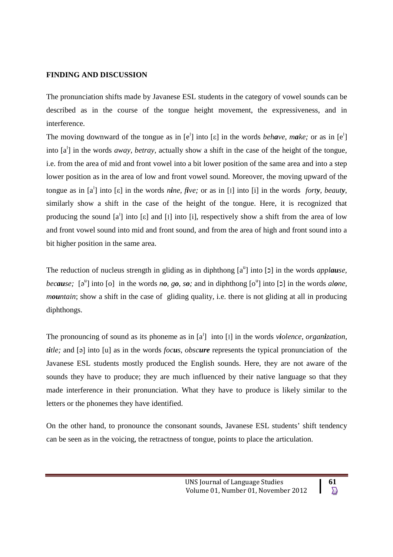## **FINDING AND DISCUSSION**

The pronunciation shifts made by Javanese ESL students in the category of vowel sounds can be described as in the course of the tongue height movement, the expressiveness, and in interference.

The moving downward of the tongue as in  $[e^1]$  into  $[\varepsilon]$  in the words *behave, make;* or as in  $[e^1]$ into [a׀ ] in the words *away, betray,* actually show a shift in the case of the height of the tongue, i.e. from the area of mid and front vowel into a bit lower position of the same area and into a step lower position as in the area of low and front vowel sound. Moreover, the moving upward of the tongue as in  $[a^{\dagger}]$  into  $[\varepsilon]$  in the words *nine, five;* or as in  $[1]$  into  $[i]$  in the words *forty, beauty*, similarly show a shift in the case of the height of the tongue. Here, it is recognized that producing the sound  $[a^{\dagger}]$  into  $[\varepsilon]$  and  $[\dagger]$  into  $[\dagger]$ , respectively show a shift from the area of low and front vowel sound into mid and front sound, and from the area of high and front sound into a bit higher position in the same area.

The reduction of nucleus strength in gliding as in diphthong  $[a^u]$  into [ $\ni$ ] in the words *applause*, *because*;  $[\vartheta^u]$  into  $[\vartheta]$  in the words *no*, *go*, *so*; and in diphthong  $[\vartheta^u]$  into  $[\vartheta]$  in the words *alone*, *mountain*; show a shift in the case of gliding quality, i.e. there is not gliding at all in producing diphthongs.

The pronouncing of sound as its phoneme as in [a<sup>|</sup>] into [1] in the words *violence, organization*, *title;* and [ə] into [u] as in the words *focus, obscure* represents the typical pronunciation of the Javanese ESL students mostly produced the English sounds. Here, they are not aware of the sounds they have to produce; they are much influenced by their native language so that they made interference in their pronunciation. What they have to produce is likely similar to the letters or the phonemes they have identified.

On the other hand, to pronounce the consonant sounds, Javanese ESL students' shift tendency can be seen as in the voicing, the retractness of tongue, points to place the articulation.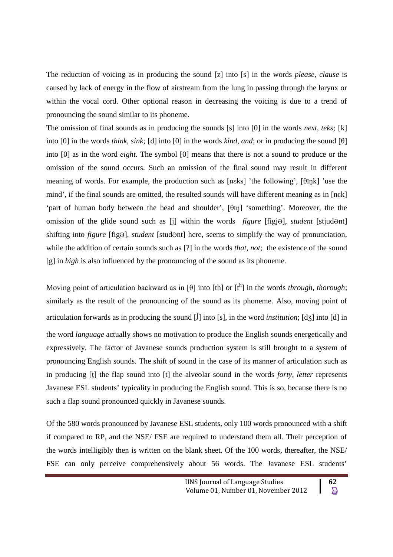The reduction of voicing as in producing the sound [z] into [s] in the words *please, clause* is caused by lack of energy in the flow of airstream from the lung in passing through the larynx or within the vocal cord. Other optional reason in decreasing the voicing is due to a trend of pronouncing the sound similar to its phoneme.

The omission of final sounds as in producing the sounds [s] into [0] in the words *next, teks;* [k] into [0] in the words *think, sink;* [d] into [0] in the words *kind, and*; or in producing the sound [θ] into [0] as in the word *eight*. The symbol [0] means that there is not a sound to produce or the omission of the sound occurs. Such an omission of the final sound may result in different meaning of words. For example, the production such as [nεks] 'the following', [θIŋk] 'use the mind', if the final sounds are omitted, the resulted sounds will have different meaning as in [nεk] 'part of human body between the head and shoulder', [θIŋ] 'something'. Moreover, the the omission of the glide sound such as [j] within the words *figure* [figjƏ], *student* [stjudƏnt] shifting into *figure* [figƏ], *student* [studƏnt] here, seems to simplify the way of pronunciation, while the addition of certain sounds such as [?] in the words *that, not*; the existence of the sound [g] in *high* is also influenced by the pronouncing of the sound as its phoneme.

Moving point of articulation backward as in [ $\theta$ ] into [th] or [t<sup>h</sup>] in the words *through*, *thorough*; similarly as the result of the pronouncing of the sound as its phoneme. Also, moving point of articulation forwards as in producing the sound [∫] into [s], in the word *institution*; [dӡ] into [d] in the word *language* actually shows no motivation to produce the English sounds energetically and expressively. The factor of Javanese sounds production system is still brought to a system of pronouncing English sounds. The shift of sound in the case of its manner of articulation such as in producing [ţ] the flap sound into [t] the alveolar sound in the words *forty, letter* represents Javanese ESL students' typicality in producing the English sound. This is so, because there is no such a flap sound pronounced quickly in Javanese sounds.

Of the 580 words pronounced by Javanese ESL students, only 100 words pronounced with a shift if compared to RP, and the NSE/ FSE are required to understand them all. Their perception of the words intelligibly then is written on the blank sheet. Of the 100 words, thereafter, the NSE/ FSE can only perceive comprehensively about 56 words. The Javanese ESL students'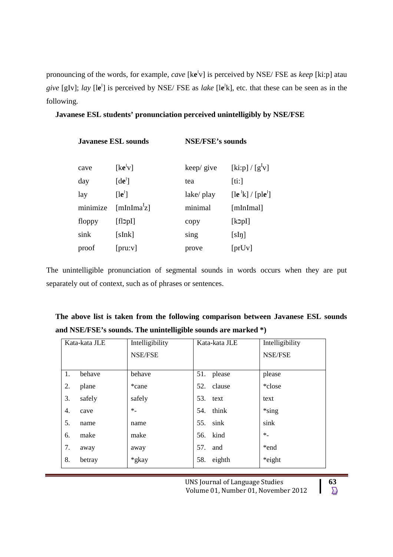pronouncing of the words, for example, *cave* [ke<sup>l</sup>v] is perceived by NSE/ FSE as *keep* [ki:p] atau *give* [gIv]; *lay* [l**e** ׀ ] is perceived by NSE/ FSE as *lake* [l**e** ׀ k], etc. that these can be seen as in the following.

**Javanese ESL students' pronunciation perceived unintelligibly by NSE/FSE**

|          | <b>Javanese ESL sounds</b>               | <b>NSE/FSE's sounds</b> |                                                           |  |  |
|----------|------------------------------------------|-------------------------|-----------------------------------------------------------|--|--|
| cave     | $[ke^{\dagger}v]$                        | keep/ give              | [ki:p] / [g <sup>1</sup> v]                               |  |  |
| day      | $\lceil d\mathbf{e}^{\mathsf{I}} \rceil$ | tea                     | [ti:]                                                     |  |  |
| lay      | $[1e^1]$                                 | lake/play               | $[\text{le}^{\dagger} \text{k}] / [\text{ple}^{\dagger}]$ |  |  |
| minimize | [mInIma <sup>1</sup> z]                  | minimal                 | [mInImal]                                                 |  |  |
| floppy   | [flɔpI]                                  | copy                    | [kɔpI]                                                    |  |  |
| sink     | [sInk]                                   | sing                    | [sIn]                                                     |  |  |
| proof    | $[\text{pru:v}]$                         | prove                   | $[\text{pr}$ Uv]                                          |  |  |

The unintelligible pronunciation of segmental sounds in words occurs when they are put separately out of context, such as of phrases or sentences.

|  |  |  | The above list is taken from the following comparison between Javanese ESL sounds |  |  |
|--|--|--|-----------------------------------------------------------------------------------|--|--|
|  |  |  | and NSE/FSE's sounds. The unintelligible sounds are marked *)                     |  |  |

| Kata-kata JLE |        | Intelligibility | Kata-kata JLE | Intelligibility |
|---------------|--------|-----------------|---------------|-----------------|
|               |        | <b>NSE/FSE</b>  |               | <b>NSE/FSE</b>  |
|               |        |                 |               |                 |
| 1.            | behave | behave          | 51.<br>please | please          |
| 2.            | plane  | *cane           | 52. clause    | *close          |
| 3.            | safely | safely          | 53.<br>text   | text            |
| 4.            | cave   | $*$             | think<br>54.  | $*$ sing        |
| 5.            | name   | name            | sink<br>55.   | sink            |
| 6.            | make   | make            | 56. kind      | $*$             |
| 7.            | away   | away            | 57.<br>and    | *end            |
| 8.            | betray | *gkay           | eighth<br>58. | *eight          |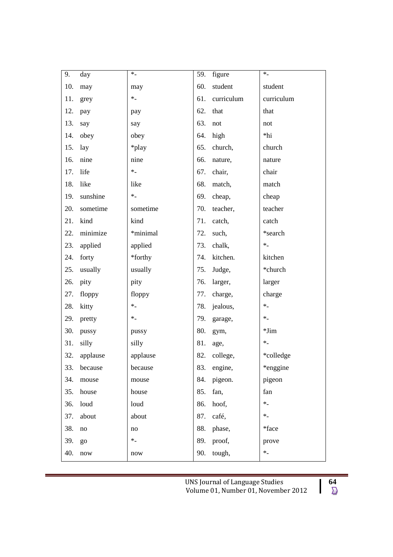| 9.  | day                    | $*$         | 59. | figure     | $*_-$      |
|-----|------------------------|-------------|-----|------------|------------|
| 10. | may                    | may         | 60. | student    | student    |
| 11. | grey                   | $\ast_-$    | 61. | curriculum | curriculum |
| 12. | pay                    | pay         | 62. | that       | that       |
| 13. | say                    | say         | 63. | not        | not        |
| 14. | obey                   | obey        | 64. | high       | *hi        |
| 15. | lay                    | *play       | 65. | church,    | church     |
| 16. | nine                   | nine        | 66. | nature,    | nature     |
| 17. | life                   | $\ast$ $\_$ | 67. | chair,     | chair      |
| 18. | like                   | like        | 68. | match,     | match      |
| 19. | sunshine               | $*$         | 69. | cheap,     | cheap      |
| 20. | sometime               | sometime    | 70. | teacher,   | teacher    |
| 21. | kind                   | kind        | 71. | catch,     | catch      |
| 22. | minimize               | *minimal    | 72. | such,      | *search    |
| 23. | applied                | applied     | 73. | chalk,     | $\ast$     |
| 24. | forty                  | *forthy     | 74. | kitchen.   | kitchen    |
| 25. | usually                | usually     | 75. | Judge,     | *church    |
| 26. | pity                   | pity        | 76. | larger,    | larger     |
| 27. | floppy                 | floppy      | 77. | charge,    | charge     |
| 28. | kitty                  | $\ast_-$    | 78. | jealous,   | $*$        |
| 29. | pretty                 | $*$         | 79. | garage,    | $\ast$ .   |
| 30. | pussy                  | pussy       | 80. | gym,       | $*Jim$     |
| 31. | silly                  | silly       | 81. | age,       | $\ast$ .   |
| 32. | applause               | applause    | 82. | college,   | *colledge  |
| 33. | because                | because     | 83. | engine,    | *enggine   |
| 34. | mouse                  | mouse       | 84. | pigeon.    | pigeon     |
| 35. | house                  | house       | 85. | fan,       | fan        |
| 36. | loud                   | loud        | 86. | hoof,      | $*$        |
| 37. | about                  | about       | 87. | café,      | $*$ .      |
| 38. | $\mathbf{n}\mathbf{o}$ | no          | 88. | phase,     | *face      |
| 39. | go                     | $*$         | 89. | proof,     | prove      |
| 40. | now                    | now         | 90. | tough,     | $*$        |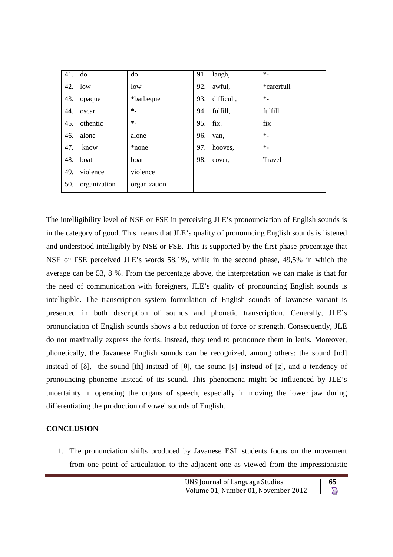| $41.$ do |              | do           |     | 91. laugh,   | $*$        |
|----------|--------------|--------------|-----|--------------|------------|
|          | $42.$ low    | low          |     | 92. awful,   | *carerfull |
| 43.      | opaque       | *barbeque    | 93. | difficult,   | $*$        |
|          | 44. oscar    | $*_{-}$      |     | 94. fulfill, | fulfill    |
| 45.      | othentic     | $*$          |     | 95. fix.     | fix        |
|          | 46. alone    | alone        | 96. | van,         | $*$        |
| 47.      | know         | *none        | 97. | hooves,      | $*$        |
| 48.      | boat         | boat         | 98. | cover,       | Travel     |
| 49.      | violence     | violence     |     |              |            |
| 50.      | organization | organization |     |              |            |

The intelligibility level of NSE or FSE in perceiving JLE's pronounciation of English sounds is in the category of good. This means that JLE's quality of pronouncing English sounds is listened and understood intelligibly by NSE or FSE. This is supported by the first phase procentage that NSE or FSE perceived JLE's words 58,1%, while in the second phase, 49,5% in which the average can be 53, 8 %. From the percentage above, the interpretation we can make is that for the need of communication with foreigners, JLE's quality of pronouncing English sounds is intelligible. The transcription system formulation of English sounds of Javanese variant is presented in both description of sounds and phonetic transcription. Generally, JLE's pronunciation of English sounds shows a bit reduction of force or strength. Consequently, JLE do not maximally express the fortis, instead, they tend to pronounce them in lenis. Moreover, phonetically, the Javanese English sounds can be recognized, among others: the sound [nd] instead of  $[\delta]$ , the sound  $[\text{th}]$  instead of  $[\theta]$ , the sound  $[\text{s}]$  instead of  $[z]$ , and a tendency of pronouncing phoneme instead of its sound. This phenomena might be influenced by JLE's uncertainty in operating the organs of speech, especially in moving the lower jaw during differentiating the production of vowel sounds of English.

# **CONCLUSION**

1. The pronunciation shifts produced by Javanese ESL students focus on the movement from one point of articulation to the adjacent one as viewed from the impressionistic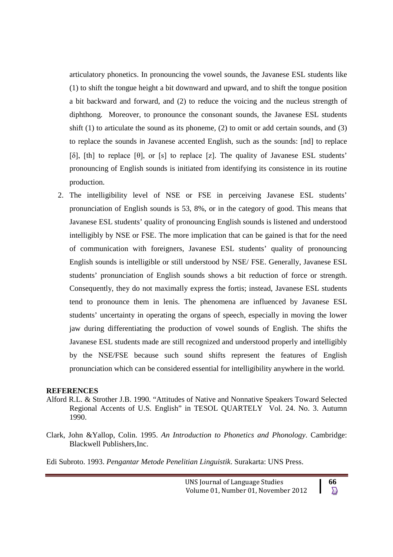articulatory phonetics. In pronouncing the vowel sounds, the Javanese ESL students like (1) to shift the tongue height a bit downward and upward, and to shift the tongue position a bit backward and forward, and (2) to reduce the voicing and the nucleus strength of diphthong. Moreover, to pronounce the consonant sounds, the Javanese ESL students shift (1) to articulate the sound as its phoneme, (2) to omit or add certain sounds, and (3) to replace the sounds in Javanese accented English, such as the sounds: [nd] to replace [δ], [th] to replace [θ], or [s] to replace [z]. The quality of Javanese ESL students' pronouncing of English sounds is initiated from identifying its consistence in its routine production.

2. The intelligibility level of NSE or FSE in perceiving Javanese ESL students' pronunciation of English sounds is 53, 8%, or in the category of good. This means that Javanese ESL students' quality of pronouncing English sounds is listened and understood intelligibly by NSE or FSE. The more implication that can be gained is that for the need of communication with foreigners, Javanese ESL students' quality of pronouncing English sounds is intelligible or still understood by NSE/ FSE. Generally, Javanese ESL students' pronunciation of English sounds shows a bit reduction of force or strength. Consequently, they do not maximally express the fortis; instead, Javanese ESL students tend to pronounce them in lenis. The phenomena are influenced by Javanese ESL students' uncertainty in operating the organs of speech, especially in moving the lower jaw during differentiating the production of vowel sounds of English. The shifts the Javanese ESL students made are still recognized and understood properly and intelligibly by the NSE/FSE because such sound shifts represent the features of English pronunciation which can be considered essential for intelligibility anywhere in the world.

#### **REFERENCES**

- Alford R.L. & Strother J.B. 1990. "Attitudes of Native and Nonnative Speakers Toward Selected Regional Accents of U.S. English" in TESOL QUARTELY Vol. 24. No. 3. Autumn 1990.
- Clark, John &Yallop, Colin. 1995. *An Introduction to Phonetics and Phonology*. Cambridge: Blackwell Publishers,Inc.

Edi Subroto. 1993. *Pengantar Metode Penelitian Linguistik*. Surakarta: UNS Press.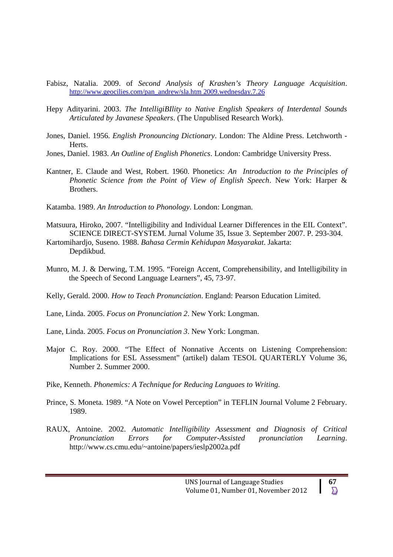- Fabisz, Natalia. 2009. of *Second Analysis of Krashen's Theory Language Acquisition*. http://www.geocilies.com/pan\_andrew/sla.htm 2009.wednesday.7.26
- Hepy Adityarini. 2003. *The IntelligiBIlity to Native English Speakers of Interdental Sounds Articulated by Javanese Speakers*. (The Unpublised Research Work).
- Jones, Daniel. 1956. *English Pronouncing Dictionary*. London: The Aldine Press. Letchworth Herts.
- Jones, Daniel. 1983. *An Outline of English Phonetics*. London: Cambridge University Press.
- Kantner, E. Claude and West, Robert. 1960. Phonetics: *An Introduction to the Principles of Phonetic Science from the Point of View of English Speech*. New York: Harper & Brothers.
- Katamba. 1989. *An Introduction to Phonology*. London: Longman.
- Matsuura, Hiroko, 2007. "Intelligibility and Individual Learner Differences in the EIL Context". SCIENCE DIRECT-SYSTEM. Jurnal Volume 35, Issue 3. September 2007. P. 293-304.
- Kartomihardjo, Suseno. 1988. *Bahasa Cermin Kehidupan Masyarakat*. Jakarta: Depdikbud.
- Munro, M. J. & Derwing, T.M. 1995. "Foreign Accent, Comprehensibility, and Intelligibility in the Speech of Second Language Learners", 45, 73-97.
- Kelly, Gerald. 2000. *How to Teach Pronunciation*. England: Pearson Education Limited.
- Lane, Linda. 2005. *Focus on Pronunciation 2*. New York: Longman.
- Lane, Linda. 2005. *Focus on Pronunciation 3*. New York: Longman.
- Major C. Roy. 2000. "The Effect of Nonnative Accents on Listening Comprehension: Implications for ESL Assessment" (artikel) dalam TESOL QUARTERLY Volume 36, Number 2. Summer 2000.
- Pike, Kenneth. *Phonemics: A Technique for Reducing Languaes to Writing.*
- Prince, S. Moneta. 1989. "A Note on Vowel Perception" in TEFLIN Journal Volume 2 February. 1989.
- RAUX, Antoine. 2002. *Automatic Intelligibility Assessment and Diagnosis of Critical Pronunciation Errors for Computer-Assisted pronunciation Learning*. http://www.cs.cmu.edu/~antoine/papers/ieslp2002a.pdf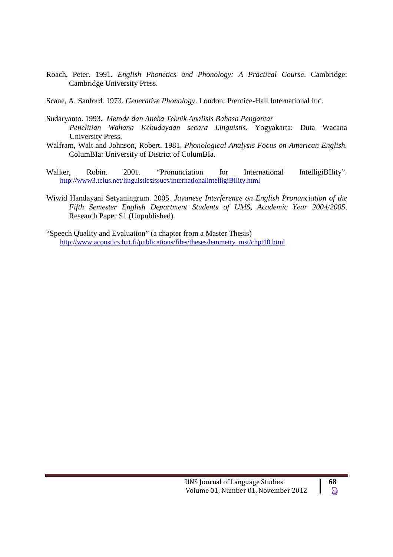- Roach, Peter. 1991. *English Phonetics and Phonology: A Practical Course*. Cambridge: Cambridge University Press.
- Scane, A. Sanford. 1973. *Generative Phonology*. London: Prentice-Hall International Inc.
- Sudaryanto. 1993. *Metode dan Aneka Teknik Analisis Bahasa Pengantar Penelitian Wahana Kebudayaan secara Linguistis*. Yogyakarta: Duta Wacana University Press.
- Walfram, Walt and Johnson, Robert. 1981. *Phonological Analysis Focus on American English.* ColumBIa: University of District of ColumBIa.
- Walker, Robin. 2001. "Pronunciation for International IntelligiBIlity". http://www3.telus.net/linguisticsissues/internationalintelligiBIlity.html
- Wiwid Handayani Setyaningrum. 2005. *Javanese Interference on English Pronunciation of the Fifth Semester English Department Students of UMS*, *Academic Year 2004/2005*. Research Paper S1 (Unpublished).
- "Speech Quality and Evaluation" (a chapter from a Master Thesis) http://www.acoustics.hut.fi/publications/files/theses/lemmetty\_mst/chpt10.html

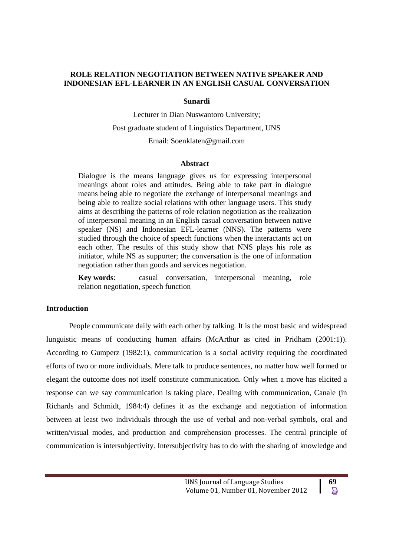### **ROLE RELATION NEGOTIATION BETWEEN NATIVE SPEAKER AND INDONESIAN EFL-LEARNER IN AN ENGLISH CASUAL CONVERSATION**

#### **Sunardi**

Lecturer in Dian Nuswantoro University;

Post graduate student of Linguistics Department, UNS

Email: Soenklaten@gmail.com

#### **Abstract**

Dialogue is the means language gives us for expressing interpersonal meanings about roles and attitudes. Being able to take part in dialogue means being able to negotiate the exchange of interpersonal meanings and being able to realize social relations with other language users. This study aims at describing the patterns of role relation negotiation as the realization of interpersonal meaning in an English casual conversation between native speaker (NS) and Indonesian EFL-learner (NNS). The patterns were studied through the choice of speech functions when the interactants act on each other. The results of this study show that NNS plays his role as initiator, while NS as supporter; the conversation is the one of information negotiation rather than goods and services negotiation.

**Key words**: casual conversation, interpersonal meaning, role relation negotiation, speech function

#### **Introduction**

People communicate daily with each other by talking. It is the most basic and widespread lunguistic means of conducting human affairs (McArthur as cited in Pridham (2001:1)). According to Gumperz (1982:1), communication is a social activity requiring the coordinated efforts of two or more individuals. Mere talk to produce sentences, no matter how well formed or elegant the outcome does not itself constitute communication. Only when a move has elicited a response can we say communication is taking place. Dealing with communication, Canale (in Richards and Schmidt, 1984:4) defines it as the exchange and negotiation of information between at least two individuals through the use of verbal and non-verbal symbols, oral and written/visual modes, and production and comprehension processes. The central principle of communication is intersubjectivity. Intersubjectivity has to do with the sharing of knowledge and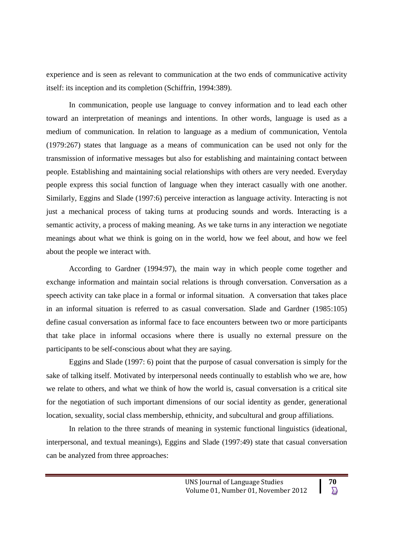experience and is seen as relevant to communication at the two ends of communicative activity itself: its inception and its completion (Schiffrin, 1994:389).

In communication, people use language to convey information and to lead each other toward an interpretation of meanings and intentions. In other words, language is used as a medium of communication. In relation to language as a medium of communication, Ventola (1979:267) states that language as a means of communication can be used not only for the transmission of informative messages but also for establishing and maintaining contact between people. Establishing and maintaining social relationships with others are very needed. Everyday people express this social function of language when they interact casually with one another. Similarly, Eggins and Slade (1997:6) perceive interaction as language activity. Interacting is not just a mechanical process of taking turns at producing sounds and words. Interacting is a semantic activity, a process of making meaning. As we take turns in any interaction we negotiate meanings about what we think is going on in the world, how we feel about, and how we feel about the people we interact with.

According to Gardner (1994:97), the main way in which people come together and exchange information and maintain social relations is through conversation. Conversation as a speech activity can take place in a formal or informal situation. A conversation that takes place in an informal situation is referred to as casual conversation. Slade and Gardner (1985:105) define casual conversation as informal face to face encounters between two or more participants that take place in informal occasions where there is usually no external pressure on the participants to be self-conscious about what they are saying.

Eggins and Slade (1997: 6) point that the purpose of casual conversation is simply for the sake of talking itself. Motivated by interpersonal needs continually to establish who we are, how we relate to others, and what we think of how the world is, casual conversation is a critical site for the negotiation of such important dimensions of our social identity as gender, generational location, sexuality, social class membership, ethnicity, and subcultural and group affiliations.

In relation to the three strands of meaning in systemic functional linguistics (ideational, interpersonal, and textual meanings), Eggins and Slade (1997:49) state that casual conversation can be analyzed from three approaches: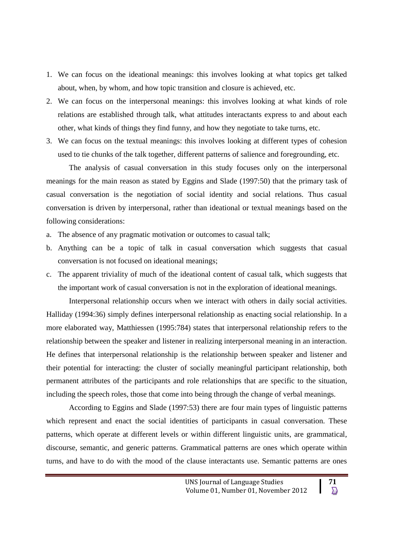- 1. We can focus on the ideational meanings: this involves looking at what topics get talked about, when, by whom, and how topic transition and closure is achieved, etc.
- 2. We can focus on the interpersonal meanings: this involves looking at what kinds of role relations are established through talk, what attitudes interactants express to and about each other, what kinds of things they find funny, and how they negotiate to take turns, etc.
- 3. We can focus on the textual meanings: this involves looking at different types of cohesion used to tie chunks of the talk together, different patterns of salience and foregrounding, etc.

The analysis of casual conversation in this study focuses only on the interpersonal meanings for the main reason as stated by Eggins and Slade (1997:50) that the primary task of casual conversation is the negotiation of social identity and social relations. Thus casual conversation is driven by interpersonal, rather than ideational or textual meanings based on the following considerations:

- a. The absence of any pragmatic motivation or outcomes to casual talk;
- b. Anything can be a topic of talk in casual conversation which suggests that casual conversation is not focused on ideational meanings;
- c. The apparent triviality of much of the ideational content of casual talk, which suggests that the important work of casual conversation is not in the exploration of ideational meanings.

Interpersonal relationship occurs when we interact with others in daily social activities. Halliday (1994:36) simply defines interpersonal relationship as enacting social relationship. In a more elaborated way, Matthiessen (1995:784) states that interpersonal relationship refers to the relationship between the speaker and listener in realizing interpersonal meaning in an interaction. He defines that interpersonal relationship is the relationship between speaker and listener and their potential for interacting: the cluster of socially meaningful participant relationship, both permanent attributes of the participants and role relationships that are specific to the situation, including the speech roles, those that come into being through the change of verbal meanings.

According to Eggins and Slade (1997:53) there are four main types of linguistic patterns which represent and enact the social identities of participants in casual conversation. These patterns, which operate at different levels or within different linguistic units, are grammatical, discourse, semantic, and generic patterns. Grammatical patterns are ones which operate within turns, and have to do with the mood of the clause interactants use. Semantic patterns are ones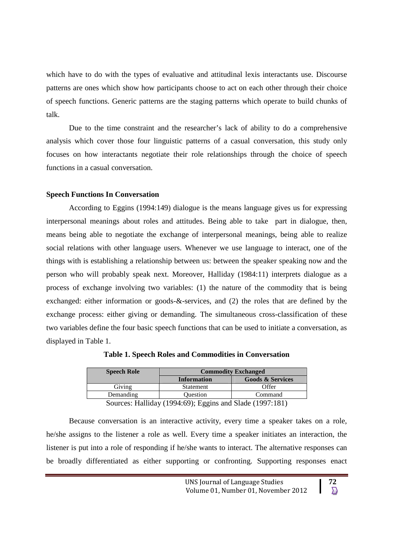which have to do with the types of evaluative and attitudinal lexis interactants use. Discourse patterns are ones which show how participants choose to act on each other through their choice of speech functions. Generic patterns are the staging patterns which operate to build chunks of talk.

Due to the time constraint and the researcher's lack of ability to do a comprehensive analysis which cover those four linguistic patterns of a casual conversation, this study only focuses on how interactants negotiate their role relationships through the choice of speech functions in a casual conversation.

#### **Speech Functions In Conversation**

According to Eggins (1994:149) dialogue is the means language gives us for expressing interpersonal meanings about roles and attitudes. Being able to take part in dialogue, then, means being able to negotiate the exchange of interpersonal meanings, being able to realize social relations with other language users. Whenever we use language to interact, one of the things with is establishing a relationship between us: between the speaker speaking now and the person who will probably speak next. Moreover, Halliday (1984:11) interprets dialogue as a process of exchange involving two variables: (1) the nature of the commodity that is being exchanged: either information or goods-&-services, and (2) the roles that are defined by the exchange process: either giving or demanding. The simultaneous cross-classification of these two variables define the four basic speech functions that can be used to initiate a conversation, as displayed in Table 1.

|                    | <b>Commodity Exchanged</b>  |
|--------------------|-----------------------------|
| <b>Information</b> | <b>Goods &amp; Services</b> |
| Statement          | Offer                       |
| Question           | Command                     |
|                    |                             |

**Table 1. Speech Roles and Commodities in Conversation**

Sources: Halliday (1994:69); Eggins and Slade (1997:181)

Because conversation is an interactive activity, every time a speaker takes on a role, he/she assigns to the listener a role as well. Every time a speaker initiates an interaction, the listener is put into a role of responding if he/she wants to interact. The alternative responses can be broadly differentiated as either supporting or confronting. Supporting responses enact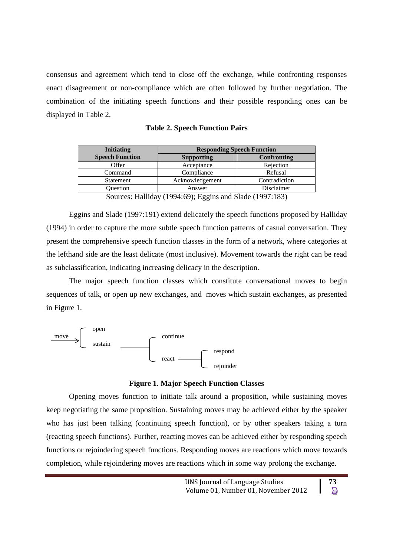consensus and agreement which tend to close off the exchange, while confronting responses enact disagreement or non-compliance which are often followed by further negotiation. The combination of the initiating speech functions and their possible responding ones can be displayed in Table 2.

| <b>Initiating</b>      | <b>Responding Speech Function</b> |               |  |  |  |  |
|------------------------|-----------------------------------|---------------|--|--|--|--|
| <b>Speech Function</b> | <b>Supporting</b>                 | Confronting   |  |  |  |  |
| Offer                  | Acceptance                        | Rejection     |  |  |  |  |
| Command                | Compliance                        | Refusal       |  |  |  |  |
| <b>Statement</b>       | Acknowledgement                   | Contradiction |  |  |  |  |
| Ouestion               | Answer                            | Disclaimer    |  |  |  |  |

|  |  | <b>Table 2. Speech Function Pairs</b> |  |
|--|--|---------------------------------------|--|
|--|--|---------------------------------------|--|

Sources: Halliday (1994:69); Eggins and Slade (1997:183)

Eggins and Slade (1997:191) extend delicately the speech functions proposed by Halliday (1994) in order to capture the more subtle speech function patterns of casual conversation. They present the comprehensive speech function classes in the form of a network, where categories at the lefthand side are the least delicate (most inclusive). Movement towards the right can be read as subclassification, indicating increasing delicacy in the description.

The major speech function classes which constitute conversational moves to begin sequences of talk, or open up new exchanges, and moves which sustain exchanges, as presented in Figure 1.





Opening moves function to initiate talk around a proposition, while sustaining moves keep negotiating the same proposition. Sustaining moves may be achieved either by the speaker who has just been talking (continuing speech function), or by other speakers taking a turn (reacting speech functions). Further, reacting moves can be achieved either by responding speech functions or rejoindering speech functions. Responding moves are reactions which move towards completion, while rejoindering moves are reactions which in some way prolong the exchange.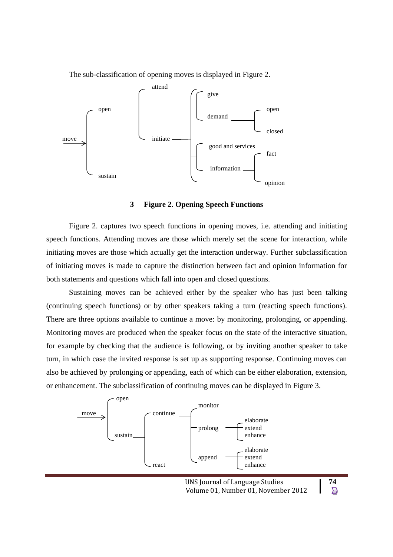

The sub-classification of opening moves is displayed in Figure 2.

#### **3 Figure 2. Opening Speech Functions**

Figure 2. captures two speech functions in opening moves, i.e. attending and initiating speech functions. Attending moves are those which merely set the scene for interaction, while initiating moves are those which actually get the interaction underway. Further subclassification of initiating moves is made to capture the distinction between fact and opinion information for both statements and questions which fall into open and closed questions.

Sustaining moves can be achieved either by the speaker who has just been talking (continuing speech functions) or by other speakers taking a turn (reacting speech functions). There are three options available to continue a move: by monitoring, prolonging, or appending. Monitoring moves are produced when the speaker focus on the state of the interactive situation, for example by checking that the audience is following, or by inviting another speaker to take turn, in which case the invited response is set up as supporting response. Continuing moves can also be achieved by prolonging or appending, each of which can be either elaboration, extension, or enhancement. The subclassification of continuing moves can be displayed in Figure 3.



Volume 01, Number 01, November 2012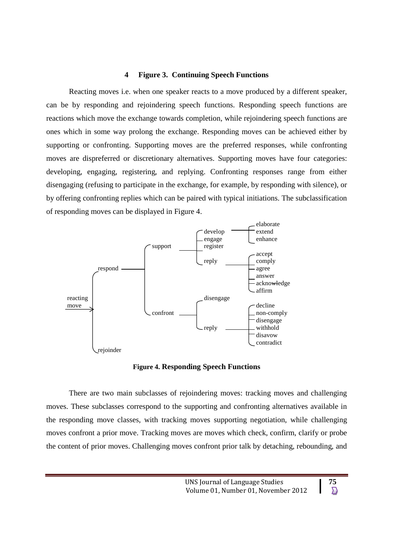#### **4 Figure 3. Continuing Speech Functions**

Reacting moves i.e. when one speaker reacts to a move produced by a different speaker, can be by responding and rejoindering speech functions. Responding speech functions are reactions which move the exchange towards completion, while rejoindering speech functions are ones which in some way prolong the exchange. Responding moves can be achieved either by supporting or confronting. Supporting moves are the preferred responses, while confronting moves are dispreferred or discretionary alternatives. Supporting moves have four categories: developing, engaging, registering, and replying. Confronting responses range from either disengaging (refusing to participate in the exchange, for example, by responding with silence), or by offering confronting replies which can be paired with typical initiations. The subclassification of responding moves can be displayed in Figure 4.



**Figure 4. Responding Speech Functions**

There are two main subclasses of rejoindering moves: tracking moves and challenging moves. These subclasses correspond to the supporting and confronting alternatives available in the responding move classes, with tracking moves supporting negotiation, while challenging moves confront a prior move. Tracking moves are moves which check, confirm, clarify or probe the content of prior moves. Challenging moves confront prior talk by detaching, rebounding, and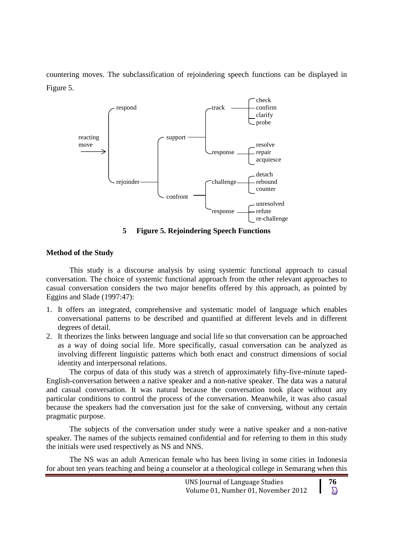countering moves. The subclassification of rejoindering speech functions can be displayed in Figure 5.



**5 Figure 5. Rejoindering Speech Functions**

# **Method of the Study**

This study is a discourse analysis by using systemic functional approach to casual conversation. The choice of systemic functional approach from the other relevant approaches to casual conversation considers the two major benefits offered by this approach, as pointed by Eggins and Slade (1997:47):

- 1. It offers an integrated, comprehensive and systematic model of language which enables conversational patterns to be described and quantified at different levels and in different degrees of detail.
- 2. It theorizes the links between language and social life so that conversation can be approached as a way of doing social life. More specifically, casual conversation can be analyzed as involving different linguistic patterns which both enact and construct dimensions of social identity and interpersonal relations.

The corpus of data of this study was a stretch of approximately fifty-five-minute taped-English-conversation between a native speaker and a non-native speaker. The data was a natural and casual conversation. It was natural because the conversation took place without any particular conditions to control the process of the conversation. Meanwhile, it was also casual because the speakers had the conversation just for the sake of conversing, without any certain pragmatic purpose.

The subjects of the conversation under study were a native speaker and a non-native speaker. The names of the subjects remained confidential and for referring to them in this study the initials were used respectively as NS and NNS.

The NS was an adult American female who has been living in some cities in Indonesia for about ten years teaching and being a counselor at a theological college in Semarang when this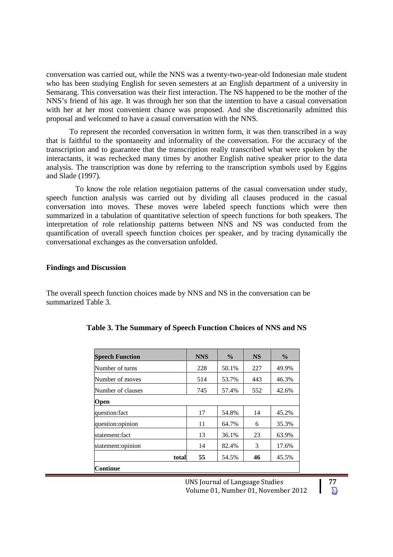conversation was carried out, while the NNS was a twenty-two-year-old Indonesian male student who has been studying English for seven semesters at an English department of a university in Semarang. This conversation was their first interaction. The NS happened to be the mother of the NNS's friend of his age. It was through her son that the intention to have a casual conversation with her at her most convenient chance was proposed. And she discretionarily admitted this proposal and welcomed to have a casual conversation with the NNS.

To represent the recorded conversation in written form, it was then transcribed in a way that is faithful to the spontaneity and informality of the conversation. For the accuracy of the transcription and to guarantee that the transcription really transcribed what were spoken by the interactants, it was rechecked many times by another English native speaker prior to the data analysis. The transcription was done by referring to the transcription symbols used by Eggins and Slade (1997).

To know the role relation negotiaion patterns of the casual conversation under study, speech function analysis was carried out by dividing all clauses produced in the casual conversation into moves. These moves were labeled speech functions which were then summarized in a tabulation of quantitative selection of speech functions for both speakers. The interpretation of role relationship patterns between NNS and NS was conducted from the quantification of overall speech function choices per speaker, and by tracing dynamically the conversational exchanges as the conversation unfolded.

#### **Findings and Discussion**

The overall speech function choices made by NNS and NS in the conversation can be summarized Table 3.

| <b>Speech Function</b> | <b>NNS</b> | $\frac{6}{9}$ | <b>NS</b> | $\frac{6}{9}$ |
|------------------------|------------|---------------|-----------|---------------|
| Number of turns        | 228        | 50.1%         | 227       | 49.9%         |
| Number of moves        | 514        | 53.7%         | 443       | 46.3%         |
| Number of clauses      | 745        | 57.4%         | 552       | 42.6%         |
| Open                   |            |               |           |               |
| question:fact          | 17         | 54.8%         | 14        | 45.2%         |
| question:opinion       | 11         | 64.7%         | 6         | 35.3%         |
| statement:fact         | 13         | 36.1%         | 23        | 63.9%         |
| statement:opinion      | 14         | 82.4%         | 3         | 17.6%         |
| total                  | 55         | 54.5%         | 46        | 45.5%         |
| Continue               |            |               |           |               |

**Table 3. The Summary of Speech Function Choices of NNS and NS**

UNS Journal of Language Studies **1996**<br>**77** Volume 01. Number 01. November 2012 Volume 01, Number 01, November 2012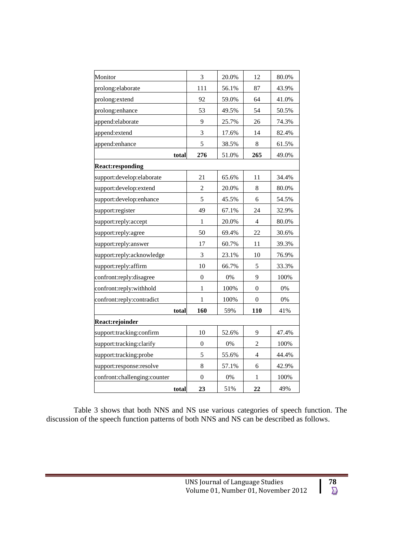| Monitor                      |       | 3                | 20.0% | 12               | 80.0% |
|------------------------------|-------|------------------|-------|------------------|-------|
| prolong:elaborate            |       | 111              | 56.1% | 87               | 43.9% |
| prolong: extend              |       | 92               | 59.0% | 64               | 41.0% |
| prolong:enhance              |       | 53               | 49.5% | 54               | 50.5% |
| append:elaborate             |       | 9                | 25.7% | 26               | 74.3% |
| append:extend                |       | 3                | 17.6% | 14               | 82.4% |
| append:enhance               |       | 5                | 38.5% | 8                | 61.5% |
|                              | total | 276              | 51.0% | 265              | 49.0% |
| <b>React:responding</b>      |       |                  |       |                  |       |
| support:develop:elaborate    |       | 21               | 65.6% | 11               | 34.4% |
| support:develop:extend       |       | $\overline{c}$   | 20.0% | 8                | 80.0% |
| support:develop:enhance      |       | 5                | 45.5% | 6                | 54.5% |
| support:register             |       | 49               | 67.1% | 24               | 32.9% |
| support:reply:accept         |       | 1                | 20.0% | $\overline{4}$   | 80.0% |
| support:reply:agree          |       | 50               | 69.4% | 22               | 30.6% |
| support:reply:answer         |       | 17               | 60.7% | 11               | 39.3% |
| support:reply:acknowledge    |       | 3                | 23.1% | 10               | 76.9% |
| support:reply:affirm         |       | 10               | 66.7% | 5                | 33.3% |
| confront:reply:disagree      |       | $\overline{0}$   | 0%    | 9                | 100%  |
| confront:reply:withhold      |       | $\mathbf{1}$     | 100%  | $\boldsymbol{0}$ | $0\%$ |
| confront:reply:contradict    |       | 1                | 100%  | $\boldsymbol{0}$ | 0%    |
|                              | total | 160              | 59%   | 110              | 41%   |
| React:rejoinder              |       |                  |       |                  |       |
| support:tracking:confirm     |       | 10               | 52.6% | 9                | 47.4% |
| support:tracking:clarify     |       | $\boldsymbol{0}$ | 0%    | $\overline{c}$   | 100%  |
| support:tracking:probe       |       | 5                | 55.6% | 4                | 44.4% |
| support:response:resolve     |       | 8                | 57.1% | 6                | 42.9% |
| confront:challenging:counter |       | $\mathbf{0}$     | $0\%$ | 1                | 100%  |
|                              | total | 23               | 51%   | 22               | 49%   |

Table 3 shows that both NNS and NS use various categories of speech function. The discussion of the speech function patterns of both NNS and NS can be described as follows.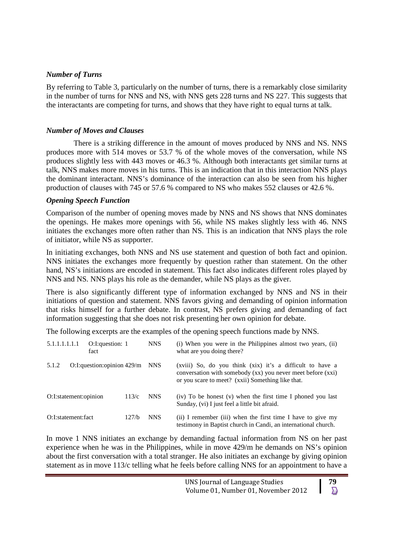## *Number of Turns*

By referring to Table 3, particularly on the number of turns, there is a remarkably close similarity in the number of turns for NNS and NS, with NNS gets 228 turns and NS 227. This suggests that the interactants are competing for turns, and shows that they have right to equal turns at talk.

## *Number of Moves and Clauses*

There is a striking difference in the amount of moves produced by NNS and NS. NNS produces more with 514 moves or 53.7 % of the whole moves of the conversation, while NS produces slightly less with 443 moves or 46.3 %. Although both interactants get similar turns at talk, NNS makes more moves in his turns. This is an indication that in this interaction NNS plays the dominant interactant. NNS's dominance of the interaction can also be seen from his higher production of clauses with 745 or 57.6 % compared to NS who makes 552 clauses or 42.6 %.

## *Opening Speech Function*

Comparison of the number of opening moves made by NNS and NS shows that NNS dominates the openings. He makes more openings with 56, while NS makes slightly less with 46. NNS initiates the exchanges more often rather than NS. This is an indication that NNS plays the role of initiator, while NS as supporter.

In initiating exchanges, both NNS and NS use statement and question of both fact and opinion. NNS initiates the exchanges more frequently by question rather than statement. On the other hand, NS's initiations are encoded in statement. This fact also indicates different roles played by NNS and NS. NNS plays his role as the demander, while NS plays as the giver.

There is also significantly different type of information exchanged by NNS and NS in their initiations of question and statement. NNS favors giving and demanding of opinion information that risks himself for a further debate. In contrast, NS prefers giving and demanding of fact information suggesting that she does not risk presenting her own opinion for debate.

The following excerpts are the examples of the opening speech functions made by NNS.

| 5.1.1.1.1.1.1         | O:I:question: 1<br>fact     | <b>NNS</b> | (i) When you were in the Philippines almost two years, (ii)<br>what are you doing there?                                                                                      |
|-----------------------|-----------------------------|------------|-------------------------------------------------------------------------------------------------------------------------------------------------------------------------------|
| 5.1.2                 | O:I: question:opinion 429/m | <b>NNS</b> | (xviii) So, do you think (xix) it's a difficult to have a<br>conversation with somebody (xx) you never meet before (xxi)<br>or you scare to meet? (xxii) Something like that. |
| O:I:statement:opinion | 113/c                       | <b>NNS</b> | (iv) To be honest (v) when the first time I phoned you last<br>Sunday, (vi) I just feel a little bit afraid.                                                                  |
| O:I:statement:fact    | 127/b                       | <b>NNS</b> | (ii) I remember (iii) when the first time I have to give my<br>testimony in Baptist church in Candi, an international church.                                                 |

In move 1 NNS initiates an exchange by demanding factual information from NS on her past experience when he was in the Philippines, while in move 429/m he demands on NS's opinion about the first conversation with a total stranger. He also initiates an exchange by giving opinion statement as in move 113/c telling what he feels before calling NNS for an appointment to have a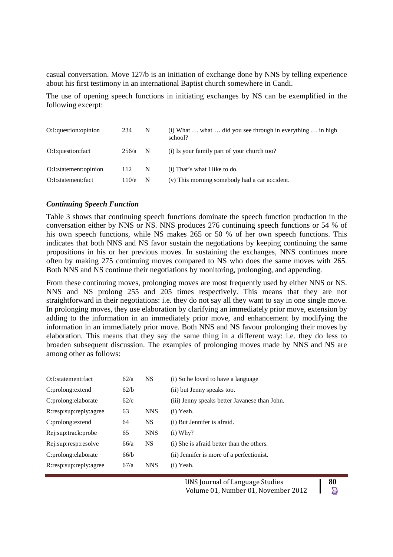casual conversation. Move 127/b is an initiation of exchange done by NNS by telling experience about his first testimony in an international Baptist church somewhere in Candi.

The use of opening speech functions in initiating exchanges by NS can be exemplified in the following excerpt:

| O:I:question:opinion  | 234       | N | (i) What  what  did you see through in everything $\ldots$ in high<br>school? |
|-----------------------|-----------|---|-------------------------------------------------------------------------------|
| O:I:question:fact     | $256/a$ N |   | (i) Is your family part of your church too?                                   |
| O:I:statement:opinion | 112       | N | (i) That's what I like to do.                                                 |
| O:I:statement:fact    | 110/e     | N | (v) This morning somebody had a car accident.                                 |

#### *Continuing Speech Function*

Table 3 shows that continuing speech functions dominate the speech function production in the conversation either by NNS or NS. NNS produces 276 continuing speech functions or 54 % of his own speech functions, while NS makes 265 or 50 % of her own speech functions. This indicates that both NNS and NS favor sustain the negotiations by keeping continuing the same propositions in his or her previous moves. In sustaining the exchanges, NNS continues more often by making 275 continuing moves compared to NS who does the same moves with 265. Both NNS and NS continue their negotiations by monitoring, prolonging, and appending.

From these continuing moves, prolonging moves are most frequently used by either NNS or NS. NNS and NS prolong 255 and 205 times respectively. This means that they are not straightforward in their negotiations: i.e. they do not say all they want to say in one single move. In prolonging moves, they use elaboration by clarifying an immediately prior move, extension by adding to the information in an immediately prior move, and enhancement by modifying the information in an immediately prior move. Both NNS and NS favour prolonging their moves by elaboration. This means that they say the same thing in a different way: i.e. they do less to broaden subsequent discussion. The examples of prolonging moves made by NNS and NS are among other as follows:

| O:I:statement:fact     | 62/a | <b>NS</b>  | (i) So he loved to have a language            |
|------------------------|------|------------|-----------------------------------------------|
| C:prolong: extend      | 62/b |            | (ii) but Jenny speaks too.                    |
| C:prolong:elaborate    | 62/c |            | (iii) Jenny speaks better Javanese than John. |
| R:resp:sup:reply:agree | 63   | <b>NNS</b> | $(i)$ Yeah.                                   |
| C:prolong:extend       | 64   | <b>NS</b>  | (i) But Jennifer is afraid.                   |
| Rej:sup:track:probe    | 65   | <b>NNS</b> | $(i)$ Why?                                    |
| Rej:sup:resp:resolve   | 66/a | <b>NS</b>  | (i) She is a fraid better than the others.    |
| C:prolong:elaborate    | 66/b |            | (ii) Jennifer is more of a perfectionist.     |
| R:resp:sup:reply:agree | 67/a | <b>NNS</b> | $(i)$ Yeah.                                   |

 $\sum$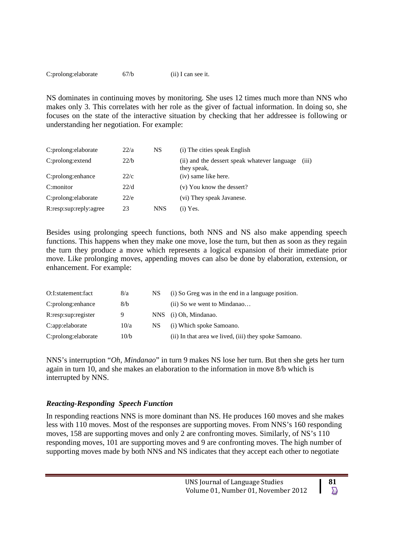C:prolong:elaborate 67/b (ii) I can see it.

NS dominates in continuing moves by monitoring. She uses 12 times much more than NNS who makes only 3. This correlates with her role as the giver of factual information. In doing so, she focuses on the state of the interactive situation by checking that her addressee is following or understanding her negotiation. For example:

| C:prolong:elaborate    | 22/a | NS         | (i) The cities speak English                                         |
|------------------------|------|------------|----------------------------------------------------------------------|
| C:prolong:extend       | 22/b |            | (iii)<br>(ii) and the dessert speak whatever language<br>they speak, |
| C:prolong:enhance      | 22/c |            | (iv) same like here.                                                 |
| C:monitor              | 22/d |            | (v) You know the dessert?                                            |
| C:prolong:elaborate    | 22/e |            | (vi) They speak Javanese.                                            |
| R:resp:sup:reply:agree | 23   | <b>NNS</b> | $(i)$ Yes.                                                           |

Besides using prolonging speech functions, both NNS and NS also make appending speech functions. This happens when they make one move, lose the turn, but then as soon as they regain the turn they produce a move which represents a logical expansion of their immediate prior move. Like prolonging moves, appending moves can also be done by elaboration, extension, or enhancement. For example:

| O:I:statement:fact  | 8/a  | NS.  | (i) So Greg was in the end in a language position.    |
|---------------------|------|------|-------------------------------------------------------|
| C:prolong:enhance   | 8/b  |      | (ii) So we went to Mindanao                           |
| R:resp:sup:register | 9    | NNS. | (i) Oh, Mindanao.                                     |
| C:app:elaborate     | 10/a | NS.  | (i) Which spoke Samoano.                              |
| C:prolong:elaborate | 10/b |      | (ii) In that area we lived, (iii) they spoke Samoano. |

NNS's interruption "*Oh, Mindanao*" in turn 9 makes NS lose her turn. But then she gets her turn again in turn 10, and she makes an elaboration to the information in move 8/b which is interrupted by NNS.

### *Reacting-Responding Speech Function*

In responding reactions NNS is more dominant than NS. He produces 160 moves and she makes less with 110 moves. Most of the responses are supporting moves. From NNS's 160 responding moves, 158 are supporting moves and only 2 are confronting moves. Similarly, of NS's 110 responding moves, 101 are supporting moves and 9 are confronting moves. The high number of supporting moves made by both NNS and NS indicates that they accept each other to negotiate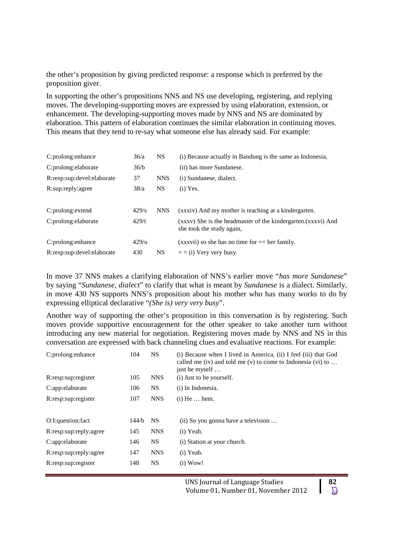the other's proposition by giving predicted response: a response which is preferred by the proposition giver.

In supporting the other's propositions NNS and NS use developing, registering, and replying moves. The developing-supporting moves are expressed by using elaboration, extension, or enhancement. The developing-supporting moves made by NNS and NS are dominated by elaboration. This pattern of elaboration continues the similar elaboration in continuing moves. This means that they tend to re-say what someone else has already said. For example:

| C:prolong: enhance         | 36/a  | <b>NS</b><br>(i) Because actually in Bandung is the same as Indonesia, |                                                                                           |
|----------------------------|-------|------------------------------------------------------------------------|-------------------------------------------------------------------------------------------|
| C:prolong:elaborate        | 36/b  |                                                                        | (ii) has more Sundanese.                                                                  |
| R:resp:sup:devel:elaborate | 37    | <b>NNS</b>                                                             | (i) Sundanese, dialect.                                                                   |
| R:sup:reply:agree          | 38/a  | NS.                                                                    | $(i)$ Yes.                                                                                |
|                            |       |                                                                        |                                                                                           |
| C:prolong: extend          | 429/s | <b>NNS</b>                                                             | (xxxiv) And my mother is teaching at a kindergarten.                                      |
| C:prolong:elaborate        | 429/t |                                                                        | (xxxv) She is the headmaster of the kindergarten.(xxxvi) And<br>she took the study again, |
| C:prolong:enhance          | 429/u |                                                                        | $(xxxvii)$ so she has no time for $==$ her family.                                        |
| R:resp:sup:devel:elaborate | 430   | <b>NS</b>                                                              | $=$ = (i) Very very busy.                                                                 |

In move 37 NNS makes a clarifying elaboration of NNS's earlier move "*has more Sundanese*" by saying "*Sundanese, dialect*" to clarify that what is meant by *Sundanese* is a dialect. Similarly, in move 430 NS supports NNS's proposition about his mother who has many works to do by expressing elliptical declarative "*(She is) very very busy*".

Another way of supporting the other's proposition in this conversation is by registering. Such moves provide supportive encouragement for the other speaker to take another turn without introducing any new material for negotiation. Registering moves made by NNS and NS in this conversation are expressed with back channeling clues and evaluative reactions. For example:

| C:prolong: enhance     | 104   | NS.        | (i) Because when I lived in America, (ii) I feel (iii) that God<br>called me (iv) and told me (v) to come to Indonesia (vi) to $\dots$<br>just be myself |  |
|------------------------|-------|------------|----------------------------------------------------------------------------------------------------------------------------------------------------------|--|
| R:resp:sup:register    | 105   | <b>NNS</b> | (i) Just to be yourself.                                                                                                                                 |  |
| C:app:elaborate        | 106   | <b>NS</b>  | (i) In Indonesia.                                                                                                                                        |  |
| R:resp:sup:register    | 107   | <b>NNS</b> | $(i)$ He $\dots$ hem.                                                                                                                                    |  |
|                        |       |            |                                                                                                                                                          |  |
| O:I:question:fact      | 144/b | <b>NS</b>  | (ii) So you gonna have a television                                                                                                                      |  |
| R:resp:sup:reply:agree | 145   | <b>NNS</b> | $(i)$ Yeah.                                                                                                                                              |  |
| C:app:elaborate        | 146   | NS.        | (i) Station at your church.                                                                                                                              |  |
| R:resp:sup:reply:agree | 147   | <b>NNS</b> | $(i)$ Yeah.                                                                                                                                              |  |
| R:resp:sup:register    | 148   | <b>NS</b>  | $(i)$ Wow!                                                                                                                                               |  |
|                        |       |            |                                                                                                                                                          |  |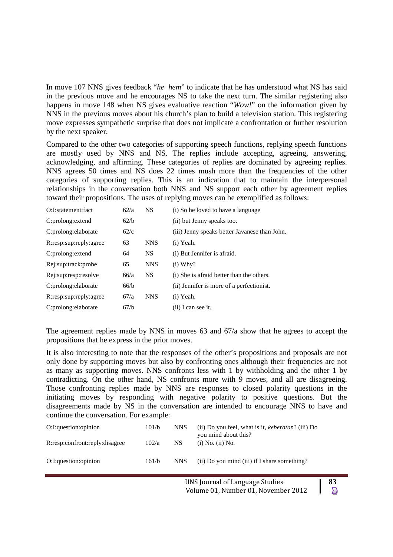In move 107 NNS gives feedback "*he hem*" to indicate that he has understood what NS has said in the previous move and he encourages NS to take the next turn. The similar registering also happens in move 148 when NS gives evaluative reaction "*Wow!*" on the information given by NNS in the previous moves about his church's plan to build a television station. This registering move expresses sympathetic surprise that does not implicate a confrontation or further resolution by the next speaker.

Compared to the other two categories of supporting speech functions, replying speech functions are mostly used by NNS and NS. The replies include accepting, agreeing, answering, acknowledging, and affirming. These categories of replies are dominated by agreeing replies. NNS agrees 50 times and NS does 22 times mush more than the frequencies of the other categories of supporting replies. This is an indication that to maintain the interpersonal relationships in the conversation both NNS and NS support each other by agreement replies toward their propositions. The uses of replying moves can be exemplified as follows:

| O:I:statement:fact     | 62/a | <b>NS</b>  | (i) So he loved to have a language            |
|------------------------|------|------------|-----------------------------------------------|
| C:prolong: extend      | 62/b |            | (ii) but Jenny speaks too.                    |
| C:prolong:elaborate    | 62/c |            | (iii) Jenny speaks better Javanese than John. |
| R:resp:sup:reply:agree | 63   | <b>NNS</b> | $(i)$ Yeah.                                   |
| C:prolong: extend      | 64   | <b>NS</b>  | (i) But Jennifer is afraid.                   |
| Rej:sup:track:probe    | 65   | <b>NNS</b> | $(i)$ Why?                                    |
| Rej:sup:resp:resolve   | 66/a | <b>NS</b>  | (i) She is a fraid better than the others.    |
| C:prolong:elaborate    | 66/b |            | (ii) Jennifer is more of a perfectionist.     |
| R:resp:sup:reply:agree | 67/a | <b>NNS</b> | $(i)$ Yeah.                                   |
| C:prolong:elaborate    | 67/b |            | $(ii)$ I can see it.                          |

The agreement replies made by NNS in moves 63 and 67/a show that he agrees to accept the propositions that he express in the prior moves.

It is also interesting to note that the responses of the other's propositions and proposals are not only done by supporting moves but also by confronting ones although their frequencies are not as many as supporting moves. NNS confronts less with 1 by withholding and the other 1 by contradicting. On the other hand, NS confronts more with 9 moves, and all are disagreeing. Those confronting replies made by NNS are responses to closed polarity questions in the initiating moves by responding with negative polarity to positive questions. But the disagreements made by NS in the conversation are intended to encourage NNS to have and continue the conversation. For example:

| O:I:question:opinion           | 101/b | <b>NNS</b> | (ii) Do you feel, what is it, <i>keberatan</i> ? (iii) Do<br>you mind about this? |
|--------------------------------|-------|------------|-----------------------------------------------------------------------------------|
| R:resp:confront:reply:disagree | 102/a | NS.        | $(i)$ No. $(ii)$ No.                                                              |
| O:I:question:opinion           | 161/b | NNS.       | $(ii)$ Do you mind $(iii)$ if I share something?                                  |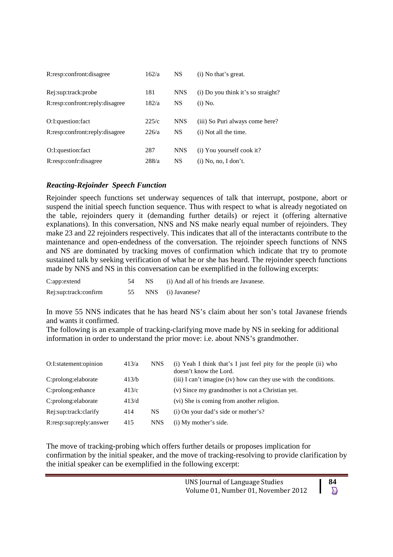| R:resp:confront:disagree       | 162/a | <b>NS</b>  | (i) No that's great.               |
|--------------------------------|-------|------------|------------------------------------|
| Rej:sup:track:probe            | 181   | <b>NNS</b> | (i) Do you think it's so straight? |
| R:resp:confront:reply:disagree | 182/a | NS         | $(i)$ No.                          |
| O:I:question:fact              | 225/c | <b>NNS</b> | (iii) So Puri always come here?    |
| R:resp:confront:reply:disagree | 226/a | <b>NS</b>  | (i) Not all the time.              |
| O:I:question:fact              | 287   | <b>NNS</b> | (i) You yourself cook it?          |
| R:resp:confr:disagree          | 288/a | <b>NS</b>  | $(i)$ No, no, I don't.             |

## *Reacting-Rejoinder Speech Function*

Rejoinder speech functions set underway sequences of talk that interrupt, postpone, abort or suspend the initial speech function sequence. Thus with respect to what is already negotiated on the table, rejoinders query it (demanding further details) or reject it (offering alternative explanations). In this conversation, NNS and NS make nearly equal number of rejoinders. They make 23 and 22 rejoinders respectively. This indicates that all of the interactants contribute to the maintenance and open-endedness of the conversation. The rejoinder speech functions of NNS and NS are dominated by tracking moves of confirmation which indicate that try to promote sustained talk by seeking verification of what he or she has heard. The rejoinder speech functions made by NNS and NS in this conversation can be exemplified in the following excerpts:

| C:app:extend          | NS. | (i) And all of his friends are Javanese. |
|-----------------------|-----|------------------------------------------|
| Rej:sup:track:confirm |     | NNS (i) Javanese?                        |

In move 55 NNS indicates that he has heard NS's claim about her son's total Javanese friends and wants it confirmed.

The following is an example of tracking-clarifying move made by NS in seeking for additional information in order to understand the prior move: i.e. about NNS's grandmother.

| O:I:statement:opinion   | 413/a | <b>NNS</b> | (i) Yeah I think that's I just feel pity for the people (ii) who<br>doesn't know the Lord. |
|-------------------------|-------|------------|--------------------------------------------------------------------------------------------|
| C:prolong:elaborate     | 413/b |            | (iii) I can't imagine (iv) how can they use with the conditions.                           |
| C:prolong:enhance       | 413/c |            | (v) Since my grandmother is not a Christian yet.                                           |
| C:prolong:elaborate     | 413/d |            | (vi) She is coming from another religion.                                                  |
| Rej:sup:track:clarify   | 414   | NS.        | (i) On your dad's side or mother's?                                                        |
| R:resp:sup:reply:answer | 415   | <b>NNS</b> | (i) My mother's side.                                                                      |

The move of tracking-probing which offers further details or proposes implication for confirmation by the initial speaker, and the move of tracking-resolving to provide clarification by the initial speaker can be exemplified in the following excerpt:

| UNS Journal of Language Studies     | -84 |
|-------------------------------------|-----|
| Volume 01, Number 01, November 2012 |     |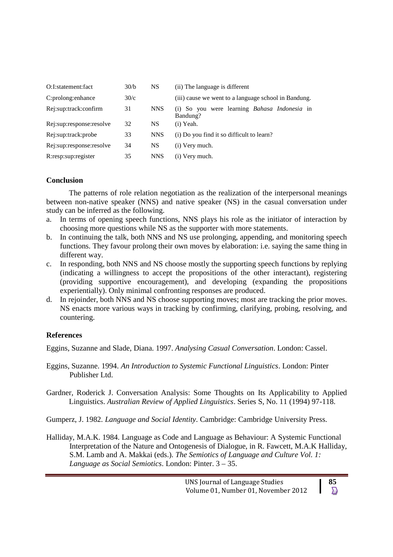| O:I:statement:fact       | 30/b | <b>NS</b>  | (ii) The language is different                                  |
|--------------------------|------|------------|-----------------------------------------------------------------|
| C:prolong:enhance        | 30/c |            | (iii) cause we went to a language school in Bandung.            |
| Rej:sup:track:confirm    | 31   | <b>NNS</b> | (i) So you were learning <i>Bahasa Indonesia</i> in<br>Bandung? |
| Rej:sup:response:resolve | 32   | <b>NS</b>  | (i) Yeah.                                                       |
| Rej:sup:track:probe      | 33   | <b>NNS</b> | (i) Do you find it so difficult to learn?                       |
| Rej:sup:response:resolve | 34   | <b>NS</b>  | (i) Very much.                                                  |
| R:resp:sup:register      | 35   | <b>NNS</b> | (i) Very much.                                                  |

## **Conclusion**

The patterns of role relation negotiation as the realization of the interpersonal meanings between non-native speaker (NNS) and native speaker (NS) in the casual conversation under study can be inferred as the following.

- a. In terms of opening speech functions, NNS plays his role as the initiator of interaction by choosing more questions while NS as the supporter with more statements.
- b. In continuing the talk, both NNS and NS use prolonging, appending, and monitoring speech functions. They favour prolong their own moves by elaboration: i.e. saying the same thing in different way.
- c. In responding, both NNS and NS choose mostly the supporting speech functions by replying (indicating a willingness to accept the propositions of the other interactant), registering (providing supportive encouragement), and developing (expanding the propositions experientially). Only minimal confronting responses are produced.
- d. In rejoinder, both NNS and NS choose supporting moves; most are tracking the prior moves. NS enacts more various ways in tracking by confirming, clarifying, probing, resolving, and countering.

## **References**

Eggins, Suzanne and Slade, Diana. 1997. *Analysing Casual Conversation*. London: Cassel.

Eggins, Suzanne. 1994. *An Introduction to Systemic Functional Linguistics*. London: Pinter Publisher Ltd.

Gardner, Roderick J. Conversation Analysis: Some Thoughts on Its Applicability to Applied Linguistics. *Australian Review of Applied Linguistics*. Series S, No. 11 (1994) 97-118.

Gumperz, J. 1982. *Language and Social Identity*. Cambridge: Cambridge University Press.

Halliday, M.A.K. 1984. Language as Code and Language as Behaviour: A Systemic Functional Interpretation of the Nature and Ontogenesis of Dialogue, in R. Fawcett, M.A.K Halliday, S.M. Lamb and A. Makkai (eds.). *The Semiotics of Language and Culture Vol. 1: Language as Social Semiotics*. London: Pinter. 3 – 35.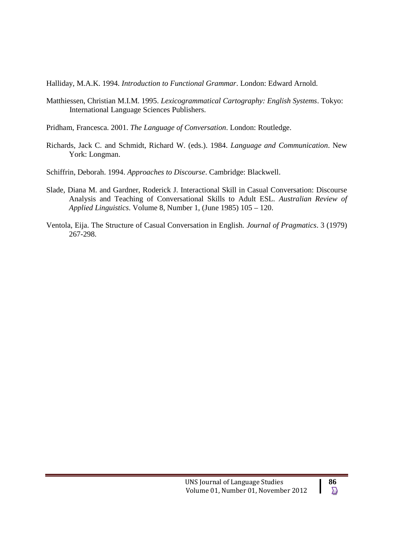Halliday, M.A.K. 1994. *Introduction to Functional Grammar*. London: Edward Arnold.

- Matthiessen, Christian M.I.M. 1995. *Lexicogrammatical Cartography: English Systems*. Tokyo: International Language Sciences Publishers.
- Pridham, Francesca. 2001. *The Language of Conversation*. London: Routledge.
- Richards, Jack C. and Schmidt, Richard W. (eds.). 1984. *Language and Communication*. New York: Longman.
- Schiffrin, Deborah. 1994. *Approaches to Discourse*. Cambridge: Blackwell.
- Slade, Diana M. and Gardner, Roderick J. Interactional Skill in Casual Conversation: Discourse Analysis and Teaching of Conversational Skills to Adult ESL. *Australian Review of Applied Linguistics*. Volume 8, Number 1, (June 1985) 105 – 120.
- Ventola, Eija. The Structure of Casual Conversation in English. *Journal of Pragmatics*. 3 (1979) 267-298.